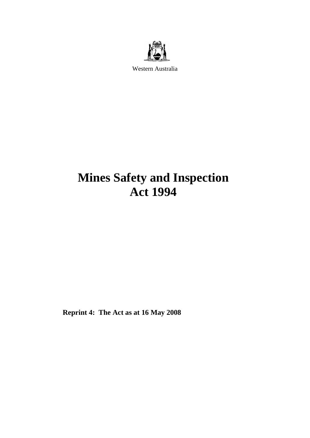

Western Australia

# **Mines Safety and Inspection Act 1994**

**Reprint 4: The Act as at 16 May 2008**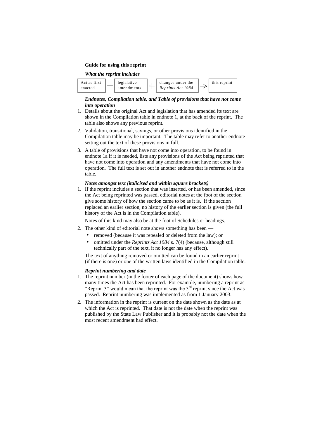#### **Guide for using this reprint**

#### *What the reprint includes*



#### *Endnotes, Compilation table, and Table of provisions that have not come into operation*

- 1. Details about the original Act and legislation that has amended its text are shown in the Compilation table in endnote 1, at the back of the reprint. The table also shows any previous reprint.
- 2. Validation, transitional, savings, or other provisions identified in the Compilation table may be important. The table may refer to another endnote setting out the text of these provisions in full.
- 3. A table of provisions that have not come into operation, to be found in endnote 1a if it is needed, lists any provisions of the Act being reprinted that have not come into operation and any amendments that have not come into operation. The full text is set out in another endnote that is referred to in the table.

#### *Notes amongst text (italicised and within square brackets)*

1. If the reprint includes a section that was inserted, or has been amended, since the Act being reprinted was passed, editorial notes at the foot of the section give some history of how the section came to be as it is. If the section replaced an earlier section, no history of the earlier section is given (the full history of the Act is in the Compilation table).

Notes of this kind may also be at the foot of Schedules or headings.

- 2. The other kind of editorial note shows something has been -
	- removed (because it was repealed or deleted from the law); or
	- omitted under the *Reprints Act 1984* s. 7(4) (because, although still technically part of the text, it no longer has any effect).

The text of anything removed or omitted can be found in an earlier reprint (if there is one) or one of the written laws identified in the Compilation table.

#### *Reprint numbering and date*

- 1. The reprint number (in the footer of each page of the document) shows how many times the Act has been reprinted. For example, numbering a reprint as "Reprint 3" would mean that the reprint was the  $3<sup>rd</sup>$  reprint since the Act was passed. Reprint numbering was implemented as from 1 January 2003.
- 2. The information in the reprint is current on the date shown as the date as at which the Act is reprinted. That date is not the date when the reprint was published by the State Law Publisher and it is probably not the date when the most recent amendment had effect.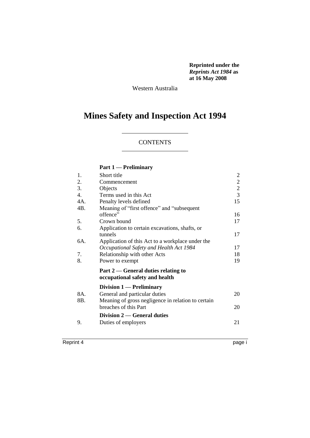**Reprinted under the**  *Reprints Act 1984* **as at 16 May 2008**

Western Australia

## **Mines Safety and Inspection Act 1994**

## **CONTENTS**

## **Part 1 — Preliminary**

| 1.  | Short title                                        | 2              |
|-----|----------------------------------------------------|----------------|
| 2.  | Commencement                                       | $\overline{2}$ |
| 3.  | Objects                                            | $\overline{2}$ |
| 4.  | Terms used in this Act                             | $\mathfrak{Z}$ |
| 4A. | Penalty levels defined                             | 15             |
| 4B. | Meaning of "first offence" and "subsequent         |                |
|     | offence"                                           | 16             |
| 5.  | Crown bound                                        | 17             |
| 6.  | Application to certain excavations, shafts, or     |                |
|     | tunnels                                            | 17             |
| 6A. | Application of this Act to a workplace under the   |                |
|     | Occupational Safety and Health Act 1984            | 17             |
| 7.  | Relationship with other Acts                       | 18             |
| 8.  | Power to exempt                                    | 19             |
|     | Part $2$ — General duties relating to              |                |
|     | occupational safety and health                     |                |
|     | Division 1 — Preliminary                           |                |
| 8A. | General and particular duties                      | 20             |
| 8B. | Meaning of gross negligence in relation to certain |                |
|     | breaches of this Part                              | 20             |
|     | Division $2$ — General duties                      |                |
| 9.  | Duties of employers                                | 21             |
|     |                                                    |                |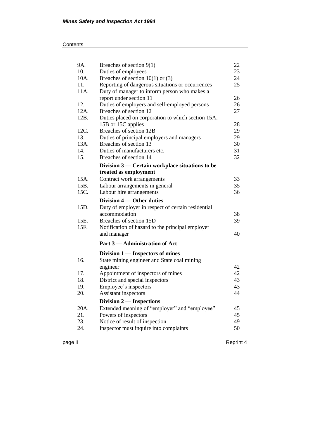| 9A.  | Breaches of section $9(1)$                         | 22 |
|------|----------------------------------------------------|----|
| 10.  | Duties of employees                                | 23 |
| 10A. | Breaches of section $10(1)$ or (3)                 | 24 |
| 11.  | Reporting of dangerous situations or occurrences   | 25 |
| 11A. | Duty of manager to inform person who makes a       |    |
|      | report under section 11                            | 26 |
| 12.  | Duties of employers and self-employed persons      | 26 |
| 12A. | Breaches of section 12                             | 27 |
| 12B. | Duties placed on corporation to which section 15A, |    |
|      | 15B or 15C applies                                 | 28 |
| 12C. | Breaches of section 12B                            | 29 |
| 13.  | Duties of principal employers and managers         | 29 |
| 13A. | Breaches of section 13                             | 30 |
| 14.  | Duties of manufacturers etc.                       | 31 |
| 15.  | Breaches of section 14                             | 32 |
|      | Division 3 — Certain workplace situations to be    |    |
|      | treated as employment                              |    |
| 15A. | Contract work arrangements                         | 33 |
| 15B. | Labour arrangements in general                     | 35 |
| 15C. | Labour hire arrangements                           | 36 |
|      |                                                    |    |
|      |                                                    |    |
|      | Division 4 — Other duties                          |    |
| 15D. | Duty of employer in respect of certain residential |    |
|      | accommodation                                      | 38 |
| 15E. | Breaches of section 15D                            | 39 |
| 15F. | Notification of hazard to the principal employer   |    |
|      | and manager                                        | 40 |
|      | Part 3 — Administration of Act                     |    |
|      | Division 1 — Inspectors of mines                   |    |
| 16.  | State mining engineer and State coal mining        |    |
|      | engineer                                           | 42 |
| 17.  | Appointment of inspectors of mines                 | 42 |
| 18.  | District and special inspectors                    | 43 |
| 19.  | Employee's inspectors                              | 43 |
| 20.  | Assistant inspectors                               | 44 |
|      | Division $2$ — Inspections                         |    |
| 20A. | Extended meaning of "employer" and "employee"      | 45 |
| 21.  | Powers of inspectors                               | 45 |
| 23.  | Notice of result of inspection                     | 49 |
| 24.  | Inspector must inquire into complaints             | 50 |

page ii Reprint 4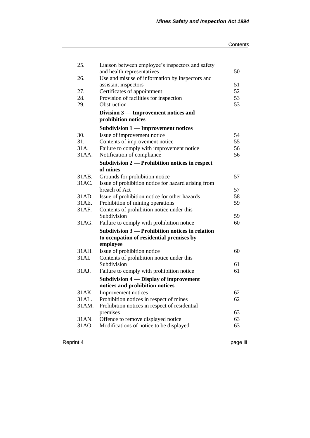#### **Contents**

| 25.   | Liaison between employee's inspectors and safety    |    |
|-------|-----------------------------------------------------|----|
|       | and health representatives                          | 50 |
| 26.   | Use and misuse of information by inspectors and     |    |
|       | assistant inspectors                                | 51 |
| 27.   | Certificates of appointment                         | 52 |
| 28.   | Provision of facilities for inspection              | 53 |
| 29.   | Obstruction                                         | 53 |
|       | Division 3 — Improvement notices and                |    |
|       | prohibition notices                                 |    |
|       | <b>Subdivision 1 - Improvement notices</b>          |    |
| 30.   | Issue of improvement notice                         | 54 |
| 31.   | Contents of improvement notice                      | 55 |
| 31A.  | Failure to comply with improvement notice           | 56 |
| 31AA. | Notification of compliance                          | 56 |
|       | Subdivision 2 - Prohibition notices in respect      |    |
|       | of mines                                            |    |
| 31AB. | Grounds for prohibition notice                      | 57 |
| 31AC. | Issue of prohibition notice for hazard arising from |    |
|       | breach of Act                                       | 57 |
| 31AD. | Issue of prohibition notice for other hazards       | 58 |
| 31AE. | Prohibition of mining operations                    | 59 |
| 31AF. | Contents of prohibition notice under this           |    |
|       | Subdivision                                         | 59 |
| 31AG. | Failure to comply with prohibition notice           | 60 |
|       | Subdivision 3 — Prohibition notices in relation     |    |
|       | to occupation of residential premises by            |    |
|       | employee                                            |    |
| 31AH. | Issue of prohibition notice                         | 60 |
| 31AI. | Contents of prohibition notice under this           |    |
|       | Subdivision                                         | 61 |
| 31AJ. | Failure to comply with prohibition notice           | 61 |
|       | Subdivision 4 — Display of improvement              |    |
|       | notices and prohibition notices                     |    |
| 31AK. | Improvement notices                                 | 62 |
| 31AL. | Prohibition notices in respect of mines             | 62 |
| 31AM. | Prohibition notices in respect of residential       |    |
|       | premises                                            | 63 |
| 31AN. | Offence to remove displayed notice                  | 63 |
| 31AO. | Modifications of notice to be displayed             | 63 |
|       |                                                     |    |

Reprint 4 page iii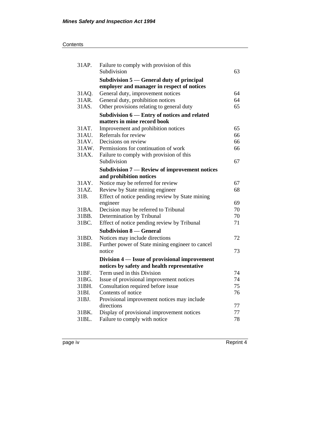| 31AP.          | Failure to comply with provision of this<br>Subdivision                                 | 63       |
|----------------|-----------------------------------------------------------------------------------------|----------|
|                | Subdivision 5 — General duty of principal<br>employer and manager in respect of notices |          |
| 31AQ.          | General duty, improvement notices                                                       | 64       |
| 31AR.          | General duty, prohibition notices                                                       | 64       |
| 31AS.          | Other provisions relating to general duty                                               | 65       |
|                | Subdivision 6 — Entry of notices and related                                            |          |
|                | matters in mine record book                                                             |          |
| 31AT.          | Improvement and prohibition notices                                                     | 65       |
| 31AU.          | Referrals for review                                                                    | 66       |
| 31 AV.         | Decisions on review                                                                     | 66       |
| 31AW.          | Permissions for continuation of work                                                    | 66       |
| 31AX.          | Failure to comply with provision of this                                                |          |
|                | Subdivision                                                                             | 67       |
|                | Subdivision 7 — Review of improvement notices                                           |          |
|                | and prohibition notices                                                                 |          |
| 31AY.          | Notice may be referred for review                                                       | 67       |
| 31AZ.          | Review by State mining engineer                                                         | 68       |
| 31B.           | Effect of notice pending review by State mining                                         |          |
| 31BA.          | engineer                                                                                | 69<br>70 |
| 31BB.          | Decision may be referred to Tribunal<br>Determination by Tribunal                       | 70       |
| 31BC.          | Effect of notice pending review by Tribunal                                             | 71       |
|                |                                                                                         |          |
|                | <b>Subdivision 8 – General</b>                                                          |          |
| 31BD.<br>31BE. | Notices may include directions                                                          | 72       |
|                | Further power of State mining engineer to cancel<br>notice                              | 73       |
|                |                                                                                         |          |
|                | Division 4 — Issue of provisional improvement                                           |          |
| 31BF.          | notices by safety and health representative<br>Term used in this Division               | 74       |
| 31 BG.         |                                                                                         | 74       |
| 31BH.          | Issue of provisional improvement notices                                                | 75       |
| 31BI.          | Consultation required before issue<br>Contents of notice                                | 76       |
| 31BJ.          | Provisional improvement notices may include                                             |          |
|                | directions                                                                              | 77       |
| 31BK.          | Display of provisional improvement notices                                              | 77       |
| 31BL.          | Failure to comply with notice                                                           | 78       |
|                |                                                                                         |          |

page iv Reprint 4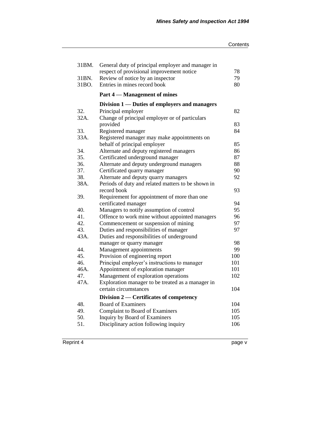#### **Contents**

| 79<br>Review of notice by an inspector<br>31BN.<br>80<br>31BO.<br>Entries in mines record book<br>Part 4 — Management of mines<br>Division 1 — Duties of employers and managers<br>32.<br>82<br>Principal employer<br>32A.<br>Change of principal employer or of particulars<br>provided<br>83<br>33.<br>84<br>Registered manager<br>Registered manager may make appointments on<br>33A.<br>behalf of principal employer<br>85<br>86<br>34.<br>Alternate and deputy registered managers<br>35.<br>87<br>Certificated underground manager<br>88<br>36.<br>Alternate and deputy underground managers<br>37.<br>90<br>Certificated quarry manager<br>38.<br>Alternate and deputy quarry managers<br>92<br>38A.<br>Periods of duty and related matters to be shown in<br>record book<br>93<br>Requirement for appointment of more than one<br>39.<br>certificated manager<br>94<br>95<br>40.<br>Managers to notify assumption of control<br>41.<br>Offence to work mine without appointed managers<br>96<br>42.<br>Commencement or suspension of mining<br>97<br>Duties and responsibilities of manager<br>97<br>43.<br>43A.<br>Duties and responsibilities of underground<br>98<br>manager or quarry manager<br>99<br>44.<br>Management appointments<br>45.<br>Provision of engineering report<br>100<br>Principal employer's instructions to manager<br>101<br>46.<br>46A.<br>Appointment of exploration manager<br>101<br>47.<br>Management of exploration operations<br>102<br>Exploration manager to be treated as a manager in<br>47A.<br>certain circumstances<br>104<br>Division $2$ — Certificates of competency<br>48.<br><b>Board of Examiners</b><br>104<br>49.<br><b>Complaint to Board of Examiners</b><br>105<br>50.<br>Inquiry by Board of Examiners<br>105<br>Disciplinary action following inquiry<br>106<br>51. | 31BM. | General duty of principal employer and manager in<br>respect of provisional improvement notice | 78 |
|--------------------------------------------------------------------------------------------------------------------------------------------------------------------------------------------------------------------------------------------------------------------------------------------------------------------------------------------------------------------------------------------------------------------------------------------------------------------------------------------------------------------------------------------------------------------------------------------------------------------------------------------------------------------------------------------------------------------------------------------------------------------------------------------------------------------------------------------------------------------------------------------------------------------------------------------------------------------------------------------------------------------------------------------------------------------------------------------------------------------------------------------------------------------------------------------------------------------------------------------------------------------------------------------------------------------------------------------------------------------------------------------------------------------------------------------------------------------------------------------------------------------------------------------------------------------------------------------------------------------------------------------------------------------------------------------------------------------------------------------------------------------------------------------------------------------------------|-------|------------------------------------------------------------------------------------------------|----|
|                                                                                                                                                                                                                                                                                                                                                                                                                                                                                                                                                                                                                                                                                                                                                                                                                                                                                                                                                                                                                                                                                                                                                                                                                                                                                                                                                                                                                                                                                                                                                                                                                                                                                                                                                                                                                                |       |                                                                                                |    |
|                                                                                                                                                                                                                                                                                                                                                                                                                                                                                                                                                                                                                                                                                                                                                                                                                                                                                                                                                                                                                                                                                                                                                                                                                                                                                                                                                                                                                                                                                                                                                                                                                                                                                                                                                                                                                                |       |                                                                                                |    |
|                                                                                                                                                                                                                                                                                                                                                                                                                                                                                                                                                                                                                                                                                                                                                                                                                                                                                                                                                                                                                                                                                                                                                                                                                                                                                                                                                                                                                                                                                                                                                                                                                                                                                                                                                                                                                                |       |                                                                                                |    |
|                                                                                                                                                                                                                                                                                                                                                                                                                                                                                                                                                                                                                                                                                                                                                                                                                                                                                                                                                                                                                                                                                                                                                                                                                                                                                                                                                                                                                                                                                                                                                                                                                                                                                                                                                                                                                                |       |                                                                                                |    |
|                                                                                                                                                                                                                                                                                                                                                                                                                                                                                                                                                                                                                                                                                                                                                                                                                                                                                                                                                                                                                                                                                                                                                                                                                                                                                                                                                                                                                                                                                                                                                                                                                                                                                                                                                                                                                                |       |                                                                                                |    |
|                                                                                                                                                                                                                                                                                                                                                                                                                                                                                                                                                                                                                                                                                                                                                                                                                                                                                                                                                                                                                                                                                                                                                                                                                                                                                                                                                                                                                                                                                                                                                                                                                                                                                                                                                                                                                                |       |                                                                                                |    |
|                                                                                                                                                                                                                                                                                                                                                                                                                                                                                                                                                                                                                                                                                                                                                                                                                                                                                                                                                                                                                                                                                                                                                                                                                                                                                                                                                                                                                                                                                                                                                                                                                                                                                                                                                                                                                                |       |                                                                                                |    |
|                                                                                                                                                                                                                                                                                                                                                                                                                                                                                                                                                                                                                                                                                                                                                                                                                                                                                                                                                                                                                                                                                                                                                                                                                                                                                                                                                                                                                                                                                                                                                                                                                                                                                                                                                                                                                                |       |                                                                                                |    |
|                                                                                                                                                                                                                                                                                                                                                                                                                                                                                                                                                                                                                                                                                                                                                                                                                                                                                                                                                                                                                                                                                                                                                                                                                                                                                                                                                                                                                                                                                                                                                                                                                                                                                                                                                                                                                                |       |                                                                                                |    |
|                                                                                                                                                                                                                                                                                                                                                                                                                                                                                                                                                                                                                                                                                                                                                                                                                                                                                                                                                                                                                                                                                                                                                                                                                                                                                                                                                                                                                                                                                                                                                                                                                                                                                                                                                                                                                                |       |                                                                                                |    |
|                                                                                                                                                                                                                                                                                                                                                                                                                                                                                                                                                                                                                                                                                                                                                                                                                                                                                                                                                                                                                                                                                                                                                                                                                                                                                                                                                                                                                                                                                                                                                                                                                                                                                                                                                                                                                                |       |                                                                                                |    |
|                                                                                                                                                                                                                                                                                                                                                                                                                                                                                                                                                                                                                                                                                                                                                                                                                                                                                                                                                                                                                                                                                                                                                                                                                                                                                                                                                                                                                                                                                                                                                                                                                                                                                                                                                                                                                                |       |                                                                                                |    |
|                                                                                                                                                                                                                                                                                                                                                                                                                                                                                                                                                                                                                                                                                                                                                                                                                                                                                                                                                                                                                                                                                                                                                                                                                                                                                                                                                                                                                                                                                                                                                                                                                                                                                                                                                                                                                                |       |                                                                                                |    |
|                                                                                                                                                                                                                                                                                                                                                                                                                                                                                                                                                                                                                                                                                                                                                                                                                                                                                                                                                                                                                                                                                                                                                                                                                                                                                                                                                                                                                                                                                                                                                                                                                                                                                                                                                                                                                                |       |                                                                                                |    |
|                                                                                                                                                                                                                                                                                                                                                                                                                                                                                                                                                                                                                                                                                                                                                                                                                                                                                                                                                                                                                                                                                                                                                                                                                                                                                                                                                                                                                                                                                                                                                                                                                                                                                                                                                                                                                                |       |                                                                                                |    |
|                                                                                                                                                                                                                                                                                                                                                                                                                                                                                                                                                                                                                                                                                                                                                                                                                                                                                                                                                                                                                                                                                                                                                                                                                                                                                                                                                                                                                                                                                                                                                                                                                                                                                                                                                                                                                                |       |                                                                                                |    |
|                                                                                                                                                                                                                                                                                                                                                                                                                                                                                                                                                                                                                                                                                                                                                                                                                                                                                                                                                                                                                                                                                                                                                                                                                                                                                                                                                                                                                                                                                                                                                                                                                                                                                                                                                                                                                                |       |                                                                                                |    |
|                                                                                                                                                                                                                                                                                                                                                                                                                                                                                                                                                                                                                                                                                                                                                                                                                                                                                                                                                                                                                                                                                                                                                                                                                                                                                                                                                                                                                                                                                                                                                                                                                                                                                                                                                                                                                                |       |                                                                                                |    |
|                                                                                                                                                                                                                                                                                                                                                                                                                                                                                                                                                                                                                                                                                                                                                                                                                                                                                                                                                                                                                                                                                                                                                                                                                                                                                                                                                                                                                                                                                                                                                                                                                                                                                                                                                                                                                                |       |                                                                                                |    |
|                                                                                                                                                                                                                                                                                                                                                                                                                                                                                                                                                                                                                                                                                                                                                                                                                                                                                                                                                                                                                                                                                                                                                                                                                                                                                                                                                                                                                                                                                                                                                                                                                                                                                                                                                                                                                                |       |                                                                                                |    |
|                                                                                                                                                                                                                                                                                                                                                                                                                                                                                                                                                                                                                                                                                                                                                                                                                                                                                                                                                                                                                                                                                                                                                                                                                                                                                                                                                                                                                                                                                                                                                                                                                                                                                                                                                                                                                                |       |                                                                                                |    |
|                                                                                                                                                                                                                                                                                                                                                                                                                                                                                                                                                                                                                                                                                                                                                                                                                                                                                                                                                                                                                                                                                                                                                                                                                                                                                                                                                                                                                                                                                                                                                                                                                                                                                                                                                                                                                                |       |                                                                                                |    |
|                                                                                                                                                                                                                                                                                                                                                                                                                                                                                                                                                                                                                                                                                                                                                                                                                                                                                                                                                                                                                                                                                                                                                                                                                                                                                                                                                                                                                                                                                                                                                                                                                                                                                                                                                                                                                                |       |                                                                                                |    |
|                                                                                                                                                                                                                                                                                                                                                                                                                                                                                                                                                                                                                                                                                                                                                                                                                                                                                                                                                                                                                                                                                                                                                                                                                                                                                                                                                                                                                                                                                                                                                                                                                                                                                                                                                                                                                                |       |                                                                                                |    |
|                                                                                                                                                                                                                                                                                                                                                                                                                                                                                                                                                                                                                                                                                                                                                                                                                                                                                                                                                                                                                                                                                                                                                                                                                                                                                                                                                                                                                                                                                                                                                                                                                                                                                                                                                                                                                                |       |                                                                                                |    |
|                                                                                                                                                                                                                                                                                                                                                                                                                                                                                                                                                                                                                                                                                                                                                                                                                                                                                                                                                                                                                                                                                                                                                                                                                                                                                                                                                                                                                                                                                                                                                                                                                                                                                                                                                                                                                                |       |                                                                                                |    |
|                                                                                                                                                                                                                                                                                                                                                                                                                                                                                                                                                                                                                                                                                                                                                                                                                                                                                                                                                                                                                                                                                                                                                                                                                                                                                                                                                                                                                                                                                                                                                                                                                                                                                                                                                                                                                                |       |                                                                                                |    |
|                                                                                                                                                                                                                                                                                                                                                                                                                                                                                                                                                                                                                                                                                                                                                                                                                                                                                                                                                                                                                                                                                                                                                                                                                                                                                                                                                                                                                                                                                                                                                                                                                                                                                                                                                                                                                                |       |                                                                                                |    |
|                                                                                                                                                                                                                                                                                                                                                                                                                                                                                                                                                                                                                                                                                                                                                                                                                                                                                                                                                                                                                                                                                                                                                                                                                                                                                                                                                                                                                                                                                                                                                                                                                                                                                                                                                                                                                                |       |                                                                                                |    |
|                                                                                                                                                                                                                                                                                                                                                                                                                                                                                                                                                                                                                                                                                                                                                                                                                                                                                                                                                                                                                                                                                                                                                                                                                                                                                                                                                                                                                                                                                                                                                                                                                                                                                                                                                                                                                                |       |                                                                                                |    |
|                                                                                                                                                                                                                                                                                                                                                                                                                                                                                                                                                                                                                                                                                                                                                                                                                                                                                                                                                                                                                                                                                                                                                                                                                                                                                                                                                                                                                                                                                                                                                                                                                                                                                                                                                                                                                                |       |                                                                                                |    |
|                                                                                                                                                                                                                                                                                                                                                                                                                                                                                                                                                                                                                                                                                                                                                                                                                                                                                                                                                                                                                                                                                                                                                                                                                                                                                                                                                                                                                                                                                                                                                                                                                                                                                                                                                                                                                                |       |                                                                                                |    |
|                                                                                                                                                                                                                                                                                                                                                                                                                                                                                                                                                                                                                                                                                                                                                                                                                                                                                                                                                                                                                                                                                                                                                                                                                                                                                                                                                                                                                                                                                                                                                                                                                                                                                                                                                                                                                                |       |                                                                                                |    |
|                                                                                                                                                                                                                                                                                                                                                                                                                                                                                                                                                                                                                                                                                                                                                                                                                                                                                                                                                                                                                                                                                                                                                                                                                                                                                                                                                                                                                                                                                                                                                                                                                                                                                                                                                                                                                                |       |                                                                                                |    |
|                                                                                                                                                                                                                                                                                                                                                                                                                                                                                                                                                                                                                                                                                                                                                                                                                                                                                                                                                                                                                                                                                                                                                                                                                                                                                                                                                                                                                                                                                                                                                                                                                                                                                                                                                                                                                                |       |                                                                                                |    |
|                                                                                                                                                                                                                                                                                                                                                                                                                                                                                                                                                                                                                                                                                                                                                                                                                                                                                                                                                                                                                                                                                                                                                                                                                                                                                                                                                                                                                                                                                                                                                                                                                                                                                                                                                                                                                                |       |                                                                                                |    |
|                                                                                                                                                                                                                                                                                                                                                                                                                                                                                                                                                                                                                                                                                                                                                                                                                                                                                                                                                                                                                                                                                                                                                                                                                                                                                                                                                                                                                                                                                                                                                                                                                                                                                                                                                                                                                                |       |                                                                                                |    |
|                                                                                                                                                                                                                                                                                                                                                                                                                                                                                                                                                                                                                                                                                                                                                                                                                                                                                                                                                                                                                                                                                                                                                                                                                                                                                                                                                                                                                                                                                                                                                                                                                                                                                                                                                                                                                                |       |                                                                                                |    |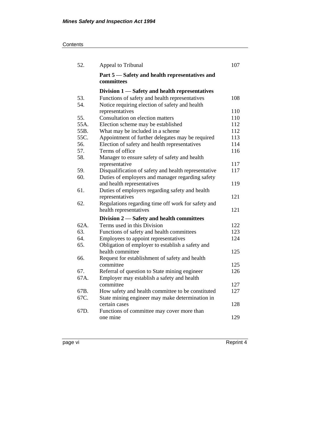## **Contents**

| 52.     | Appeal to Tribunal                                           | 107 |
|---------|--------------------------------------------------------------|-----|
|         | Part 5 — Safety and health representatives and<br>committees |     |
|         | Division 1 — Safety and health representatives               |     |
| 53.     | Functions of safety and health representatives               | 108 |
| 54.     | Notice requiring election of safety and health               |     |
|         | representatives                                              | 110 |
| 55.     | Consultation on election matters                             | 110 |
| 55A.    | Election scheme may be established                           | 112 |
| 55B.    | What may be included in a scheme                             | 112 |
| 55C.    | Appointment of further delegates may be required             | 113 |
| 56.     | Election of safety and health representatives                | 114 |
| 57.     | Terms of office                                              | 116 |
| 58.     | Manager to ensure safety of safety and health                |     |
|         | representative                                               | 117 |
| 59.     | Disqualification of safety and health representative         | 117 |
| 60.     | Duties of employers and manager regarding safety             |     |
|         | and health representatives                                   | 119 |
| 61.     | Duties of employers regarding safety and health              |     |
|         | representatives                                              | 121 |
| 62.     | Regulations regarding time off work for safety and           |     |
|         | health representatives                                       | 121 |
|         | Division 2 — Safety and health committees                    |     |
| $62A$ . | Terms used in this Division                                  | 122 |
| 63.     | Functions of safety and health committees                    | 123 |
| 64.     | Employees to appoint representatives                         | 124 |
| 65.     | Obligation of employer to establish a safety and             |     |
|         | health committee                                             | 125 |
| 66.     | Request for establishment of safety and health               |     |
|         | committee                                                    | 125 |
| 67.     | Referral of question to State mining engineer                | 126 |
| 67A.    | Employer may establish a safety and health                   |     |
|         | committee                                                    | 127 |
| 67B.    | How safety and health committee to be constituted            | 127 |
| 67C.    | State mining engineer may make determination in              |     |
|         | certain cases                                                | 128 |
| 67D.    | Functions of committee may cover more than                   |     |
|         | one mine                                                     | 129 |
|         |                                                              |     |

page vi Reprint 4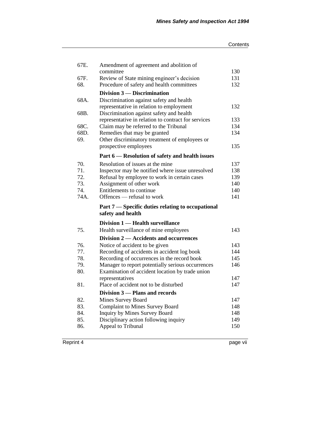| 67E.       | Amendment of agreement and abolition of                                       |            |
|------------|-------------------------------------------------------------------------------|------------|
|            | committee                                                                     | 130        |
| 67F.       | Review of State mining engineer's decision                                    | 131        |
| 68.        | Procedure of safety and health committees                                     | 132        |
|            | Division 3 — Discrimination                                                   |            |
| 68A.       | Discrimination against safety and health                                      |            |
|            | representative in relation to employment                                      | 132        |
| 68B.       | Discrimination against safety and health                                      |            |
|            | representative in relation to contract for services                           | 133        |
| 68C.       | Claim may be referred to the Tribunal                                         | 134        |
| 68D.       | Remedies that may be granted                                                  | 134        |
| 69.        | Other discriminatory treatment of employees or                                |            |
|            | prospective employees                                                         | 135        |
|            | Part 6 – Resolution of safety and health issues                               |            |
| 70.        | Resolution of issues at the mine                                              | 137        |
| 71.        | Inspector may be notified where issue unresolved                              | 138        |
| 72.        | Refusal by employee to work in certain cases                                  | 139        |
| 73.        | Assignment of other work                                                      | 140        |
| 74.        | Entitlements to continue                                                      | 140        |
| 74A.       | Offences — refusal to work                                                    | 141        |
|            |                                                                               |            |
|            |                                                                               |            |
|            | Part 7 — Specific duties relating to occupational<br>safety and health        |            |
|            | Division 1 — Health surveillance                                              |            |
| 75.        | Health surveillance of mine employees                                         | 143        |
|            | Division 2 — Accidents and occurrences                                        |            |
| 76.        |                                                                               | 143        |
| 77.        | Notice of accident to be given<br>Recording of accidents in accident log book | 144        |
| 78.        | Recording of occurrences in the record book                                   | 145        |
| 79.        | Manager to report potentially serious occurrences                             | 146        |
| 80.        | Examination of accident location by trade union                               |            |
|            | representatives                                                               | 147        |
| 81.        | Place of accident not to be disturbed                                         | 147        |
|            | Division 3 – Plans and records                                                |            |
| 82.        | Mines Survey Board                                                            | 147        |
| 83.        | <b>Complaint to Mines Survey Board</b>                                        | 148        |
| 84.        | Inquiry by Mines Survey Board                                                 | 148        |
| 85.<br>86. | Disciplinary action following inquiry<br>Appeal to Tribunal                   | 149<br>150 |

Reprint 4 page vii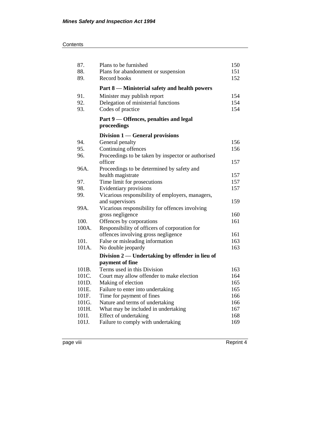| 87.   | Plans to be furnished                              | 150 |
|-------|----------------------------------------------------|-----|
| 88.   | Plans for abandonment or suspension                | 151 |
| 89.   | Record books                                       | 152 |
|       | Part 8 — Ministerial safety and health powers      |     |
| 91.   | Minister may publish report                        | 154 |
| 92.   | Delegation of ministerial functions                | 154 |
| 93.   | Codes of practice                                  | 154 |
|       | Part 9 — Offences, penalties and legal             |     |
|       | proceedings                                        |     |
|       | Division 1 — General provisions                    |     |
| 94.   | General penalty                                    | 156 |
| 95.   | Continuing offences                                | 156 |
| 96.   | Proceedings to be taken by inspector or authorised |     |
|       | officer                                            | 157 |
| 96A.  | Proceedings to be determined by safety and         |     |
|       | health magistrate                                  | 157 |
| 97.   | Time limit for prosecutions                        | 157 |
| 98.   | Evidentiary provisions                             | 157 |
| 99.   | Vicarious responsibility of employers, managers,   |     |
|       | and supervisors                                    | 159 |
| 99A.  | Vicarious responsibility for offences involving    |     |
|       | gross negligence                                   | 160 |
| 100.  | Offences by corporations                           | 161 |
| 100A. | Responsibility of officers of corporation for      |     |
|       | offences involving gross negligence                | 161 |
| 101.  | False or misleading information                    | 163 |
| 101A. | No double jeopardy                                 | 163 |
|       | Division 2 — Undertaking by offender in lieu of    |     |
|       | payment of fine                                    |     |
| 101B. | Terms used in this Division                        | 163 |
| 101C. | Court may allow offender to make election          | 164 |
| 101D. | Making of election                                 | 165 |
| 101E. | Failure to enter into undertaking                  | 165 |
| 101F. | Time for payment of fines                          | 166 |
| 101G. | Nature and terms of undertaking                    | 166 |
| 101H. | What may be included in undertaking                | 167 |
| 101I. | Effect of undertaking                              | 168 |
| 101J. | Failure to comply with undertaking                 | 169 |

page viii Reprint 4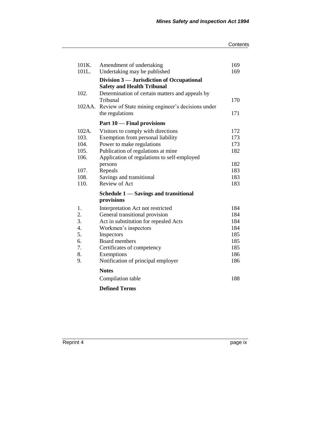#### **Contents**

| 101K.<br>101L.   | Amendment of undertaking<br>Undertaking may be published                       | 169<br>169 |
|------------------|--------------------------------------------------------------------------------|------------|
|                  | Division 3 — Jurisdiction of Occupational<br><b>Safety and Health Tribunal</b> |            |
| 102.             | Determination of certain matters and appeals by                                |            |
|                  | Tribunal                                                                       | 170        |
| 102AA.           | Review of State mining engineer's decisions under                              |            |
|                  | the regulations                                                                | 171        |
|                  | Part 10 — Final provisions                                                     |            |
| 102A.            | Visitors to comply with directions                                             | 172        |
| 103.             | Exemption from personal liability                                              | 173        |
| 104.             | Power to make regulations                                                      | 173        |
| 105.             | Publication of regulations at mine                                             | 182        |
| 106.             | Application of regulations to self-employed                                    |            |
|                  | persons                                                                        | 182        |
| 107.             | Repeals                                                                        | 183        |
| 108.             | Savings and transitional                                                       | 183        |
| 110.             | Review of Act                                                                  | 183        |
|                  | Schedule 1 — Savings and transitional                                          |            |
|                  | provisions                                                                     |            |
| 1.               | Interpretation Act not restricted                                              | 184        |
| 2.               | General transitional provision                                                 | 184        |
| 3.               | Act in substitution for repealed Acts                                          | 184        |
| $\overline{4}$ . | Workmen's inspectors                                                           | 184        |
| 5.               | Inspectors                                                                     | 185        |
| 6.               | Board members                                                                  | 185        |
| 7.               | Certificates of competency                                                     | 185        |
| 8.               | Exemptions                                                                     | 186        |
| 9.               | Notification of principal employer                                             | 186        |
|                  | <b>Notes</b>                                                                   |            |
|                  | Compilation table                                                              | 188        |
|                  | <b>Defined Terms</b>                                                           |            |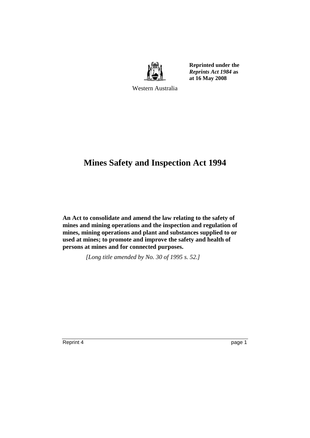

**Reprinted under the**  *Reprints Act 1984* **as at 16 May 2008**

Western Australia

## **Mines Safety and Inspection Act 1994**

**An Act to consolidate and amend the law relating to the safety of mines and mining operations and the inspection and regulation of mines, mining operations and plant and substances supplied to or used at mines; to promote and improve the safety and health of persons at mines and for connected purposes.** 

*[Long title amended by No. 30 of 1995 s. 52.]*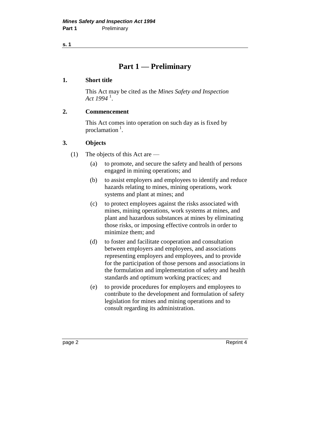**s. 1**

## **Part 1 — Preliminary**

## **1. Short title**

This Act may be cited as the *Mines Safety and Inspection Act 1994* <sup>1</sup> .

## **2. Commencement**

This Act comes into operation on such day as is fixed by proclamation  $<sup>1</sup>$ .</sup>

## **3. Objects**

- (1) The objects of this Act are
	- (a) to promote, and secure the safety and health of persons engaged in mining operations; and
	- (b) to assist employers and employees to identify and reduce hazards relating to mines, mining operations, work systems and plant at mines; and
	- (c) to protect employees against the risks associated with mines, mining operations, work systems at mines, and plant and hazardous substances at mines by eliminating those risks, or imposing effective controls in order to minimize them; and
	- (d) to foster and facilitate cooperation and consultation between employers and employees, and associations representing employers and employees, and to provide for the participation of those persons and associations in the formulation and implementation of safety and health standards and optimum working practices; and
	- (e) to provide procedures for employers and employees to contribute to the development and formulation of safety legislation for mines and mining operations and to consult regarding its administration.

page 2 Reprint 4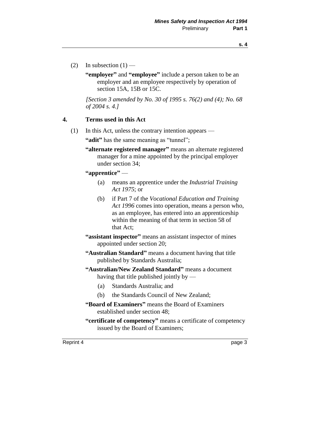- (2) In subsection  $(1)$ 
	- **"employer"** and **"employee"** include a person taken to be an employer and an employee respectively by operation of section 15A, 15B or 15C.

*[Section 3 amended by No. 30 of 1995 s. 76(2) and (4); No. 68 of 2004 s. 4.]* 

## **4. Terms used in this Act**

(1) In this Act, unless the contrary intention appears —

**"adit"** has the same meaning as "tunnel";

**"alternate registered manager"** means an alternate registered manager for a mine appointed by the principal employer under section 34;

**"apprentice"** —

- (a) means an apprentice under the *Industrial Training Act 1975*; or
- (b) if Part 7 of the *Vocational Education and Training Act 1996* comes into operation, means a person who, as an employee, has entered into an apprenticeship within the meaning of that term in section 58 of that Act;
- **"assistant inspector"** means an assistant inspector of mines appointed under section 20;
- **"Australian Standard"** means a document having that title published by Standards Australia;
- **"Australian/New Zealand Standard"** means a document having that title published jointly by  $-$ 
	- (a) Standards Australia; and
	- (b) the Standards Council of New Zealand;
- **"Board of Examiners"** means the Board of Examiners established under section 48;
- **"certificate of competency"** means a certificate of competency issued by the Board of Examiners;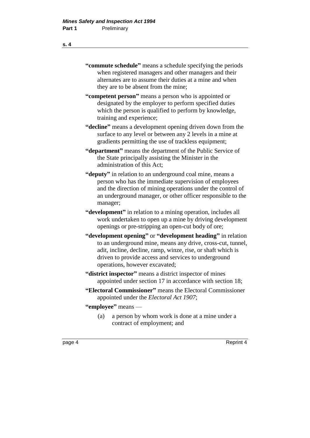## **"commute schedule"** means a schedule specifying the periods when registered managers and other managers and their alternates are to assume their duties at a mine and when they are to be absent from the mine;

- **"competent person"** means a person who is appointed or designated by the employer to perform specified duties which the person is qualified to perform by knowledge, training and experience;
- **"decline"** means a development opening driven down from the surface to any level or between any 2 levels in a mine at gradients permitting the use of trackless equipment;
- **"department"** means the department of the Public Service of the State principally assisting the Minister in the administration of this Act;
- **"deputy"** in relation to an underground coal mine, means a person who has the immediate supervision of employees and the direction of mining operations under the control of an underground manager, or other officer responsible to the manager;
- **"development"** in relation to a mining operation, includes all work undertaken to open up a mine by driving development openings or pre-stripping an open-cut body of ore;
- **"development opening"** or **"development heading"** in relation to an underground mine, means any drive, cross-cut, tunnel, adit, incline, decline, ramp, winze, rise, or shaft which is driven to provide access and services to underground operations, however excavated;
- **"district inspector"** means a district inspector of mines appointed under section 17 in accordance with section 18;
- **"Electoral Commissioner"** means the Electoral Commissioner appointed under the *Electoral Act 1907*;
- **"employee"** means
	- (a) a person by whom work is done at a mine under a contract of employment; and

**s. 4**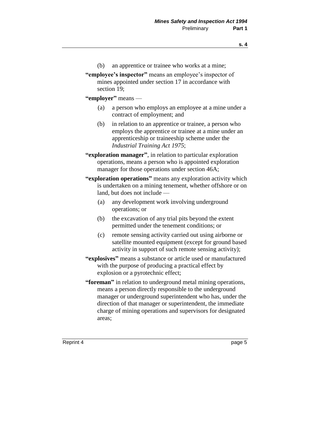- (b) an apprentice or trainee who works at a mine;
- **"employee's inspector"** means an employee's inspector of mines appointed under section 17 in accordance with section 19;
- **"employer"** means
	- (a) a person who employs an employee at a mine under a contract of employment; and
	- (b) in relation to an apprentice or trainee, a person who employs the apprentice or trainee at a mine under an apprenticeship or traineeship scheme under the *Industrial Training Act 1975*;
- **"exploration manager"**, in relation to particular exploration operations, means a person who is appointed exploration manager for those operations under section 46A;
- **"exploration operations"** means any exploration activity which is undertaken on a mining tenement, whether offshore or on land, but does not include —
	- (a) any development work involving underground operations; or
	- (b) the excavation of any trial pits beyond the extent permitted under the tenement conditions; or
	- (c) remote sensing activity carried out using airborne or satellite mounted equipment (except for ground based activity in support of such remote sensing activity);
- **"explosives"** means a substance or article used or manufactured with the purpose of producing a practical effect by explosion or a pyrotechnic effect;
- **"foreman"** in relation to underground metal mining operations, means a person directly responsible to the underground manager or underground superintendent who has, under the direction of that manager or superintendent, the immediate charge of mining operations and supervisors for designated areas;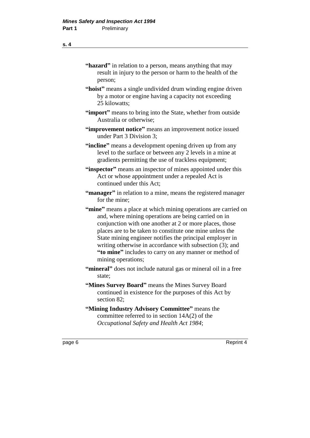#### **s. 4**

| "hazard" in relation to a person, means anything that may                                                                                                                              |
|----------------------------------------------------------------------------------------------------------------------------------------------------------------------------------------|
| result in injury to the person or harm to the health of the<br>person;                                                                                                                 |
| "hoist" means a single undivided drum winding engine driven<br>by a motor or engine having a capacity not exceeding<br>25 kilowatts;                                                   |
| "import" means to bring into the State, whether from outside<br>Australia or otherwise;                                                                                                |
| "improvement notice" means an improvement notice issued<br>under Part 3 Division 3;                                                                                                    |
| "incline" means a development opening driven up from any<br>level to the surface or between any 2 levels in a mine at<br>gradients permitting the use of trackless equipment;          |
| "inspector" means an inspector of mines appointed under this<br>Act or whose appointment under a repealed Act is<br>continued under this Act;                                          |
| "manager" in relation to a mine, means the registered manager<br>for the mine;                                                                                                         |
| "mine" means a place at which mining operations are carried on<br>the contract of the contract of the contract of the contract of the contract of the contract of the contract of<br>. |

and, where mining operations are being carried on in conjunction with one another at 2 or more places, those places are to be taken to constitute one mine unless the State mining engineer notifies the principal employer in writing otherwise in accordance with subsection (3); and **"to mine"** includes to carry on any manner or method of mining operations;

"mineral" does not include natural gas or mineral oil in a free state;

**"Mines Survey Board"** means the Mines Survey Board continued in existence for the purposes of this Act by section 82;

**"Mining Industry Advisory Committee"** means the committee referred to in section 14A(2) of the *Occupational Safety and Health Act 1984*;

page 6 Reprint 4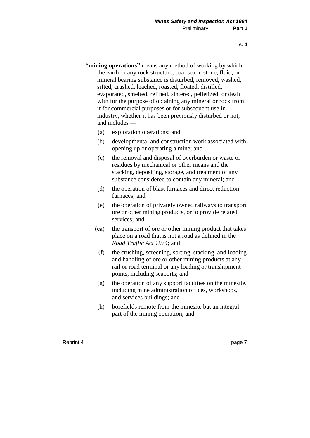- **"mining operations"** means any method of working by which the earth or any rock structure, coal seam, stone, fluid, or mineral bearing substance is disturbed, removed, washed, sifted, crushed, leached, roasted, floated, distilled, evaporated, smelted, refined, sintered, pelletized, or dealt with for the purpose of obtaining any mineral or rock from it for commercial purposes or for subsequent use in industry, whether it has been previously disturbed or not, and includes —
	- (a) exploration operations; and
	- (b) developmental and construction work associated with opening up or operating a mine; and
	- (c) the removal and disposal of overburden or waste or residues by mechanical or other means and the stacking, depositing, storage, and treatment of any substance considered to contain any mineral; and
	- (d) the operation of blast furnaces and direct reduction furnaces; and
	- (e) the operation of privately owned railways to transport ore or other mining products, or to provide related services; and
	- (ea) the transport of ore or other mining product that takes place on a road that is not a road as defined in the *Road Traffic Act 1974*; and
		- (f) the crushing, screening, sorting, stacking, and loading and handling of ore or other mining products at any rail or road terminal or any loading or transhipment points, including seaports; and
	- (g) the operation of any support facilities on the minesite, including mine administration offices, workshops, and services buildings; and
	- (h) borefields remote from the minesite but an integral part of the mining operation; and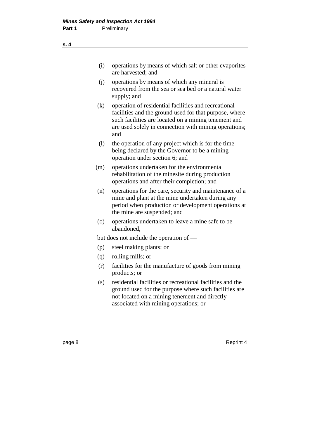| (i) | operations by means of which salt or other evaporities |
|-----|--------------------------------------------------------|
|     | are harvested; and                                     |

- (j) operations by means of which any mineral is recovered from the sea or sea bed or a natural water supply; and
- (k) operation of residential facilities and recreational facilities and the ground used for that purpose, where such facilities are located on a mining tenement and are used solely in connection with mining operations; and
- (l) the operation of any project which is for the time being declared by the Governor to be a mining operation under section 6; and
- (m) operations undertaken for the environmental rehabilitation of the minesite during production operations and after their completion; and
- (n) operations for the care, security and maintenance of a mine and plant at the mine undertaken during any period when production or development operations at the mine are suspended; and
- (o) operations undertaken to leave a mine safe to be abandoned,

but does not include the operation of —

- (p) steel making plants; or
- (q) rolling mills; or
- (r) facilities for the manufacture of goods from mining products; or
- (s) residential facilities or recreational facilities and the ground used for the purpose where such facilities are not located on a mining tenement and directly associated with mining operations; or

page 8 Reprint 4

**s. 4**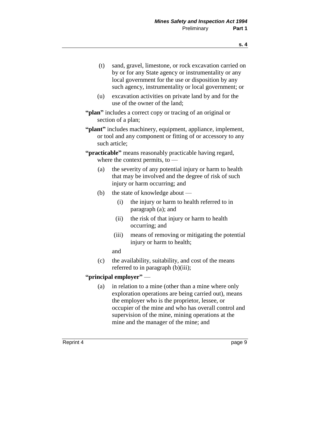- (t) sand, gravel, limestone, or rock excavation carried on by or for any State agency or instrumentality or any local government for the use or disposition by any such agency, instrumentality or local government; or
- (u) excavation activities on private land by and for the use of the owner of the land;
- **"plan"** includes a correct copy or tracing of an original or section of a plan;
- **"plant"** includes machinery, equipment, appliance, implement, or tool and any component or fitting of or accessory to any such article;
- **"practicable"** means reasonably practicable having regard, where the context permits, to —
	- (a) the severity of any potential injury or harm to health that may be involved and the degree of risk of such injury or harm occurring; and
	- (b) the state of knowledge about
		- (i) the injury or harm to health referred to in paragraph (a); and
		- (ii) the risk of that injury or harm to health occurring; and
		- (iii) means of removing or mitigating the potential injury or harm to health;

and

(c) the availability, suitability, and cost of the means referred to in paragraph (b)(iii);

## **"principal employer"** —

(a) in relation to a mine (other than a mine where only exploration operations are being carried out), means the employer who is the proprietor, lessee, or occupier of the mine and who has overall control and supervision of the mine, mining operations at the mine and the manager of the mine; and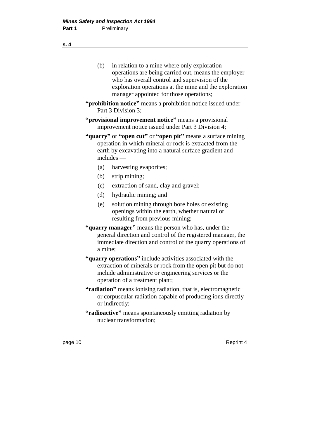- (b) in relation to a mine where only exploration operations are being carried out, means the employer who has overall control and supervision of the exploration operations at the mine and the exploration manager appointed for those operations;
- **"prohibition notice"** means a prohibition notice issued under Part 3 Division 3;
- **"provisional improvement notice"** means a provisional improvement notice issued under Part 3 Division 4;
- **"quarry"** or **"open cut"** or **"open pit"** means a surface mining operation in which mineral or rock is extracted from the earth by excavating into a natural surface gradient and includes —
	- (a) harvesting evaporites;
	- (b) strip mining;
	- (c) extraction of sand, clay and gravel;
	- (d) hydraulic mining; and
	- (e) solution mining through bore holes or existing openings within the earth, whether natural or resulting from previous mining;
- **"quarry manager"** means the person who has, under the general direction and control of the registered manager, the immediate direction and control of the quarry operations of a mine;
- **"quarry operations"** include activities associated with the extraction of minerals or rock from the open pit but do not include administrative or engineering services or the operation of a treatment plant;
- **"radiation"** means ionising radiation, that is, electromagnetic or corpuscular radiation capable of producing ions directly or indirectly;
- **"radioactive"** means spontaneously emitting radiation by nuclear transformation;

**s. 4**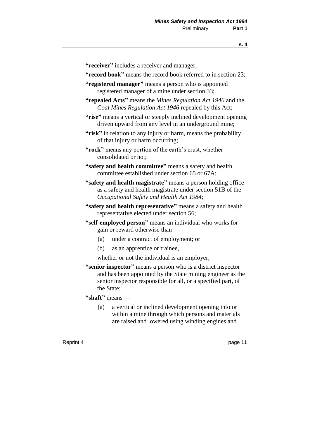- **"receiver"** includes a receiver and manager;
- **"record book"** means the record book referred to in section 23;
- **"registered manager"** means a person who is appointed registered manager of a mine under section 33;
- **"repealed Acts"** means the *Mines Regulation Act 1946* and the *Coal Mines Regulation Act 1946* repealed by this Act;
- **"rise"** means a vertical or steeply inclined development opening driven upward from any level in an underground mine;
- **"risk"** in relation to any injury or harm, means the probability of that injury or harm occurring;
- **"rock"** means any portion of the earth's crust, whether consolidated or not;
- **"safety and health committee"** means a safety and health committee established under section 65 or 67A;
- **"safety and health magistrate"** means a person holding office as a safety and health magistrate under section 51B of the *Occupational Safety and Health Act 1984*;
- **"safety and health representative"** means a safety and health representative elected under section 56;
- **"self-employed person"** means an individual who works for gain or reward otherwise than —
	- (a) under a contract of employment; or
	- (b) as an apprentice or trainee,
	- whether or not the individual is an employer;
- **"senior inspector"** means a person who is a district inspector and has been appointed by the State mining engineer as the senior inspector responsible for all, or a specified part, of the State;
- **"shaft"** means
	- (a) a vertical or inclined development opening into or within a mine through which persons and materials are raised and lowered using winding engines and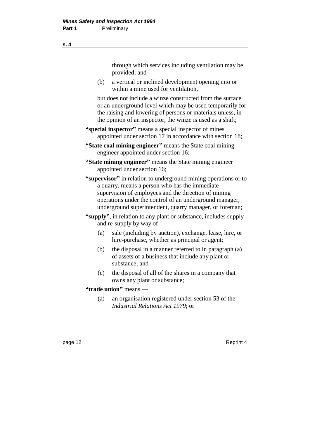through which services including ventilation may be provided; and

(b) a vertical or inclined development opening into or within a mine used for ventilation,

but does not include a winze constructed from the surface or an underground level which may be used temporarily for the raising and lowering of persons or materials unless, in the opinion of an inspector, the winze is used as a shaft;

- **"special inspector"** means a special inspector of mines appointed under section 17 in accordance with section 18;
- **"State coal mining engineer"** means the State coal mining engineer appointed under section 16;
- **"State mining engineer"** means the State mining engineer appointed under section 16;
- **"supervisor"** in relation to underground mining operations or to a quarry, means a person who has the immediate supervision of employees and the direction of mining operations under the control of an underground manager, underground superintendent, quarry manager, or foreman;
- **"supply"**, in relation to any plant or substance, includes supply and re-supply by way of —
	- (a) sale (including by auction), exchange, lease, hire, or hire-purchase, whether as principal or agent;
	- (b) the disposal in a manner referred to in paragraph (a) of assets of a business that include any plant or substance; and
	- (c) the disposal of all of the shares in a company that owns any plant or substance;

## **"trade union"** means —

(a) an organisation registered under section 53 of the *Industrial Relations Act 1979*; or

page 12 Reprint 4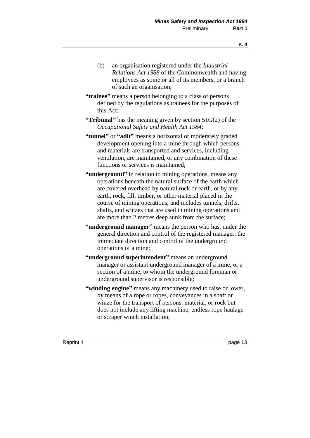- (b) an organisation registered under the *Industrial Relations Act 1988* of the Commonwealth and having employees as some or all of its members, or a branch of such an organisation;
- **"trainee"** means a person belonging to a class of persons defined by the regulations as trainees for the purposes of this Act;
- **"Tribunal"** has the meaning given by section 51G(2) of the *Occupational Safety and Health Act 1984*;
- **"tunnel"** or **"adit"** means a horizontal or moderately graded development opening into a mine through which persons and materials are transported and services, including ventilation, are maintained, or any combination of these functions or services is maintained;
- **"underground"** in relation to mining operations, means any operations beneath the natural surface of the earth which are covered overhead by natural rock or earth, or by any earth, rock, fill, timber, or other material placed in the course of mining operations, and includes tunnels, drifts, shafts, and winzes that are used in mining operations and are more than 2 metres deep sunk from the surface;
- **"underground manager"** means the person who has, under the general direction and control of the registered manager, the immediate direction and control of the underground operations of a mine;
- **"underground superintendent"** means an underground manager or assistant underground manager of a mine, or a section of a mine, to whom the underground foreman or underground supervisor is responsible;
- **"winding engine"** means any machinery used to raise or lower, by means of a rope or ropes, conveyances in a shaft or winze for the transport of persons, material, or rock but does not include any lifting machine, endless rope haulage or scraper winch installation;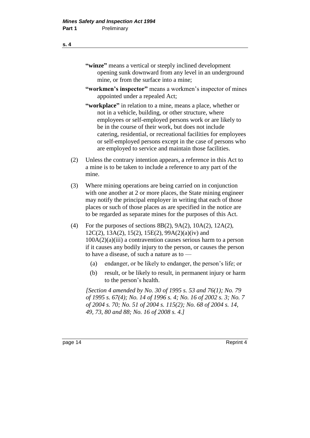## **"winze"** means a vertical or steeply inclined development opening sunk downward from any level in an underground mine, or from the surface into a mine;

- **"workmen's inspector"** means a workmen's inspector of mines appointed under a repealed Act;
- **"workplace"** in relation to a mine, means a place, whether or not in a vehicle, building, or other structure, where employees or self-employed persons work or are likely to be in the course of their work, but does not include catering, residential, or recreational facilities for employees or self-employed persons except in the case of persons who are employed to service and maintain those facilities.
- (2) Unless the contrary intention appears, a reference in this Act to a mine is to be taken to include a reference to any part of the mine.
- (3) Where mining operations are being carried on in conjunction with one another at 2 or more places, the State mining engineer may notify the principal employer in writing that each of those places or such of those places as are specified in the notice are to be regarded as separate mines for the purposes of this Act.
- (4) For the purposes of sections 8B(2), 9A(2), 10A(2), 12A(2), 12C(2), 13A(2), 15(2), 15E(2), 99A(2)(a)(iv) and  $100A(2)(a)(iii)$  a contravention causes serious harm to a person if it causes any bodily injury to the person, or causes the person to have a disease, of such a nature as to —
	- (a) endanger, or be likely to endanger, the person's life; or
	- (b) result, or be likely to result, in permanent injury or harm to the person's health.

*[Section 4 amended by No. 30 of 1995 s. 53 and 76(1); No. 79 of 1995 s. 67(4); No. 14 of 1996 s. 4; No. 16 of 2002 s. 3; No. 7 of 2004 s. 70; No. 51 of 2004 s. 115(2); No. 68 of 2004 s. 14, 49, 73, 80 and 88; No. 16 of 2008 s. 4.]* 

page 14 Reprint 4

#### **s. 4**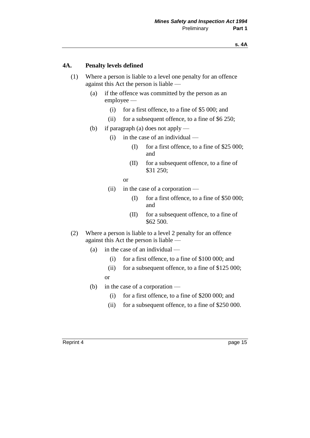## **4A. Penalty levels defined**

- (1) Where a person is liable to a level one penalty for an offence against this Act the person is liable —
	- (a) if the offence was committed by the person as an employee —
		- (i) for a first offence, to a fine of \$5 000; and
		- (ii) for a subsequent offence, to a fine of \$6 250;
	- (b) if paragraph (a) does not apply
		- (i) in the case of an individual
			- (I) for a first offence, to a fine of \$25 000; and
			- (II) for a subsequent offence, to a fine of \$31 250;
			- or
		- (ii) in the case of a corporation
			- (I) for a first offence, to a fine of \$50 000; and
			- (II) for a subsequent offence, to a fine of \$62 500.
- (2) Where a person is liable to a level 2 penalty for an offence against this Act the person is liable —
	- (a) in the case of an individual
		- (i) for a first offence, to a fine of \$100 000; and
		- (ii) for a subsequent offence, to a fine of \$125 000;
		- or
	- (b) in the case of a corporation
		- (i) for a first offence, to a fine of \$200 000; and
		- (ii) for a subsequent offence, to a fine of \$250 000.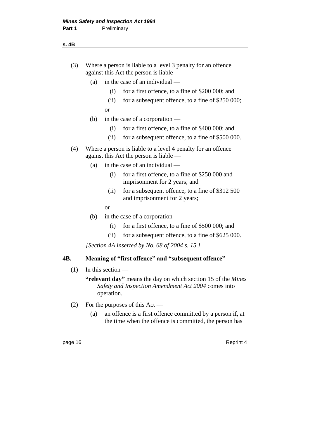### **s. 4B**

- (3) Where a person is liable to a level 3 penalty for an offence against this Act the person is liable —
	- (a) in the case of an individual
		- (i) for a first offence, to a fine of \$200 000; and
		- (ii) for a subsequent offence, to a fine of \$250 000; or
	- (b) in the case of a corporation
		- (i) for a first offence, to a fine of \$400 000; and
		- (ii) for a subsequent offence, to a fine of \$500 000.
- (4) Where a person is liable to a level 4 penalty for an offence against this Act the person is liable —
	- (a) in the case of an individual
		- (i) for a first offence, to a fine of \$250 000 and imprisonment for 2 years; and
		- (ii) for a subsequent offence, to a fine of \$312 500 and imprisonment for 2 years;
		- or
	- (b) in the case of a corporation
		- (i) for a first offence, to a fine of \$500 000; and
		- (ii) for a subsequent offence, to a fine of \$625 000.

*[Section 4A inserted by No. 68 of 2004 s. 15.]*

## **4B. Meaning of "first offence" and "subsequent offence"**

## $(1)$  In this section —

- **"relevant day"** means the day on which section 15 of the *Mines Safety and Inspection Amendment Act 2004* comes into operation.
- (2) For the purposes of this Act
	- (a) an offence is a first offence committed by a person if, at the time when the offence is committed, the person has

page 16 Reprint 4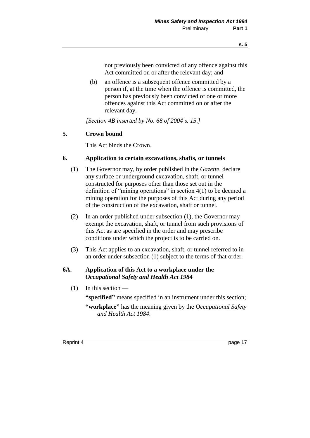not previously been convicted of any offence against this Act committed on or after the relevant day; and

(b) an offence is a subsequent offence committed by a person if, at the time when the offence is committed, the person has previously been convicted of one or more offences against this Act committed on or after the relevant day.

*[Section 4B inserted by No. 68 of 2004 s. 15.]*

## **5. Crown bound**

This Act binds the Crown.

## **6. Application to certain excavations, shafts, or tunnels**

- (1) The Governor may, by order published in the *Gazette,* declare any surface or underground excavation, shaft, or tunnel constructed for purposes other than those set out in the definition of "mining operations" in section 4(1) to be deemed a mining operation for the purposes of this Act during any period of the construction of the excavation, shaft or tunnel.
- (2) In an order published under subsection (1), the Governor may exempt the excavation, shaft, or tunnel from such provisions of this Act as are specified in the order and may prescribe conditions under which the project is to be carried on.
- (3) This Act applies to an excavation, shaft, or tunnel referred to in an order under subsection (1) subject to the terms of that order.

## **6A. Application of this Act to a workplace under the**  *Occupational Safety and Health Act 1984*

(1) In this section —

**"specified"** means specified in an instrument under this section;

**"workplace"** has the meaning given by the *Occupational Safety and Health Act 1984*.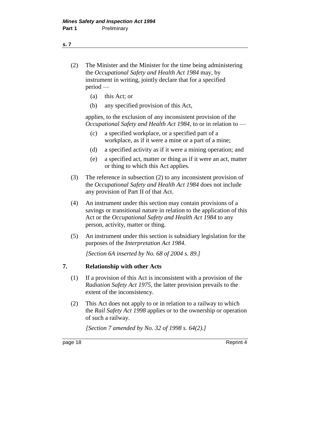## **s. 7**

- (2) The Minister and the Minister for the time being administering the *Occupational Safety and Health Act 1984* may, by instrument in writing, jointly declare that for a specified period —
	- (a) this Act; or
	- (b) any specified provision of this Act,

applies, to the exclusion of any inconsistent provision of the *Occupational Safety and Health Act 1984*, to or in relation to —

- (c) a specified workplace, or a specified part of a workplace, as if it were a mine or a part of a mine;
- (d) a specified activity as if it were a mining operation; and
- (e) a specified act, matter or thing as if it were an act, matter or thing to which this Act applies.
- (3) The reference in subsection (2) to any inconsistent provision of the *Occupational Safety and Health Act 1984* does not include any provision of Part II of that Act.
- (4) An instrument under this section may contain provisions of a savings or transitional nature in relation to the application of this Act or the *Occupational Safety and Health Act 1984* to any person, activity, matter or thing.
- (5) An instrument under this section is subsidiary legislation for the purposes of the *Interpretation Act 1984*.

*[Section 6A inserted by No. 68 of 2004 s. 89.]*

## **7. Relationship with other Acts**

- (1) If a provision of this Act is inconsistent with a provision of the *Radiation Safety Act 1975,* the latter provision prevails to the extent of the inconsistency.
- (2) This Act does not apply to or in relation to a railway to which the *Rail Safety Act 1998* applies or to the ownership or operation of such a railway.

*[Section 7 amended by No. 32 of 1998 s. 64(2).]*

page 18 Reprint 4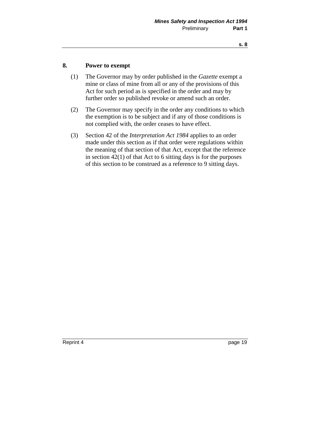## **8. Power to exempt**

- (1) The Governor may by order published in the *Gazette* exempt a mine or class of mine from all or any of the provisions of this Act for such period as is specified in the order and may by further order so published revoke or amend such an order.
- (2) The Governor may specify in the order any conditions to which the exemption is to be subject and if any of those conditions is not complied with, the order ceases to have effect.
- (3) Section 42 of the *Interpretation Act 1984* applies to an order made under this section as if that order were regulations within the meaning of that section of that Act, except that the reference in section  $42(1)$  of that Act to 6 sitting days is for the purposes of this section to be construed as a reference to 9 sitting days.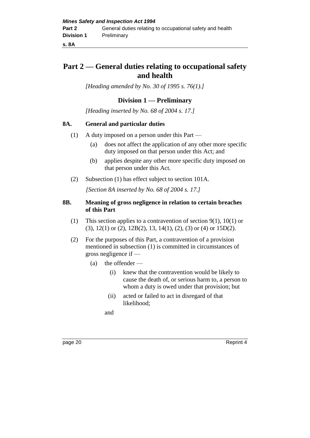**s. 8A**

## **Part 2 — General duties relating to occupational safety and health**

*[Heading amended by No. 30 of 1995 s. 76(1).]* 

## **Division 1 — Preliminary**

*[Heading inserted by No. 68 of 2004 s. 17.]* 

## **8A. General and particular duties**

- (1) A duty imposed on a person under this Part
	- (a) does not affect the application of any other more specific duty imposed on that person under this Act; and
	- (b) applies despite any other more specific duty imposed on that person under this Act.
- (2) Subsection (1) has effect subject to section 101A.

*[Section 8A inserted by No. 68 of 2004 s. 17.]*

## **8B. Meaning of gross negligence in relation to certain breaches of this Part**

- (1) This section applies to a contravention of section 9(1), 10(1) or (3), 12(1) or (2), 12B(2), 13, 14(1), (2), (3) or (4) or 15D(2).
- (2) For the purposes of this Part, a contravention of a provision mentioned in subsection (1) is committed in circumstances of gross negligence if —
	- (a) the offender
		- (i) knew that the contravention would be likely to cause the death of, or serious harm to, a person to whom a duty is owed under that provision; but
		- (ii) acted or failed to act in disregard of that likelihood;

and

page 20 Reprint 4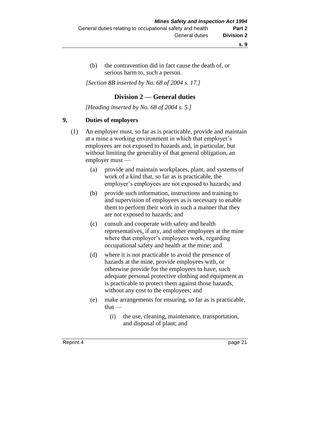(b) the contravention did in fact cause the death of, or serious harm to, such a person.

*[Section 8B inserted by No. 68 of 2004 s. 17.]*

## **Division 2 — General duties**

*[Heading inserted by No. 68 of 2004 s. 5.]* 

## **9. Duties of employers**

- (1) An employer must, so far as is practicable, provide and maintain at a mine a working environment in which that employer's employees are not exposed to hazards and, in particular, but without limiting the generality of that general obligation, an employer must —
	- (a) provide and maintain workplaces, plant, and systems of work of a kind that, so far as is practicable, the employer's employees are not exposed to hazards; and
	- (b) provide such information, instructions and training to and supervision of employees as is necessary to enable them to perform their work in such a manner that they are not exposed to hazards; and
	- (c) consult and cooperate with safety and health representatives, if any, and other employees at the mine where that employer's employees work, regarding occupational safety and health at the mine; and
	- (d) where it is not practicable to avoid the presence of hazards at the mine, provide employees with, or otherwise provide for the employees to have, such adequate personal protective clothing and equipment as is practicable to protect them against those hazards, without any cost to the employees; and
	- (e) make arrangements for ensuring, so far as is practicable,  $that -$ 
		- (i) the use, cleaning, maintenance, transportation, and disposal of plant; and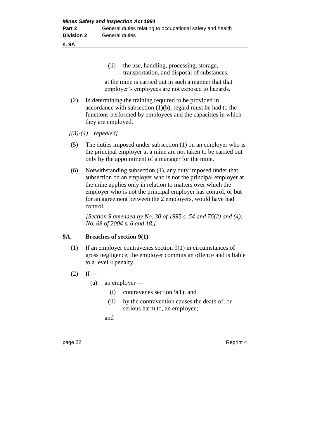**s. 9A**

(ii) the use, handling, processing, storage, transportation, and disposal of substances,

at the mine is carried out in such a manner that that employer's employees are not exposed to hazards.

(2) In determining the training required to be provided in accordance with subsection (1)(b), regard must be had to the functions performed by employees and the capacities in which they are employed.

*[(3)-(4) repealed]*

- (5) The duties imposed under subsection (1) on an employer who is the principal employer at a mine are not taken to be carried out only by the appointment of a manager for the mine.
- (6) Notwithstanding subsection (1), any duty imposed under that subsection on an employer who is not the principal employer at the mine applies only in relation to matters over which the employer who is not the principal employer has control, or but for an agreement between the 2 employers, would have had control.

*[Section 9 amended by No. 30 of 1995 s. 54 and 76(2) and (4); No. 68 of 2004 s. 6 and 18.]* 

## **9A. Breaches of section 9(1)**

- (1) If an employer contravenes section 9(1) in circumstances of gross negligence, the employer commits an offence and is liable to a level 4 penalty.
- $(2)$  If
	- (a) an employer
		- (i) contravenes section 9(1); and
		- (ii) by the contravention causes the death of, or serious harm to, an employee;

and

page 22 Reprint 4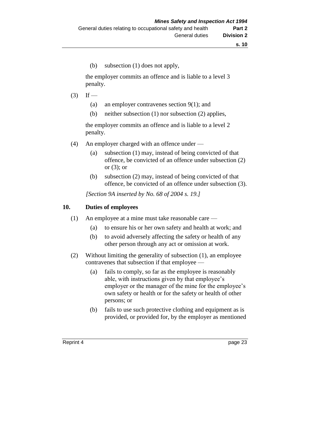(b) subsection (1) does not apply,

the employer commits an offence and is liable to a level 3 penalty.

- $(3)$  If
	- (a) an employer contravenes section 9(1); and
	- (b) neither subsection (1) nor subsection (2) applies,

the employer commits an offence and is liable to a level 2 penalty.

- (4) An employer charged with an offence under
	- (a) subsection (1) may, instead of being convicted of that offence, be convicted of an offence under subsection (2) or (3); or
	- (b) subsection (2) may, instead of being convicted of that offence, be convicted of an offence under subsection (3).

*[Section 9A inserted by No. 68 of 2004 s. 19.]*

#### **10. Duties of employees**

- (1) An employee at a mine must take reasonable care
	- (a) to ensure his or her own safety and health at work; and
	- (b) to avoid adversely affecting the safety or health of any other person through any act or omission at work.
- (2) Without limiting the generality of subsection (1), an employee contravenes that subsection if that employee —
	- (a) fails to comply, so far as the employee is reasonably able, with instructions given by that employee's employer or the manager of the mine for the employee's own safety or health or for the safety or health of other persons; or
	- (b) fails to use such protective clothing and equipment as is provided, or provided for, by the employer as mentioned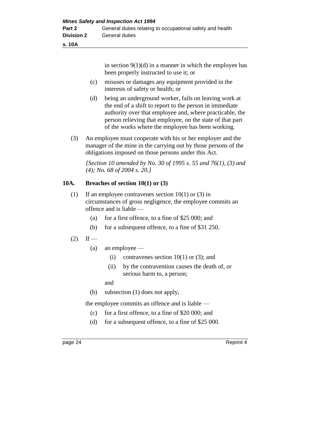in section  $9(1)(d)$  in a manner in which the employee has been properly instructed to use it; or

- (c) misuses or damages any equipment provided in the interests of safety or health; or
- (d) being an underground worker, fails on leaving work at the end of a shift to report to the person in immediate authority over that employee and, where practicable, the person relieving that employee, on the state of that part of the works where the employee has been working.
- (3) An employee must cooperate with his or her employer and the manager of the mine in the carrying out by those persons of the obligations imposed on those persons under this Act.

*[Section 10 amended by No. 30 of 1995 s. 55 and 76(1), (3) and (4); No. 68 of 2004 s. 20.]* 

## **10A. Breaches of section 10(1) or (3)**

- (1) If an employee contravenes section  $10(1)$  or (3) in circumstances of gross negligence, the employee commits an offence and is liable —
	- (a) for a first offence, to a fine of \$25 000; and
	- (b) for a subsequent offence, to a fine of \$31 250.
- $(2)$  If
	- (a) an employee
		- (i) contravenes section  $10(1)$  or (3); and
		- (ii) by the contravention causes the death of, or serious harm to, a person;

and

(b) subsection (1) does not apply,

the employee commits an offence and is liable —

- (c) for a first offence, to a fine of \$20 000; and
- (d) for a subsequent offence, to a fine of \$25 000.

page 24 Reprint 4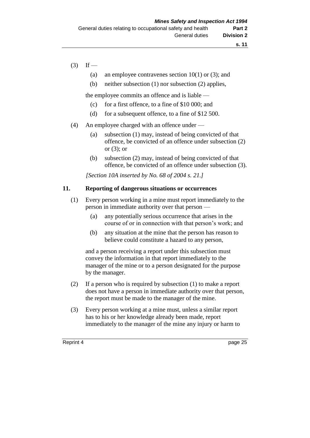# $(3)$  If —

- (a) an employee contravenes section  $10(1)$  or (3); and
- (b) neither subsection (1) nor subsection (2) applies,

the employee commits an offence and is liable —

- (c) for a first offence, to a fine of \$10 000; and
- (d) for a subsequent offence, to a fine of \$12 500.
- (4) An employee charged with an offence under
	- (a) subsection (1) may, instead of being convicted of that offence, be convicted of an offence under subsection (2) or  $(3)$ ; or
	- (b) subsection (2) may, instead of being convicted of that offence, be convicted of an offence under subsection (3).

*[Section 10A inserted by No. 68 of 2004 s. 21.]*

# **11. Reporting of dangerous situations or occurrences**

- (1) Every person working in a mine must report immediately to the person in immediate authority over that person —
	- (a) any potentially serious occurrence that arises in the course of or in connection with that person's work; and
	- (b) any situation at the mine that the person has reason to believe could constitute a hazard to any person,

and a person receiving a report under this subsection must convey the information in that report immediately to the manager of the mine or to a person designated for the purpose by the manager.

- (2) If a person who is required by subsection (1) to make a report does not have a person in immediate authority over that person, the report must be made to the manager of the mine.
- (3) Every person working at a mine must, unless a similar report has to his or her knowledge already been made, report immediately to the manager of the mine any injury or harm to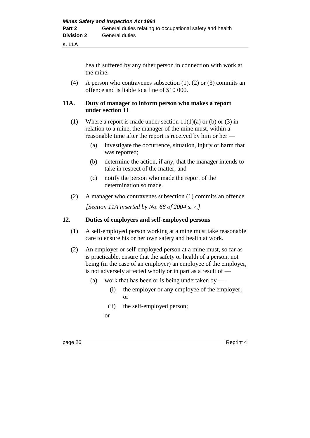**s. 11A**

health suffered by any other person in connection with work at the mine.

(4) A person who contravenes subsection (1), (2) or (3) commits an offence and is liable to a fine of \$10 000.

# **11A. Duty of manager to inform person who makes a report under section 11**

- (1) Where a report is made under section  $11(1)(a)$  or (b) or (3) in relation to a mine, the manager of the mine must, within a reasonable time after the report is received by him or her —
	- (a) investigate the occurrence, situation, injury or harm that was reported;
	- (b) determine the action, if any, that the manager intends to take in respect of the matter; and
	- (c) notify the person who made the report of the determination so made.
- (2) A manager who contravenes subsection (1) commits an offence.

*[Section 11A inserted by No. 68 of 2004 s. 7.]*

### **12. Duties of employers and self-employed persons**

- (1) A self-employed person working at a mine must take reasonable care to ensure his or her own safety and health at work.
- (2) An employer or self-employed person at a mine must, so far as is practicable, ensure that the safety or health of a person, not being (in the case of an employer) an employee of the employer, is not adversely affected wholly or in part as a result of —
	- (a) work that has been or is being undertaken by
		- (i) the employer or any employee of the employer; or
		- (ii) the self-employed person;
		- or

page 26 Reprint 4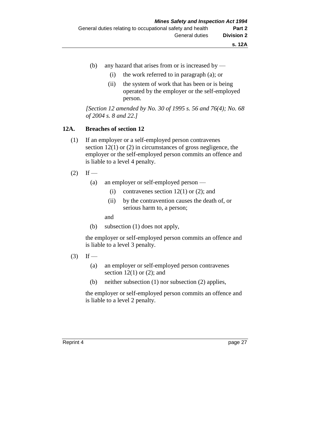- (b) any hazard that arises from or is increased by
	- (i) the work referred to in paragraph (a); or
	- (ii) the system of work that has been or is being operated by the employer or the self-employed person.

*[Section 12 amended by No. 30 of 1995 s. 56 and 76(4); No. 68 of 2004 s. 8 and 22.]* 

### **12A. Breaches of section 12**

- (1) If an employer or a self-employed person contravenes section 12(1) or (2) in circumstances of gross negligence, the employer or the self-employed person commits an offence and is liable to a level 4 penalty.
- $(2)$  If
	- (a) an employer or self-employed person
		- (i) contravenes section  $12(1)$  or  $(2)$ ; and
		- (ii) by the contravention causes the death of, or serious harm to, a person;

and

(b) subsection (1) does not apply,

the employer or self-employed person commits an offence and is liable to a level 3 penalty.

- $(3)$  If
	- (a) an employer or self-employed person contravenes section  $12(1)$  or  $(2)$ ; and
	- (b) neither subsection (1) nor subsection (2) applies,

the employer or self-employed person commits an offence and is liable to a level 2 penalty.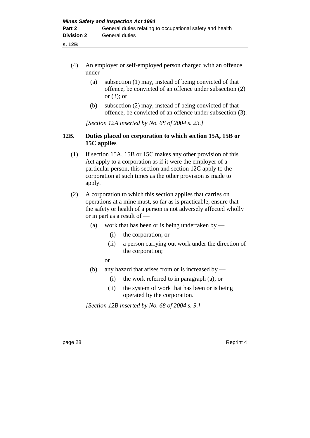- **s. 12B**
	- (4) An employer or self-employed person charged with an offence under —
		- (a) subsection (1) may, instead of being convicted of that offence, be convicted of an offence under subsection (2) or (3); or
		- (b) subsection (2) may, instead of being convicted of that offence, be convicted of an offence under subsection (3).

*[Section 12A inserted by No. 68 of 2004 s. 23.]*

# **12B. Duties placed on corporation to which section 15A, 15B or 15C applies**

- (1) If section 15A, 15B or 15C makes any other provision of this Act apply to a corporation as if it were the employer of a particular person, this section and section 12C apply to the corporation at such times as the other provision is made to apply.
- (2) A corporation to which this section applies that carries on operations at a mine must, so far as is practicable, ensure that the safety or health of a person is not adversely affected wholly or in part as a result of —
	- (a) work that has been or is being undertaken by
		- (i) the corporation; or
		- (ii) a person carrying out work under the direction of the corporation;

or

- (b) any hazard that arises from or is increased by
	- (i) the work referred to in paragraph (a); or
	- (ii) the system of work that has been or is being operated by the corporation.

*[Section 12B inserted by No. 68 of 2004 s. 9.]*

page 28 Reprint 4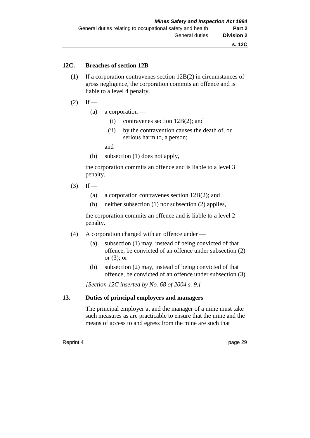#### **12C. Breaches of section 12B**

- (1) If a corporation contravenes section 12B(2) in circumstances of gross negligence, the corporation commits an offence and is liable to a level 4 penalty.
- $(2)$  If
	- (a) a corporation
		- (i) contravenes section 12B(2); and
		- (ii) by the contravention causes the death of, or serious harm to, a person;

and

(b) subsection (1) does not apply,

the corporation commits an offence and is liable to a level 3 penalty.

- $(3)$  If
	- (a) a corporation contravenes section 12B(2); and
	- (b) neither subsection (1) nor subsection (2) applies,

the corporation commits an offence and is liable to a level 2 penalty.

- (4) A corporation charged with an offence under
	- (a) subsection (1) may, instead of being convicted of that offence, be convicted of an offence under subsection (2) or  $(3)$ ; or
	- (b) subsection (2) may, instead of being convicted of that offence, be convicted of an offence under subsection (3).

*[Section 12C inserted by No. 68 of 2004 s. 9.]*

#### **13. Duties of principal employers and managers**

The principal employer at and the manager of a mine must take such measures as are practicable to ensure that the mine and the means of access to and egress from the mine are such that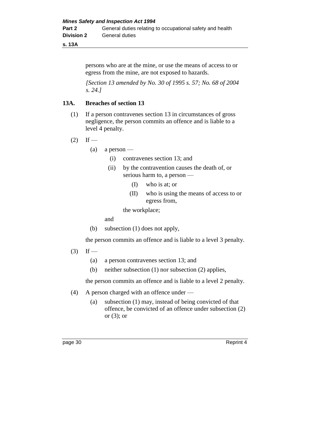#### **s. 13A**

persons who are at the mine, or use the means of access to or egress from the mine, are not exposed to hazards.

*[Section 13 amended by No. 30 of 1995 s. 57; No. 68 of 2004 s. 24.]* 

# **13A. Breaches of section 13**

- (1) If a person contravenes section 13 in circumstances of gross negligence, the person commits an offence and is liable to a level 4 penalty.
- $(2)$  If
	- $(a)$  a person
		- (i) contravenes section 13; and
		- (ii) by the contravention causes the death of, or serious harm to, a person —
			- (I) who is at; or
			- (II) who is using the means of access to or egress from,

the workplace;

and

(b) subsection (1) does not apply,

the person commits an offence and is liable to a level 3 penalty.

- $(3)$  If
	- (a) a person contravenes section 13; and
	- (b) neither subsection (1) nor subsection (2) applies,

the person commits an offence and is liable to a level 2 penalty.

- (4) A person charged with an offence under
	- (a) subsection (1) may, instead of being convicted of that offence, be convicted of an offence under subsection (2) or  $(3)$ ; or

page 30 Reprint 4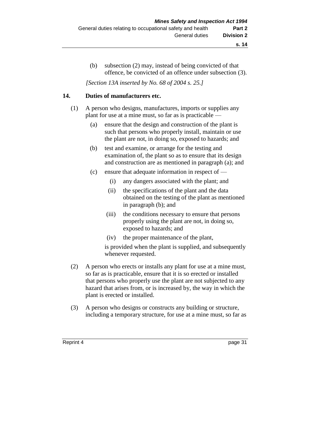(b) subsection (2) may, instead of being convicted of that offence, be convicted of an offence under subsection (3).

*[Section 13A inserted by No. 68 of 2004 s. 25.]*

### **14. Duties of manufacturers etc.**

- (1) A person who designs, manufactures, imports or supplies any plant for use at a mine must, so far as is practicable —
	- (a) ensure that the design and construction of the plant is such that persons who properly install, maintain or use the plant are not, in doing so, exposed to hazards; and
	- (b) test and examine, or arrange for the testing and examination of, the plant so as to ensure that its design and construction are as mentioned in paragraph (a); and
	- (c) ensure that adequate information in respect of
		- (i) any dangers associated with the plant; and
		- (ii) the specifications of the plant and the data obtained on the testing of the plant as mentioned in paragraph (b); and
		- (iii) the conditions necessary to ensure that persons properly using the plant are not, in doing so, exposed to hazards; and
		- (iv) the proper maintenance of the plant,

is provided when the plant is supplied, and subsequently whenever requested.

- (2) A person who erects or installs any plant for use at a mine must, so far as is practicable, ensure that it is so erected or installed that persons who properly use the plant are not subjected to any hazard that arises from, or is increased by, the way in which the plant is erected or installed.
- (3) A person who designs or constructs any building or structure, including a temporary structure, for use at a mine must, so far as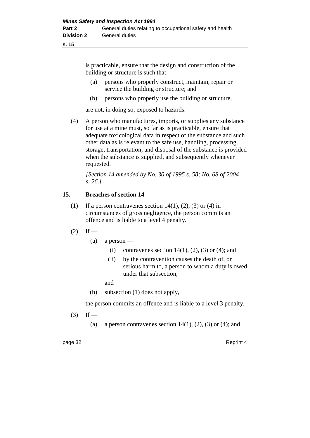is practicable, ensure that the design and construction of the building or structure is such that —

- (a) persons who properly construct, maintain, repair or service the building or structure; and
- (b) persons who properly use the building or structure,

are not, in doing so, exposed to hazards.

(4) A person who manufactures, imports, or supplies any substance for use at a mine must, so far as is practicable, ensure that adequate toxicological data in respect of the substance and such other data as is relevant to the safe use, handling, processing, storage, transportation, and disposal of the substance is provided when the substance is supplied, and subsequently whenever requested.

*[Section 14 amended by No. 30 of 1995 s. 58; No. 68 of 2004 s. 26.]* 

# **15. Breaches of section 14**

- (1) If a person contravenes section  $14(1)$ , (2), (3) or (4) in circumstances of gross negligence, the person commits an offence and is liable to a level 4 penalty.
- $(2)$  If
	- $(a)$  a person
		- (i) contravenes section 14(1), (2), (3) or (4); and
		- (ii) by the contravention causes the death of, or serious harm to, a person to whom a duty is owed under that subsection;

and

(b) subsection (1) does not apply,

the person commits an offence and is liable to a level 3 penalty.

 $(3)$  If —

(a) a person contravenes section  $14(1)$ ,  $(2)$ ,  $(3)$  or  $(4)$ ; and

page 32 Reprint 4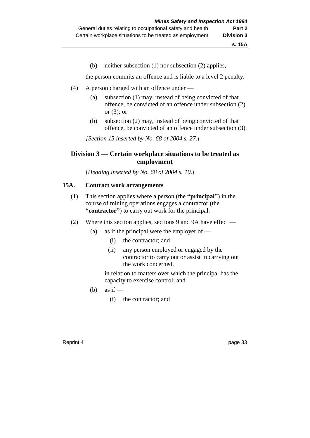(b) neither subsection (1) nor subsection (2) applies,

the person commits an offence and is liable to a level 2 penalty.

- (4) A person charged with an offence under
	- (a) subsection (1) may, instead of being convicted of that offence, be convicted of an offence under subsection (2) or (3); or
	- (b) subsection (2) may, instead of being convicted of that offence, be convicted of an offence under subsection (3).

*[Section 15 inserted by No. 68 of 2004 s. 27.]*

# **Division 3 — Certain workplace situations to be treated as employment**

*[Heading inserted by No. 68 of 2004 s. 10.]* 

# **15A. Contract work arrangements**

- (1) This section applies where a person (the **"principal"**) in the course of mining operations engages a contractor (the **"contractor"**) to carry out work for the principal.
- (2) Where this section applies, sections 9 and 9A have effect
	- (a) as if the principal were the employer of  $-$ 
		- (i) the contractor; and
		- (ii) any person employed or engaged by the contractor to carry out or assist in carrying out the work concerned,

in relation to matters over which the principal has the capacity to exercise control; and

- (b) as if  $-$ 
	- (i) the contractor; and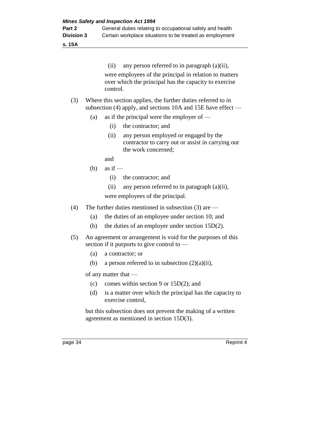**s. 15A**

(ii) any person referred to in paragraph (a)(ii), were employees of the principal in relation to matters over which the principal has the capacity to exercise control.

#### (3) Where this section applies, the further duties referred to in subsection (4) apply, and sections 10A and 15E have effect —

- (a) as if the principal were the employer of  $-$ 
	- (i) the contractor; and
	- (ii) any person employed or engaged by the contractor to carry out or assist in carrying out the work concerned;

and

- (b) as if  $-$ 
	- (i) the contractor; and
	- (ii) any person referred to in paragraph (a)(ii),

were employees of the principal.

- (4) The further duties mentioned in subsection (3) are
	- (a) the duties of an employee under section 10; and
	- (b) the duties of an employer under section 15D(2).
- (5) An agreement or arrangement is void for the purposes of this section if it purports to give control to —
	- (a) a contractor; or
	- (b) a person referred to in subsection  $(2)(a)(ii)$ ,

of any matter that —

- (c) comes within section 9 or 15D(2); and
- (d) is a matter over which the principal has the capacity to exercise control,

but this subsection does not prevent the making of a written agreement as mentioned in section 15D(3).

page 34 Reprint 4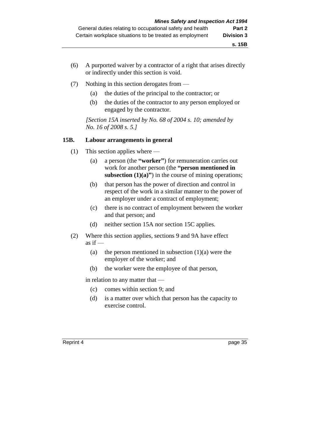- (6) A purported waiver by a contractor of a right that arises directly or indirectly under this section is void.
- (7) Nothing in this section derogates from
	- (a) the duties of the principal to the contractor; or
	- (b) the duties of the contractor to any person employed or engaged by the contractor.

*[Section 15A inserted by No. 68 of 2004 s. 10; amended by No. 16 of 2008 s. 5.]*

#### **15B. Labour arrangements in general**

- (1) This section applies where
	- (a) a person (the **"worker"**) for remuneration carries out work for another person (the **"person mentioned in subsection (1)(a)**") in the course of mining operations;
	- (b) that person has the power of direction and control in respect of the work in a similar manner to the power of an employer under a contract of employment;
	- (c) there is no contract of employment between the worker and that person; and
	- (d) neither section 15A nor section 15C applies.
- (2) Where this section applies, sections 9 and 9A have effect as if  $-$ 
	- (a) the person mentioned in subsection  $(1)(a)$  were the employer of the worker; and
	- (b) the worker were the employee of that person,

in relation to any matter that —

- (c) comes within section 9; and
- (d) is a matter over which that person has the capacity to exercise control.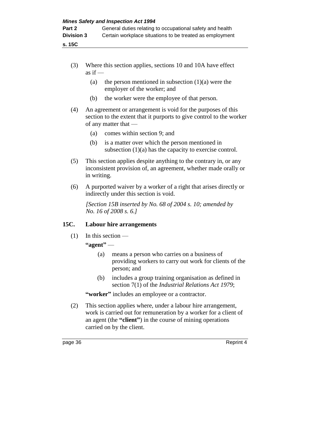- (3) Where this section applies, sections 10 and 10A have effect as if  $-$ 
	- (a) the person mentioned in subsection  $(1)(a)$  were the employer of the worker; and
	- (b) the worker were the employee of that person.
- (4) An agreement or arrangement is void for the purposes of this section to the extent that it purports to give control to the worker of any matter that —
	- (a) comes within section 9; and
	- (b) is a matter over which the person mentioned in subsection (1)(a) has the capacity to exercise control.
- (5) This section applies despite anything to the contrary in, or any inconsistent provision of, an agreement, whether made orally or in writing.
- (6) A purported waiver by a worker of a right that arises directly or indirectly under this section is void.

*[Section 15B inserted by No. 68 of 2004 s. 10; amended by No. 16 of 2008 s. 6.]*

# **15C. Labour hire arrangements**

(1) In this section —

**"agent"** —

- (a) means a person who carries on a business of providing workers to carry out work for clients of the person; and
- (b) includes a group training organisation as defined in section 7(1) of the *Industrial Relations Act 1979*;

**"worker"** includes an employee or a contractor.

(2) This section applies where, under a labour hire arrangement, work is carried out for remuneration by a worker for a client of an agent (the **"client"**) in the course of mining operations carried on by the client.

page 36 Reprint 4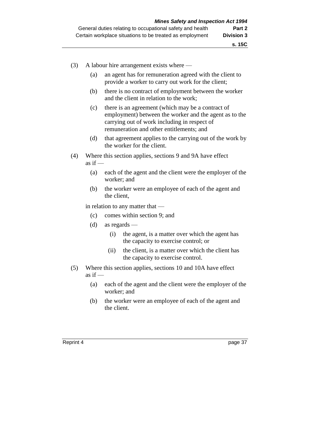- (3) A labour hire arrangement exists where
	- (a) an agent has for remuneration agreed with the client to provide a worker to carry out work for the client;
	- (b) there is no contract of employment between the worker and the client in relation to the work;
	- (c) there is an agreement (which may be a contract of employment) between the worker and the agent as to the carrying out of work including in respect of remuneration and other entitlements; and
	- (d) that agreement applies to the carrying out of the work by the worker for the client.
- (4) Where this section applies, sections 9 and 9A have effect as if  $-$ 
	- (a) each of the agent and the client were the employer of the worker; and
	- (b) the worker were an employee of each of the agent and the client,

in relation to any matter that —

- (c) comes within section 9; and
- (d) as regards
	- (i) the agent, is a matter over which the agent has the capacity to exercise control; or
	- (ii) the client, is a matter over which the client has the capacity to exercise control.
- (5) Where this section applies, sections 10 and 10A have effect as if  $-$ 
	- (a) each of the agent and the client were the employer of the worker; and
	- (b) the worker were an employee of each of the agent and the client.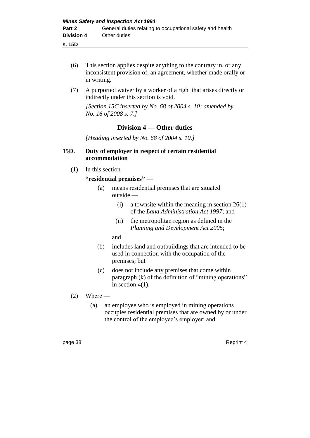**s. 15D**

- (6) This section applies despite anything to the contrary in, or any inconsistent provision of, an agreement, whether made orally or in writing.
- (7) A purported waiver by a worker of a right that arises directly or indirectly under this section is void.

*[Section 15C inserted by No. 68 of 2004 s. 10; amended by No. 16 of 2008 s. 7.]*

# **Division 4 — Other duties**

*[Heading inserted by No. 68 of 2004 s. 10.]* 

### **15D. Duty of employer in respect of certain residential accommodation**

 $(1)$  In this section —

# **"residential premises"** —

- (a) means residential premises that are situated outside —
	- (i) a townsite within the meaning in section  $26(1)$ of the *Land Administration Act 1997*; and
	- (ii) the metropolitan region as defined in the *Planning and Development Act 2005*;

and

- (b) includes land and outbuildings that are intended to be used in connection with the occupation of the premises; but
- (c) does not include any premises that come within paragraph (k) of the definition of "mining operations" in section  $4(1)$ .
- $(2)$  Where
	- (a) an employee who is employed in mining operations occupies residential premises that are owned by or under the control of the employee's employer; and

page 38 Reprint 4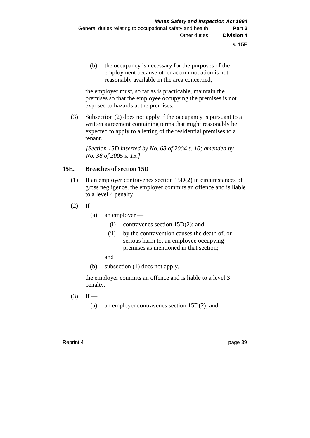(b) the occupancy is necessary for the purposes of the employment because other accommodation is not reasonably available in the area concerned,

the employer must, so far as is practicable, maintain the premises so that the employee occupying the premises is not exposed to hazards at the premises.

(3) Subsection (2) does not apply if the occupancy is pursuant to a written agreement containing terms that might reasonably be expected to apply to a letting of the residential premises to a tenant.

*[Section 15D inserted by No. 68 of 2004 s. 10; amended by No. 38 of 2005 s. 15.]*

# **15E. Breaches of section 15D**

- (1) If an employer contravenes section 15D(2) in circumstances of gross negligence, the employer commits an offence and is liable to a level 4 penalty.
- $(2)$  If
	- (a) an employer
		- (i) contravenes section 15D(2); and
		- (ii) by the contravention causes the death of, or serious harm to, an employee occupying premises as mentioned in that section;
		- and
	- (b) subsection (1) does not apply,

the employer commits an offence and is liable to a level 3 penalty.

- $(3)$  If
	- (a) an employer contravenes section 15D(2); and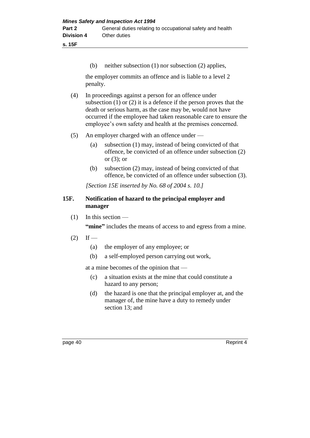**s. 15F**

(b) neither subsection (1) nor subsection (2) applies,

the employer commits an offence and is liable to a level 2 penalty.

- (4) In proceedings against a person for an offence under subsection (1) or (2) it is a defence if the person proves that the death or serious harm, as the case may be, would not have occurred if the employee had taken reasonable care to ensure the employee's own safety and health at the premises concerned.
- (5) An employer charged with an offence under
	- (a) subsection (1) may, instead of being convicted of that offence, be convicted of an offence under subsection (2) or (3); or
	- (b) subsection (2) may, instead of being convicted of that offence, be convicted of an offence under subsection (3).

*[Section 15E inserted by No. 68 of 2004 s. 10.]*

# **15F. Notification of hazard to the principal employer and manager**

 $(1)$  In this section —

**"mine"** includes the means of access to and egress from a mine.

- $(2)$  If
	- (a) the employer of any employee; or
	- (b) a self-employed person carrying out work,

at a mine becomes of the opinion that —

- (c) a situation exists at the mine that could constitute a hazard to any person;
- (d) the hazard is one that the principal employer at, and the manager of, the mine have a duty to remedy under section 13; and

page 40 Reprint 4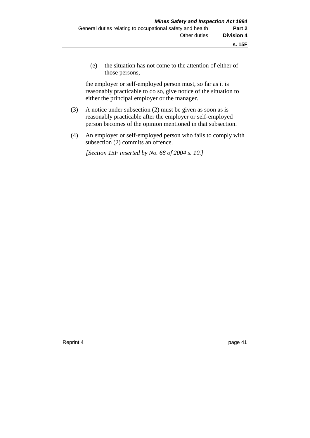(e) the situation has not come to the attention of either of those persons,

the employer or self-employed person must, so far as it is reasonably practicable to do so, give notice of the situation to either the principal employer or the manager.

- (3) A notice under subsection (2) must be given as soon as is reasonably practicable after the employer or self-employed person becomes of the opinion mentioned in that subsection.
- (4) An employer or self-employed person who fails to comply with subsection (2) commits an offence.

*[Section 15F inserted by No. 68 of 2004 s. 10.]*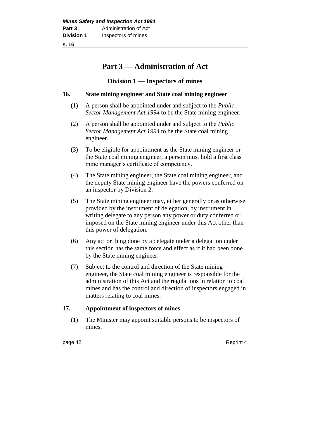**s. 16**

# **Part 3 — Administration of Act**

# **Division 1 — Inspectors of mines**

# **16. State mining engineer and State coal mining engineer**

- (1) A person shall be appointed under and subject to the *Public Sector Management Act 1994* to be the State mining engineer.
- (2) A person shall be appointed under and subject to the *Public Sector Management Act 1994* to be the State coal mining engineer.
- (3) To be eligible for appointment as the State mining engineer or the State coal mining engineer, a person must hold a first class mine manager's certificate of competency.
- (4) The State mining engineer, the State coal mining engineer, and the deputy State mining engineer have the powers conferred on an inspector by Division 2.
- (5) The State mining engineer may, either generally or as otherwise provided by the instrument of delegation, by instrument in writing delegate to any person any power or duty conferred or imposed on the State mining engineer under this Act other than this power of delegation.
- (6) Any act or thing done by a delegate under a delegation under this section has the same force and effect as if it had been done by the State mining engineer.
- (7) Subject to the control and direction of the State mining engineer, the State coal mining engineer is responsible for the administration of this Act and the regulations in relation to coal mines and has the control and direction of inspectors engaged in matters relating to coal mines.

# **17. Appointment of inspectors of mines**

(1) The Minister may appoint suitable persons to be inspectors of mines.

page 42 Reprint 4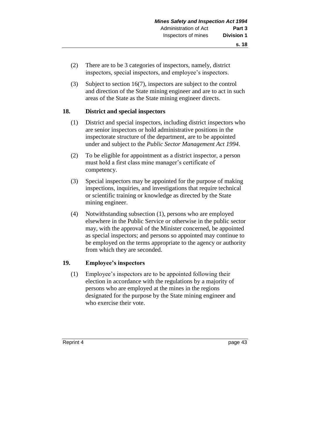- (2) There are to be 3 categories of inspectors, namely, district inspectors, special inspectors, and employee's inspectors.
- (3) Subject to section 16(7), inspectors are subject to the control and direction of the State mining engineer and are to act in such areas of the State as the State mining engineer directs.

# **18. District and special inspectors**

- (1) District and special inspectors, including district inspectors who are senior inspectors or hold administrative positions in the inspectorate structure of the department, are to be appointed under and subject to the *Public Sector Management Act 1994*.
- (2) To be eligible for appointment as a district inspector, a person must hold a first class mine manager's certificate of competency.
- (3) Special inspectors may be appointed for the purpose of making inspections, inquiries, and investigations that require technical or scientific training or knowledge as directed by the State mining engineer.
- (4) Notwithstanding subsection (1), persons who are employed elsewhere in the Public Service or otherwise in the public sector may, with the approval of the Minister concerned, be appointed as special inspectors; and persons so appointed may continue to be employed on the terms appropriate to the agency or authority from which they are seconded.

# **19. Employee's inspectors**

(1) Employee's inspectors are to be appointed following their election in accordance with the regulations by a majority of persons who are employed at the mines in the regions designated for the purpose by the State mining engineer and who exercise their vote.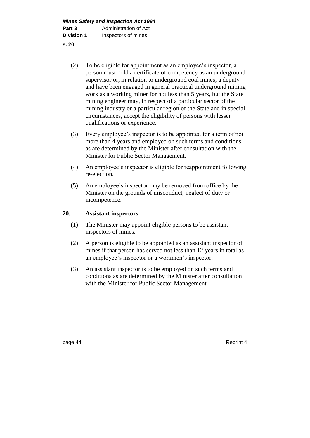- (2) To be eligible for appointment as an employee's inspector, a person must hold a certificate of competency as an underground supervisor or, in relation to underground coal mines, a deputy and have been engaged in general practical underground mining work as a working miner for not less than 5 years, but the State mining engineer may, in respect of a particular sector of the mining industry or a particular region of the State and in special circumstances, accept the eligibility of persons with lesser qualifications or experience.
- (3) Every employee's inspector is to be appointed for a term of not more than 4 years and employed on such terms and conditions as are determined by the Minister after consultation with the Minister for Public Sector Management.
- (4) An employee's inspector is eligible for reappointment following re-election.
- (5) An employee's inspector may be removed from office by the Minister on the grounds of misconduct, neglect of duty or incompetence.

# **20. Assistant inspectors**

- (1) The Minister may appoint eligible persons to be assistant inspectors of mines.
- (2) A person is eligible to be appointed as an assistant inspector of mines if that person has served not less than 12 years in total as an employee's inspector or a workmen's inspector.
- (3) An assistant inspector is to be employed on such terms and conditions as are determined by the Minister after consultation with the Minister for Public Sector Management.

page 44 Reprint 4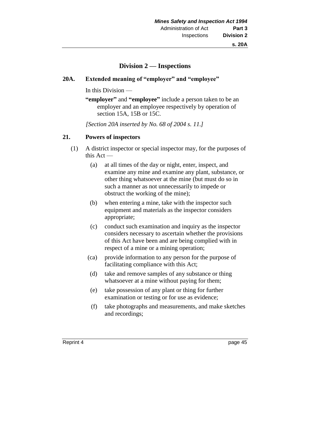# **Division 2 — Inspections**

#### **20A. Extended meaning of "employer" and "employee"**

In this Division —

**"employer"** and **"employee"** include a person taken to be an employer and an employee respectively by operation of section 15A, 15B or 15C.

*[Section 20A inserted by No. 68 of 2004 s. 11.]*

#### **21. Powers of inspectors**

- (1) A district inspector or special inspector may, for the purposes of this Act —
	- (a) at all times of the day or night, enter, inspect, and examine any mine and examine any plant, substance, or other thing whatsoever at the mine (but must do so in such a manner as not unnecessarily to impede or obstruct the working of the mine);
	- (b) when entering a mine, take with the inspector such equipment and materials as the inspector considers appropriate;
	- (c) conduct such examination and inquiry as the inspector considers necessary to ascertain whether the provisions of this Act have been and are being complied with in respect of a mine or a mining operation;
	- (ca) provide information to any person for the purpose of facilitating compliance with this Act;
	- (d) take and remove samples of any substance or thing whatsoever at a mine without paying for them;
	- (e) take possession of any plant or thing for further examination or testing or for use as evidence;
	- (f) take photographs and measurements, and make sketches and recordings;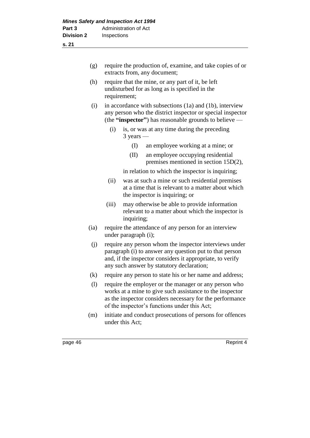| (g)                        |       | require the production of, examine, and take copies of or<br>extracts from, any document;                                                                                                                                     |                                                                                                                                         |  |
|----------------------------|-------|-------------------------------------------------------------------------------------------------------------------------------------------------------------------------------------------------------------------------------|-----------------------------------------------------------------------------------------------------------------------------------------|--|
| (h)                        |       | require that the mine, or any part of it, be left<br>undisturbed for as long as is specified in the<br>requirement;                                                                                                           |                                                                                                                                         |  |
|                            | (i)   | in accordance with subsections (1a) and (1b), interview<br>any person who the district inspector or special inspector<br>(the "inspector") has reasonable grounds to believe $-$                                              |                                                                                                                                         |  |
|                            | (i)   | $3$ years —                                                                                                                                                                                                                   | is, or was at any time during the preceding                                                                                             |  |
|                            |       | (I)                                                                                                                                                                                                                           | an employee working at a mine; or                                                                                                       |  |
|                            |       | (II)                                                                                                                                                                                                                          | an employee occupying residential<br>premises mentioned in section 15D(2),                                                              |  |
|                            |       |                                                                                                                                                                                                                               | in relation to which the inspector is inquiring;                                                                                        |  |
|                            | (ii)  |                                                                                                                                                                                                                               | was at such a mine or such residential premises<br>at a time that is relevant to a matter about which<br>the inspector is inquiring; or |  |
|                            | (iii) | inquiring;                                                                                                                                                                                                                    | may otherwise be able to provide information<br>relevant to a matter about which the inspector is                                       |  |
| (ia)                       |       | require the attendance of any person for an interview<br>under paragraph (i);                                                                                                                                                 |                                                                                                                                         |  |
| (j)                        |       | require any person whom the inspector interviews under<br>paragraph (i) to answer any question put to that person<br>and, if the inspector considers it appropriate, to verify<br>any such answer by statutory declaration;   |                                                                                                                                         |  |
| (k)                        |       | require any person to state his or her name and address;                                                                                                                                                                      |                                                                                                                                         |  |
| $\left( \mathrm{l}\right)$ |       | require the employer or the manager or any person who<br>works at a mine to give such assistance to the inspector<br>as the inspector considers necessary for the performance<br>of the inspector's functions under this Act; |                                                                                                                                         |  |
| (m)                        |       | initiate and conduct prosecutions of persons for offences<br>under this Act;                                                                                                                                                  |                                                                                                                                         |  |
| page 46                    |       |                                                                                                                                                                                                                               | Reprint 4                                                                                                                               |  |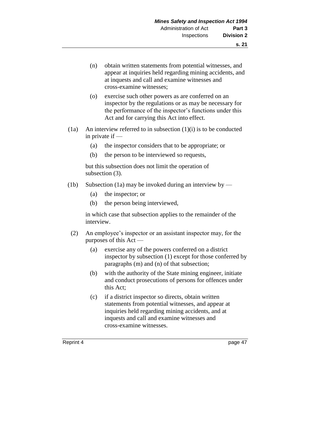- (n) obtain written statements from potential witnesses, and appear at inquiries held regarding mining accidents, and at inquests and call and examine witnesses and cross-examine witnesses;
- (o) exercise such other powers as are conferred on an inspector by the regulations or as may be necessary for the performance of the inspector's functions under this Act and for carrying this Act into effect.
- $(1a)$  An interview referred to in subsection  $(1)(i)$  is to be conducted in private if —
	- (a) the inspector considers that to be appropriate; or
	- (b) the person to be interviewed so requests,

but this subsection does not limit the operation of subsection (3).

- (1b) Subsection (1a) may be invoked during an interview by
	- (a) the inspector; or
	- (b) the person being interviewed,

in which case that subsection applies to the remainder of the interview.

- (2) An employee's inspector or an assistant inspector may, for the purposes of this Act —
	- (a) exercise any of the powers conferred on a district inspector by subsection (1) except for those conferred by paragraphs (m) and (n) of that subsection;
	- (b) with the authority of the State mining engineer, initiate and conduct prosecutions of persons for offences under this Act;
	- (c) if a district inspector so directs, obtain written statements from potential witnesses, and appear at inquiries held regarding mining accidents, and at inquests and call and examine witnesses and cross-examine witnesses.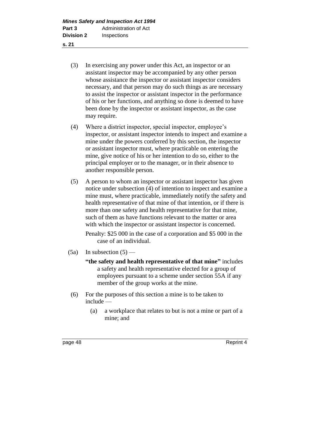**s. 21**

- (3) In exercising any power under this Act, an inspector or an assistant inspector may be accompanied by any other person whose assistance the inspector or assistant inspector considers necessary, and that person may do such things as are necessary to assist the inspector or assistant inspector in the performance of his or her functions, and anything so done is deemed to have been done by the inspector or assistant inspector, as the case may require.
- (4) Where a district inspector, special inspector, employee's inspector, or assistant inspector intends to inspect and examine a mine under the powers conferred by this section, the inspector or assistant inspector must, where practicable on entering the mine, give notice of his or her intention to do so, either to the principal employer or to the manager, or in their absence to another responsible person.
- (5) A person to whom an inspector or assistant inspector has given notice under subsection (4) of intention to inspect and examine a mine must, where practicable, immediately notify the safety and health representative of that mine of that intention, or if there is more than one safety and health representative for that mine, such of them as have functions relevant to the matter or area with which the inspector or assistant inspector is concerned.

Penalty: \$25 000 in the case of a corporation and \$5 000 in the case of an individual.

- $(5a)$  In subsection  $(5)$ 
	- **"the safety and health representative of that mine"** includes a safety and health representative elected for a group of employees pursuant to a scheme under section 55A if any member of the group works at the mine.
- (6) For the purposes of this section a mine is to be taken to include —
	- (a) a workplace that relates to but is not a mine or part of a mine; and

page 48 Reprint 4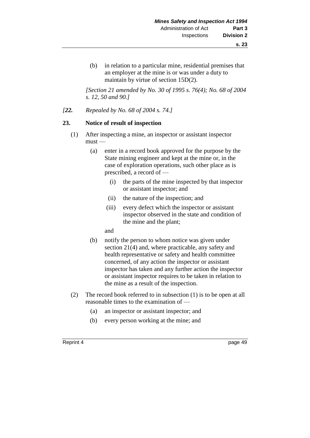(b) in relation to a particular mine, residential premises that an employer at the mine is or was under a duty to maintain by virtue of section 15D(2).

*[Section 21 amended by No. 30 of 1995 s. 76(4); No. 68 of 2004 s. 12, 50 and 90.]* 

*[22. Repealed by No. 68 of 2004 s. 74.]*

#### **23. Notice of result of inspection**

- (1) After inspecting a mine, an inspector or assistant inspector  $must -$ 
	- (a) enter in a record book approved for the purpose by the State mining engineer and kept at the mine or, in the case of exploration operations, such other place as is prescribed, a record of —
		- (i) the parts of the mine inspected by that inspector or assistant inspector; and
		- (ii) the nature of the inspection; and
		- (iii) every defect which the inspector or assistant inspector observed in the state and condition of the mine and the plant;
		- and
	- (b) notify the person to whom notice was given under section 21(4) and, where practicable, any safety and health representative or safety and health committee concerned, of any action the inspector or assistant inspector has taken and any further action the inspector or assistant inspector requires to be taken in relation to the mine as a result of the inspection.
- (2) The record book referred to in subsection (1) is to be open at all reasonable times to the examination of —
	- (a) an inspector or assistant inspector; and
	- (b) every person working at the mine; and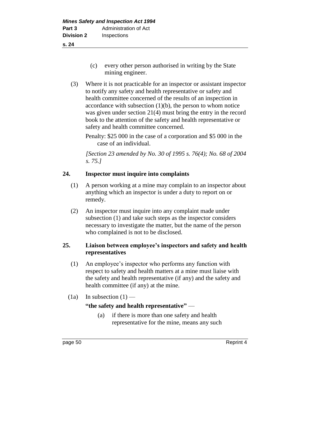- (c) every other person authorised in writing by the State mining engineer.
- (3) Where it is not practicable for an inspector or assistant inspector to notify any safety and health representative or safety and health committee concerned of the results of an inspection in accordance with subsection  $(1)(b)$ , the person to whom notice was given under section 21(4) must bring the entry in the record book to the attention of the safety and health representative or safety and health committee concerned.

Penalty: \$25 000 in the case of a corporation and \$5 000 in the case of an individual.

*[Section 23 amended by No. 30 of 1995 s. 76(4); No. 68 of 2004 s. 75.]* 

# **24. Inspector must inquire into complaints**

- (1) A person working at a mine may complain to an inspector about anything which an inspector is under a duty to report on or remedy.
- (2) An inspector must inquire into any complaint made under subsection (1) and take such steps as the inspector considers necessary to investigate the matter, but the name of the person who complained is not to be disclosed.

# **25. Liaison between employee's inspectors and safety and health representatives**

- (1) An employee's inspector who performs any function with respect to safety and health matters at a mine must liaise with the safety and health representative (if any) and the safety and health committee (if any) at the mine.
- (1a) In subsection  $(1)$  —

#### **"the safety and health representative"** —

(a) if there is more than one safety and health representative for the mine, means any such

page 50 Reprint 4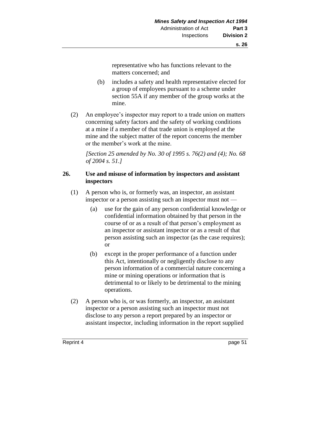representative who has functions relevant to the matters concerned; and

- (b) includes a safety and health representative elected for a group of employees pursuant to a scheme under section 55A if any member of the group works at the mine.
- (2) An employee's inspector may report to a trade union on matters concerning safety factors and the safety of working conditions at a mine if a member of that trade union is employed at the mine and the subject matter of the report concerns the member or the member's work at the mine.

*[Section 25 amended by No. 30 of 1995 s. 76(2) and (4); No. 68 of 2004 s. 51.]* 

# **26. Use and misuse of information by inspectors and assistant inspectors**

- (1) A person who is, or formerly was, an inspector, an assistant inspector or a person assisting such an inspector must not —
	- (a) use for the gain of any person confidential knowledge or confidential information obtained by that person in the course of or as a result of that person's employment as an inspector or assistant inspector or as a result of that person assisting such an inspector (as the case requires); or
	- (b) except in the proper performance of a function under this Act, intentionally or negligently disclose to any person information of a commercial nature concerning a mine or mining operations or information that is detrimental to or likely to be detrimental to the mining operations.
- (2) A person who is, or was formerly, an inspector, an assistant inspector or a person assisting such an inspector must not disclose to any person a report prepared by an inspector or assistant inspector, including information in the report supplied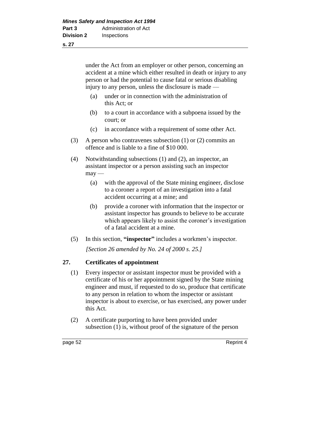under the Act from an employer or other person, concerning an accident at a mine which either resulted in death or injury to any person or had the potential to cause fatal or serious disabling injury to any person, unless the disclosure is made —

- (a) under or in connection with the administration of this Act; or
- (b) to a court in accordance with a subpoena issued by the court; or
- (c) in accordance with a requirement of some other Act.
- (3) A person who contravenes subsection (1) or (2) commits an offence and is liable to a fine of \$10 000.
- (4) Notwithstanding subsections (1) and (2), an inspector, an assistant inspector or a person assisting such an inspector  $may -$ 
	- (a) with the approval of the State mining engineer, disclose to a coroner a report of an investigation into a fatal accident occurring at a mine; and
	- (b) provide a coroner with information that the inspector or assistant inspector has grounds to believe to be accurate which appears likely to assist the coroner's investigation of a fatal accident at a mine.
- (5) In this section, **"inspector"** includes a workmen's inspector.

*[Section 26 amended by No. 24 of 2000 s. 25.]*

# **27. Certificates of appointment**

- (1) Every inspector or assistant inspector must be provided with a certificate of his or her appointment signed by the State mining engineer and must, if requested to do so, produce that certificate to any person in relation to whom the inspector or assistant inspector is about to exercise, or has exercised, any power under this Act.
- (2) A certificate purporting to have been provided under subsection (1) is, without proof of the signature of the person

page 52 Reprint 4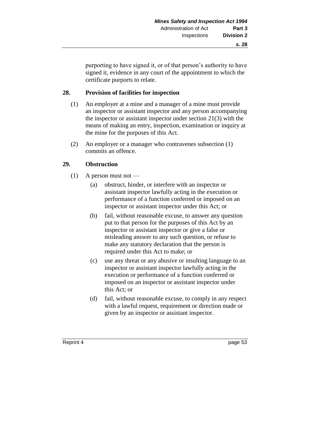purporting to have signed it, or of that person's authority to have signed it, evidence in any court of the appointment to which the certificate purports to relate.

# **28. Provision of facilities for inspection**

- (1) An employer at a mine and a manager of a mine must provide an inspector or assistant inspector and any person accompanying the inspector or assistant inspector under section 21(3) with the means of making an entry, inspection, examination or inquiry at the mine for the purposes of this Act.
- (2) An employer or a manager who contravenes subsection (1) commits an offence.

# **29. Obstruction**

- $(1)$  A person must not
	- (a) obstruct, hinder, or interfere with an inspector or assistant inspector lawfully acting in the execution or performance of a function conferred or imposed on an inspector or assistant inspector under this Act; or
	- (b) fail, without reasonable excuse, to answer any question put to that person for the purposes of this Act by an inspector or assistant inspector or give a false or misleading answer to any such question, or refuse to make any statutory declaration that the person is required under this Act to make; or
	- (c) use any threat or any abusive or insulting language to an inspector or assistant inspector lawfully acting in the execution or performance of a function conferred or imposed on an inspector or assistant inspector under this Act; or
	- (d) fail, without reasonable excuse, to comply in any respect with a lawful request, requirement or direction made or given by an inspector or assistant inspector.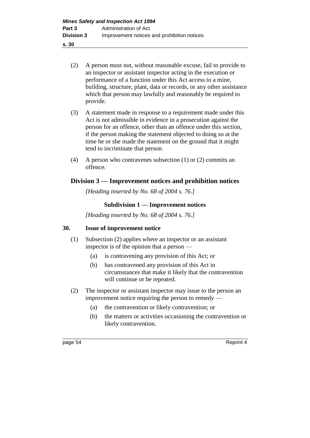- **s. 30**
	- (2) A person must not, without reasonable excuse, fail to provide to an inspector or assistant inspector acting in the execution or performance of a function under this Act access to a mine, building, structure, plant, data or records, or any other assistance which that person may lawfully and reasonably be required to provide.
	- (3) A statement made in response to a requirement made under this Act is not admissible in evidence in a prosecution against the person for an offence, other than an offence under this section, if the person making the statement objected to doing so at the time he or she made the statement on the ground that it might tend to incriminate that person.
	- (4) A person who contravenes subsection (1) or (2) commits an offence.

# **Division 3 — Improvement notices and prohibition notices**

*[Heading inserted by No. 68 of 2004 s. 76.]* 

# **Subdivision 1 — Improvement notices**

*[Heading inserted by No. 68 of 2004 s. 76.]* 

#### **30. Issue of improvement notice**

- (1) Subsection (2) applies where an inspector or an assistant inspector is of the opinion that a person —
	- (a) is contravening any provision of this Act; or
	- (b) has contravened any provision of this Act in circumstances that make it likely that the contravention will continue or be repeated.
- (2) The inspector or assistant inspector may issue to the person an improvement notice requiring the person to remedy —
	- (a) the contravention or likely contravention; or
	- (b) the matters or activities occasioning the contravention or likely contravention.

page 54 Reprint 4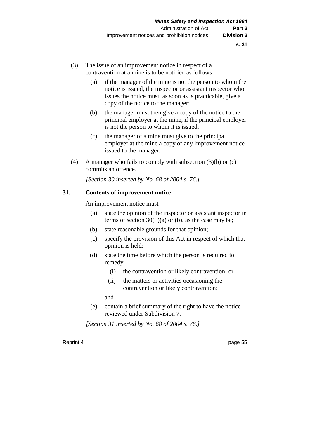- (3) The issue of an improvement notice in respect of a contravention at a mine is to be notified as follows —
	- (a) if the manager of the mine is not the person to whom the notice is issued, the inspector or assistant inspector who issues the notice must, as soon as is practicable, give a copy of the notice to the manager;
	- (b) the manager must then give a copy of the notice to the principal employer at the mine, if the principal employer is not the person to whom it is issued;
	- (c) the manager of a mine must give to the principal employer at the mine a copy of any improvement notice issued to the manager.
- (4) A manager who fails to comply with subsection (3)(b) or (c) commits an offence.

*[Section 30 inserted by No. 68 of 2004 s. 76.]*

#### **31. Contents of improvement notice**

An improvement notice must —

- (a) state the opinion of the inspector or assistant inspector in terms of section  $30(1)(a)$  or (b), as the case may be;
- (b) state reasonable grounds for that opinion;
- (c) specify the provision of this Act in respect of which that opinion is held;
- (d) state the time before which the person is required to remedy —
	- (i) the contravention or likely contravention; or
	- (ii) the matters or activities occasioning the contravention or likely contravention;

and

(e) contain a brief summary of the right to have the notice reviewed under Subdivision 7.

*[Section 31 inserted by No. 68 of 2004 s. 76.]*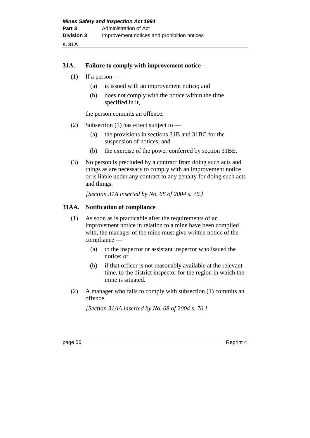#### **31A. Failure to comply with improvement notice**

- (1) If a person
	- (a) is issued with an improvement notice; and
	- (b) does not comply with the notice within the time specified in it,

the person commits an offence.

- (2) Subsection (1) has effect subject to
	- (a) the provisions in sections 31B and 31BC for the suspension of notices; and
	- (b) the exercise of the power conferred by section 31BE.
- (3) No person is precluded by a contract from doing such acts and things as are necessary to comply with an improvement notice or is liable under any contract to any penalty for doing such acts and things.

*[Section 31A inserted by No. 68 of 2004 s. 76.]*

#### **31AA. Notification of compliance**

- (1) As soon as is practicable after the requirements of an improvement notice in relation to a mine have been complied with, the manager of the mine must give written notice of the compliance —
	- (a) to the inspector or assistant inspector who issued the notice; or
	- (b) if that officer is not reasonably available at the relevant time, to the district inspector for the region in which the mine is situated.
- (2) A manager who fails to comply with subsection (1) commits an offence.

*[Section 31AA inserted by No. 68 of 2004 s. 76.]*

page 56 Reprint 4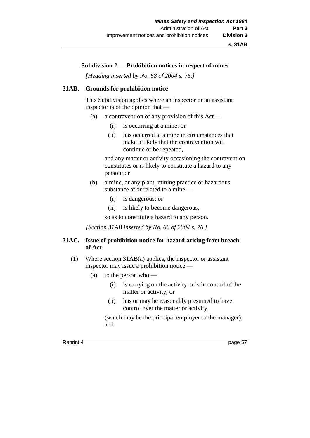#### **Subdivision 2 — Prohibition notices in respect of mines**

*[Heading inserted by No. 68 of 2004 s. 76.]* 

#### **31AB. Grounds for prohibition notice**

This Subdivision applies where an inspector or an assistant inspector is of the opinion that —

- (a) a contravention of any provision of this  $Act -$ 
	- (i) is occurring at a mine; or
	- (ii) has occurred at a mine in circumstances that make it likely that the contravention will continue or be repeated,

and any matter or activity occasioning the contravention constitutes or is likely to constitute a hazard to any person; or

- (b) a mine, or any plant, mining practice or hazardous substance at or related to a mine —
	- (i) is dangerous; or
	- (ii) is likely to become dangerous,

so as to constitute a hazard to any person.

*[Section 31AB inserted by No. 68 of 2004 s. 76.]*

#### **31AC. Issue of prohibition notice for hazard arising from breach of Act**

- (1) Where section 31AB(a) applies, the inspector or assistant inspector may issue a prohibition notice —
	- (a) to the person who
		- (i) is carrying on the activity or is in control of the matter or activity; or
		- (ii) has or may be reasonably presumed to have control over the matter or activity,

(which may be the principal employer or the manager); and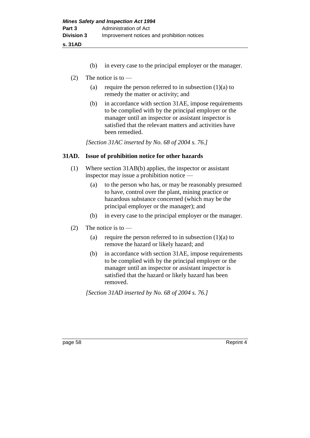**s. 31AD**

- (b) in every case to the principal employer or the manager.
- (2) The notice is to  $-$ 
	- (a) require the person referred to in subsection  $(1)(a)$  to remedy the matter or activity; and
	- (b) in accordance with section 31AE, impose requirements to be complied with by the principal employer or the manager until an inspector or assistant inspector is satisfied that the relevant matters and activities have been remedied.

*[Section 31AC inserted by No. 68 of 2004 s. 76.]*

# **31AD. Issue of prohibition notice for other hazards**

- (1) Where section 31AB(b) applies, the inspector or assistant inspector may issue a prohibition notice —
	- (a) to the person who has, or may be reasonably presumed to have, control over the plant, mining practice or hazardous substance concerned (which may be the principal employer or the manager); and
	- (b) in every case to the principal employer or the manager.
- (2) The notice is to  $-$ 
	- (a) require the person referred to in subsection  $(1)(a)$  to remove the hazard or likely hazard; and
	- (b) in accordance with section 31AE, impose requirements to be complied with by the principal employer or the manager until an inspector or assistant inspector is satisfied that the hazard or likely hazard has been removed.

*[Section 31AD inserted by No. 68 of 2004 s. 76.]*

page 58 Reprint 4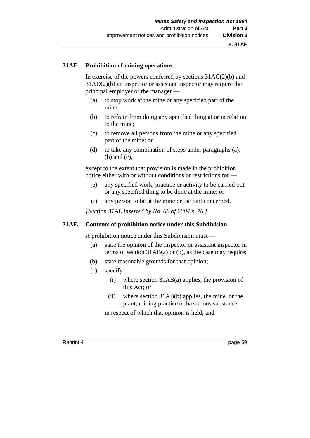#### **31AE. Prohibition of mining operations**

In exercise of the powers conferred by sections  $31AC(2)(b)$  and 31AD(2)(b) an inspector or assistant inspector may require the principal employer or the manager —

- (a) to stop work at the mine or any specified part of the mine;
- (b) to refrain from doing any specified thing at or in relation to the mine;
- (c) to remove all persons from the mine or any specified part of the mine; or
- (d) to take any combination of steps under paragraphs (a), (b) and (c),

except to the extent that provision is made in the prohibition notice either with or without conditions or restrictions for —

- (e) any specified work, practice or activity to be carried out or any specified thing to be done at the mine; or
- (f) any person to be at the mine or the part concerned.

*[Section 31AE inserted by No. 68 of 2004 s. 76.]*

# **31AF. Contents of prohibition notice under this Subdivision**

A prohibition notice under this Subdivision must —

- (a) state the opinion of the inspector or assistant inspector in terms of section 31AB(a) or (b), as the case may require;
- (b) state reasonable grounds for that opinion;
- $(c)$  specify
	- (i) where section 31AB(a) applies, the provision of this Act; or
	- (ii) where section 31AB(b) applies, the mine, or the plant, mining practice or hazardous substance,

in respect of which that opinion is held; and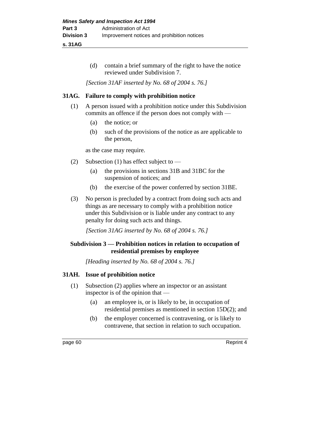**s. 31AG**

(d) contain a brief summary of the right to have the notice reviewed under Subdivision 7.

*[Section 31AF inserted by No. 68 of 2004 s. 76.]*

# **31AG. Failure to comply with prohibition notice**

- (1) A person issued with a prohibition notice under this Subdivision commits an offence if the person does not comply with —
	- (a) the notice; or
	- (b) such of the provisions of the notice as are applicable to the person,

as the case may require.

- (2) Subsection (1) has effect subject to
	- (a) the provisions in sections 31B and 31BC for the suspension of notices; and
	- (b) the exercise of the power conferred by section 31BE.
- (3) No person is precluded by a contract from doing such acts and things as are necessary to comply with a prohibition notice under this Subdivision or is liable under any contract to any penalty for doing such acts and things.

*[Section 31AG inserted by No. 68 of 2004 s. 76.]*

# **Subdivision 3 — Prohibition notices in relation to occupation of residential premises by employee**

*[Heading inserted by No. 68 of 2004 s. 76.]* 

# **31AH. Issue of prohibition notice**

- (1) Subsection (2) applies where an inspector or an assistant inspector is of the opinion that —
	- (a) an employee is, or is likely to be, in occupation of residential premises as mentioned in section 15D(2); and
	- (b) the employer concerned is contravening, or is likely to contravene, that section in relation to such occupation.

page 60 Reprint 4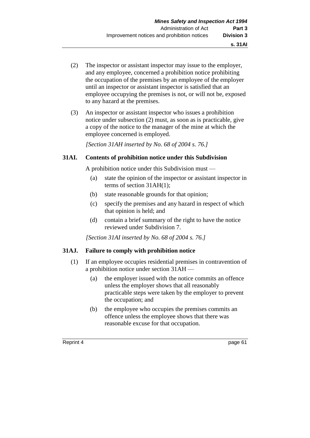- (2) The inspector or assistant inspector may issue to the employer, and any employee, concerned a prohibition notice prohibiting the occupation of the premises by an employee of the employer until an inspector or assistant inspector is satisfied that an employee occupying the premises is not, or will not be, exposed to any hazard at the premises.
- (3) An inspector or assistant inspector who issues a prohibition notice under subsection (2) must, as soon as is practicable, give a copy of the notice to the manager of the mine at which the employee concerned is employed.

*[Section 31AH inserted by No. 68 of 2004 s. 76.]*

### **31AI. Contents of prohibition notice under this Subdivision**

A prohibition notice under this Subdivision must —

- (a) state the opinion of the inspector or assistant inspector in terms of section 31AH(1);
- (b) state reasonable grounds for that opinion;
- (c) specify the premises and any hazard in respect of which that opinion is held; and
- (d) contain a brief summary of the right to have the notice reviewed under Subdivision 7.

*[Section 31AI inserted by No. 68 of 2004 s. 76.]*

#### **31AJ. Failure to comply with prohibition notice**

- (1) If an employee occupies residential premises in contravention of a prohibition notice under section 31AH —
	- (a) the employer issued with the notice commits an offence unless the employer shows that all reasonably practicable steps were taken by the employer to prevent the occupation; and
	- (b) the employee who occupies the premises commits an offence unless the employee shows that there was reasonable excuse for that occupation.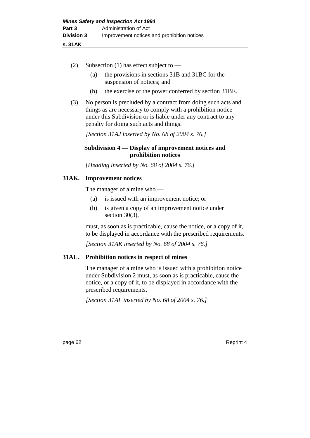- (2) Subsection (1) has effect subject to
	- (a) the provisions in sections 31B and 31BC for the suspension of notices; and
	- (b) the exercise of the power conferred by section 31BE.
- (3) No person is precluded by a contract from doing such acts and things as are necessary to comply with a prohibition notice under this Subdivision or is liable under any contract to any penalty for doing such acts and things.

*[Section 31AJ inserted by No. 68 of 2004 s. 76.]*

## **Subdivision 4 — Display of improvement notices and prohibition notices**

*[Heading inserted by No. 68 of 2004 s. 76.]* 

## **31AK. Improvement notices**

The manager of a mine who —

- (a) is issued with an improvement notice; or
- (b) is given a copy of an improvement notice under section 30(3),

must, as soon as is practicable, cause the notice, or a copy of it, to be displayed in accordance with the prescribed requirements.

*[Section 31AK inserted by No. 68 of 2004 s. 76.]*

## **31AL. Prohibition notices in respect of mines**

The manager of a mine who is issued with a prohibition notice under Subdivision 2 must, as soon as is practicable, cause the notice, or a copy of it, to be displayed in accordance with the prescribed requirements.

*[Section 31AL inserted by No. 68 of 2004 s. 76.]*

page 62 Reprint 4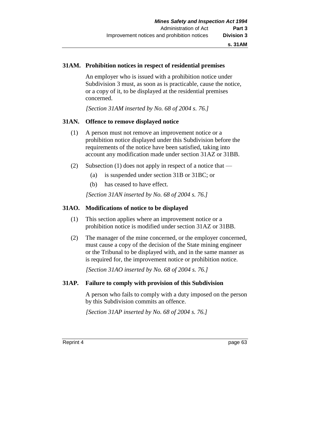## **31AM. Prohibition notices in respect of residential premises**

An employer who is issued with a prohibition notice under Subdivision 3 must, as soon as is practicable, cause the notice, or a copy of it, to be displayed at the residential premises concerned.

*[Section 31AM inserted by No. 68 of 2004 s. 76.]*

## **31AN. Offence to remove displayed notice**

- (1) A person must not remove an improvement notice or a prohibition notice displayed under this Subdivision before the requirements of the notice have been satisfied, taking into account any modification made under section 31AZ or 31BB.
- (2) Subsection (1) does not apply in respect of a notice that
	- (a) is suspended under section 31B or 31BC; or
	- (b) has ceased to have effect.

*[Section 31AN inserted by No. 68 of 2004 s. 76.]*

### **31AO. Modifications of notice to be displayed**

- (1) This section applies where an improvement notice or a prohibition notice is modified under section 31AZ or 31BB.
- (2) The manager of the mine concerned, or the employer concerned, must cause a copy of the decision of the State mining engineer or the Tribunal to be displayed with, and in the same manner as is required for, the improvement notice or prohibition notice.

*[Section 31AO inserted by No. 68 of 2004 s. 76.]*

## **31AP. Failure to comply with provision of this Subdivision**

A person who fails to comply with a duty imposed on the person by this Subdivision commits an offence.

*[Section 31AP inserted by No. 68 of 2004 s. 76.]*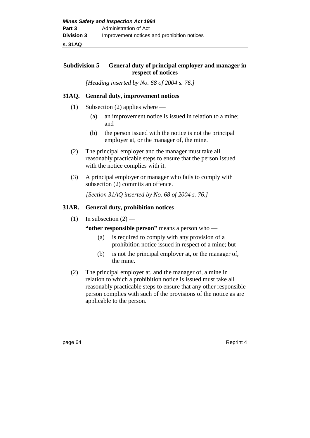## **Subdivision 5 — General duty of principal employer and manager in respect of notices**

*[Heading inserted by No. 68 of 2004 s. 76.]* 

## **31AQ. General duty, improvement notices**

- (1) Subsection (2) applies where
	- (a) an improvement notice is issued in relation to a mine; and
	- (b) the person issued with the notice is not the principal employer at, or the manager of, the mine.
- (2) The principal employer and the manager must take all reasonably practicable steps to ensure that the person issued with the notice complies with it.
- (3) A principal employer or manager who fails to comply with subsection (2) commits an offence.

*[Section 31AQ inserted by No. 68 of 2004 s. 76.]*

### **31AR. General duty, prohibition notices**

(1) In subsection  $(2)$  —

**"other responsible person"** means a person who —

- (a) is required to comply with any provision of a prohibition notice issued in respect of a mine; but
- (b) is not the principal employer at, or the manager of, the mine.
- (2) The principal employer at, and the manager of, a mine in relation to which a prohibition notice is issued must take all reasonably practicable steps to ensure that any other responsible person complies with such of the provisions of the notice as are applicable to the person.

page 64 Reprint 4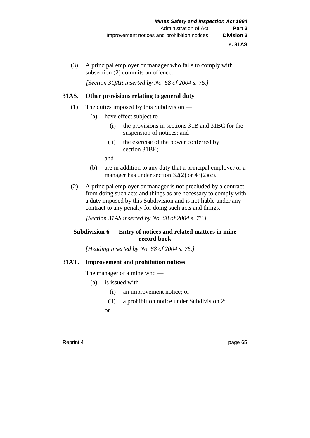(3) A principal employer or manager who fails to comply with subsection (2) commits an offence.

*[Section 3QAR inserted by No. 68 of 2004 s. 76.]*

## **31AS. Other provisions relating to general duty**

- (1) The duties imposed by this Subdivision
	- (a) have effect subject to
		- (i) the provisions in sections 31B and 31BC for the suspension of notices; and
		- (ii) the exercise of the power conferred by section 31BE;

and

- (b) are in addition to any duty that a principal employer or a manager has under section 32(2) or 43(2)(c).
- (2) A principal employer or manager is not precluded by a contract from doing such acts and things as are necessary to comply with a duty imposed by this Subdivision and is not liable under any contract to any penalty for doing such acts and things.

*[Section 31AS inserted by No. 68 of 2004 s. 76.]*

## **Subdivision 6 — Entry of notices and related matters in mine record book**

*[Heading inserted by No. 68 of 2004 s. 76.]* 

## **31AT. Improvement and prohibition notices**

The manager of a mine who —

- (a) is issued with
	- (i) an improvement notice; or
	- (ii) a prohibition notice under Subdivision 2;

or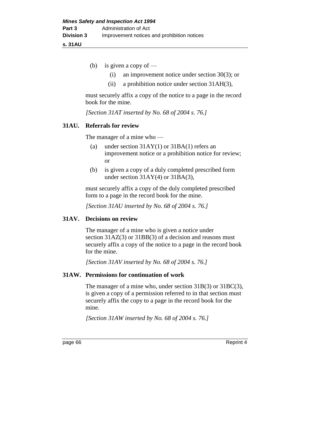**s. 31AU**

- (b) is given a copy of
	- (i) an improvement notice under section 30(3); or
	- (ii) a prohibition notice under section 31AH(3),

must securely affix a copy of the notice to a page in the record book for the mine.

*[Section 31AT inserted by No. 68 of 2004 s. 76.]*

### **31AU. Referrals for review**

The manager of a mine who —

- (a) under section 31AY(1) or 31BA(1) refers an improvement notice or a prohibition notice for review; or
- (b) is given a copy of a duly completed prescribed form under section 31AY(4) or 31BA(3),

must securely affix a copy of the duly completed prescribed form to a page in the record book for the mine.

*[Section 31AU inserted by No. 68 of 2004 s. 76.]*

### **31AV. Decisions on review**

The manager of a mine who is given a notice under section 31AZ(3) or 31BB(3) of a decision and reasons must securely affix a copy of the notice to a page in the record book for the mine.

*[Section 31AV inserted by No. 68 of 2004 s. 76.]*

## **31AW. Permissions for continuation of work**

The manager of a mine who, under section 31B(3) or 31BC(3), is given a copy of a permission referred to in that section must securely affix the copy to a page in the record book for the mine.

*[Section 31AW inserted by No. 68 of 2004 s. 76.]*

page 66 Reprint 4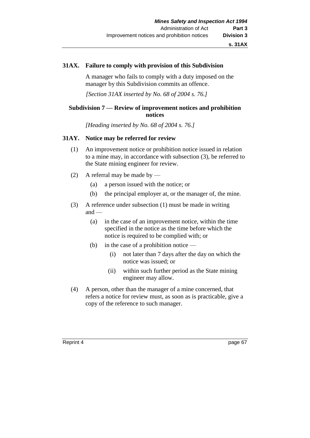### **31AX. Failure to comply with provision of this Subdivision**

A manager who fails to comply with a duty imposed on the manager by this Subdivision commits an offence.

*[Section 31AX inserted by No. 68 of 2004 s. 76.]*

## **Subdivision 7 — Review of improvement notices and prohibition notices**

*[Heading inserted by No. 68 of 2004 s. 76.]* 

## **31AY. Notice may be referred for review**

- (1) An improvement notice or prohibition notice issued in relation to a mine may, in accordance with subsection (3), be referred to the State mining engineer for review.
- (2) A referral may be made by
	- (a) a person issued with the notice; or
	- (b) the principal employer at, or the manager of, the mine.
- (3) A reference under subsection (1) must be made in writing  $and$  —
	- (a) in the case of an improvement notice, within the time specified in the notice as the time before which the notice is required to be complied with; or
	- (b) in the case of a prohibition notice
		- (i) not later than 7 days after the day on which the notice was issued; or
		- (ii) within such further period as the State mining engineer may allow.
- (4) A person, other than the manager of a mine concerned, that refers a notice for review must, as soon as is practicable, give a copy of the reference to such manager.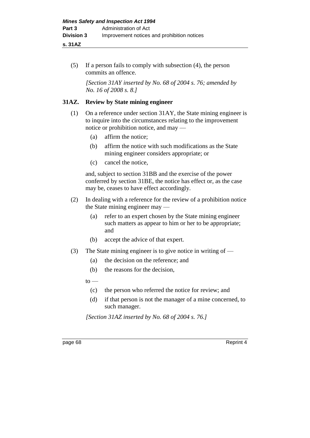## **s. 31AZ**

(5) If a person fails to comply with subsection (4), the person commits an offence.

*[Section 31AY inserted by No. 68 of 2004 s. 76; amended by No. 16 of 2008 s. 8.]*

## **31AZ. Review by State mining engineer**

- (1) On a reference under section 31AY, the State mining engineer is to inquire into the circumstances relating to the improvement notice or prohibition notice, and may —
	- (a) affirm the notice;
	- (b) affirm the notice with such modifications as the State mining engineer considers appropriate; or
	- (c) cancel the notice,

and, subject to section 31BB and the exercise of the power conferred by section 31BE, the notice has effect or, as the case may be, ceases to have effect accordingly.

- (2) In dealing with a reference for the review of a prohibition notice the State mining engineer may —
	- (a) refer to an expert chosen by the State mining engineer such matters as appear to him or her to be appropriate; and
	- (b) accept the advice of that expert.
- (3) The State mining engineer is to give notice in writing of
	- (a) the decision on the reference; and
	- (b) the reasons for the decision,
	- $to -$ 
		- (c) the person who referred the notice for review; and
		- (d) if that person is not the manager of a mine concerned, to such manager.

*[Section 31AZ inserted by No. 68 of 2004 s. 76.]*

page 68 Reprint 4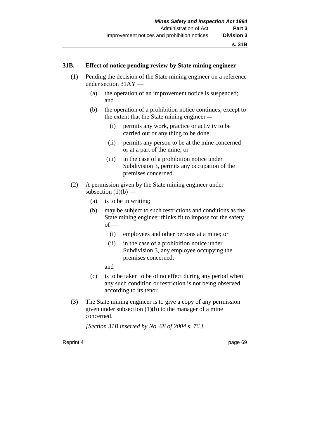#### **s. 31B**

### **31B. Effect of notice pending review by State mining engineer**

- (1) Pending the decision of the State mining engineer on a reference under section 31AY —
	- (a) the operation of an improvement notice is suspended; and
	- (b) the operation of a prohibition notice continues, except to the extent that the State mining engineer *—*
		- (i) permits any work, practice or activity to be carried out or any thing to be done;
		- (ii) permits any person to be at the mine concerned or at a part of the mine; or
		- (iii) in the case of a prohibition notice under Subdivision 3, permits any occupation of the premises concerned.
- (2) A permission given by the State mining engineer under subsection  $(1)(b)$  —
	- (a) is to be in writing;
	- (b) may be subject to such restrictions and conditions as the State mining engineer thinks fit to impose for the safety  $of -$ 
		- (i) employees and other persons at a mine; or
		- (ii) in the case of a prohibition notice under Subdivision 3, any employee occupying the premises concerned;
		- and
	- (c) is to be taken to be of no effect during any period when any such condition or restriction is not being observed according to its tenor.
- (3) The State mining engineer is to give a copy of any permission given under subsection  $(1)(b)$  to the manager of a mine concerned.

*[Section 31B inserted by No. 68 of 2004 s. 76.]*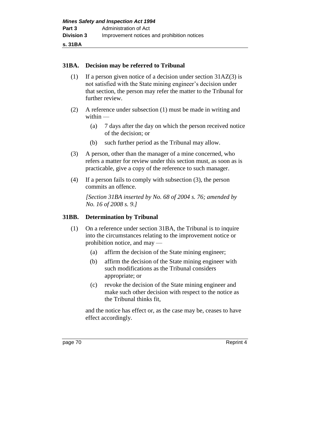**s. 31BA**

## **31BA. Decision may be referred to Tribunal**

- (1) If a person given notice of a decision under section 31AZ(3) is not satisfied with the State mining engineer's decision under that section, the person may refer the matter to the Tribunal for further review.
- (2) A reference under subsection (1) must be made in writing and within —
	- (a) 7 days after the day on which the person received notice of the decision; or
	- (b) such further period as the Tribunal may allow.
- (3) A person, other than the manager of a mine concerned, who refers a matter for review under this section must, as soon as is practicable, give a copy of the reference to such manager.
- (4) If a person fails to comply with subsection (3), the person commits an offence.

*[Section 31BA inserted by No. 68 of 2004 s. 76; amended by No. 16 of 2008 s. 9.]*

## **31BB. Determination by Tribunal**

- (1) On a reference under section 31BA, the Tribunal is to inquire into the circumstances relating to the improvement notice or prohibition notice, and may —
	- (a) affirm the decision of the State mining engineer;
	- (b) affirm the decision of the State mining engineer with such modifications as the Tribunal considers appropriate; or
	- (c) revoke the decision of the State mining engineer and make such other decision with respect to the notice as the Tribunal thinks fit,

and the notice has effect or, as the case may be, ceases to have effect accordingly.

page 70 Reprint 4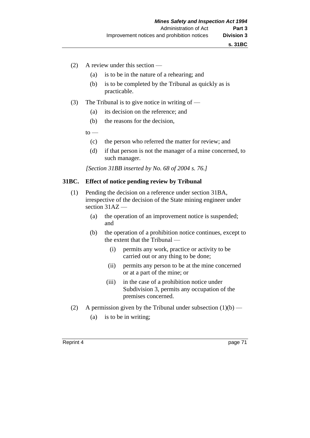- (2) A review under this section
	- (a) is to be in the nature of a rehearing; and
	- (b) is to be completed by the Tribunal as quickly as is practicable.
- (3) The Tribunal is to give notice in writing of  $-$ 
	- (a) its decision on the reference; and
	- (b) the reasons for the decision,
	- $to$ 
		- (c) the person who referred the matter for review; and
		- (d) if that person is not the manager of a mine concerned, to such manager.

*[Section 31BB inserted by No. 68 of 2004 s. 76.]*

### **31BC. Effect of notice pending review by Tribunal**

- (1) Pending the decision on a reference under section 31BA, irrespective of the decision of the State mining engineer under section 31AZ —
	- (a) the operation of an improvement notice is suspended; and
	- (b) the operation of a prohibition notice continues, except to the extent that the Tribunal —
		- (i) permits any work, practice or activity to be carried out or any thing to be done;
		- (ii) permits any person to be at the mine concerned or at a part of the mine; or
		- (iii) in the case of a prohibition notice under Subdivision 3, permits any occupation of the premises concerned.
- (2) A permission given by the Tribunal under subsection  $(1)(b)$ 
	- (a) is to be in writing;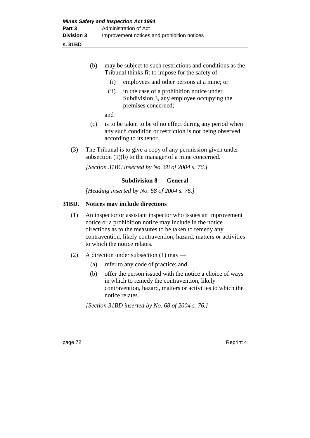**s. 31BD**

|         | (b)                                                                                                                                                                                                                                                                                        |      | may be subject to such restrictions and conditions as the<br>Tribunal thinks fit to impose for the safety of $-$                                                                         |           |  |
|---------|--------------------------------------------------------------------------------------------------------------------------------------------------------------------------------------------------------------------------------------------------------------------------------------------|------|------------------------------------------------------------------------------------------------------------------------------------------------------------------------------------------|-----------|--|
|         |                                                                                                                                                                                                                                                                                            | (i)  | employees and other persons at a mine; or                                                                                                                                                |           |  |
|         |                                                                                                                                                                                                                                                                                            | (ii) | in the case of a prohibition notice under<br>Subdivision 3, any employee occupying the<br>premises concerned;                                                                            |           |  |
|         |                                                                                                                                                                                                                                                                                            | and  |                                                                                                                                                                                          |           |  |
|         | (c)                                                                                                                                                                                                                                                                                        |      | is to be taken to be of no effect during any period when<br>any such condition or restriction is not being observed<br>according to its tenor.                                           |           |  |
| (3)     |                                                                                                                                                                                                                                                                                            |      | The Tribunal is to give a copy of any permission given under<br>subsection $(1)(b)$ to the manager of a mine concerned.                                                                  |           |  |
|         |                                                                                                                                                                                                                                                                                            |      | [Section 31BC inserted by No. 68 of 2004 s. 76.]                                                                                                                                         |           |  |
|         |                                                                                                                                                                                                                                                                                            |      | <b>Subdivision 8 – General</b>                                                                                                                                                           |           |  |
|         |                                                                                                                                                                                                                                                                                            |      | [Heading inserted by No. 68 of 2004 s. 76.]                                                                                                                                              |           |  |
| 31BD.   | Notices may include directions                                                                                                                                                                                                                                                             |      |                                                                                                                                                                                          |           |  |
| (1)     | An inspector or assistant inspector who issues an improvement<br>notice or a prohibition notice may include in the notice<br>directions as to the measures to be taken to remedy any<br>contravention, likely contravention, hazard, matters or activities<br>to which the notice relates. |      |                                                                                                                                                                                          |           |  |
| (2)     |                                                                                                                                                                                                                                                                                            |      | A direction under subsection $(1)$ may —                                                                                                                                                 |           |  |
|         | (a)                                                                                                                                                                                                                                                                                        |      | refer to any code of practice; and                                                                                                                                                       |           |  |
|         | (b)                                                                                                                                                                                                                                                                                        |      | offer the person issued with the notice a choice of ways<br>in which to remedy the contravention, likely<br>contravention, hazard, matters or activities to which the<br>notice relates. |           |  |
|         | [Section 31BD inserted by No. 68 of 2004 s. 76.]                                                                                                                                                                                                                                           |      |                                                                                                                                                                                          |           |  |
|         |                                                                                                                                                                                                                                                                                            |      |                                                                                                                                                                                          |           |  |
| page 72 |                                                                                                                                                                                                                                                                                            |      |                                                                                                                                                                                          | Reprint 4 |  |
|         |                                                                                                                                                                                                                                                                                            |      |                                                                                                                                                                                          |           |  |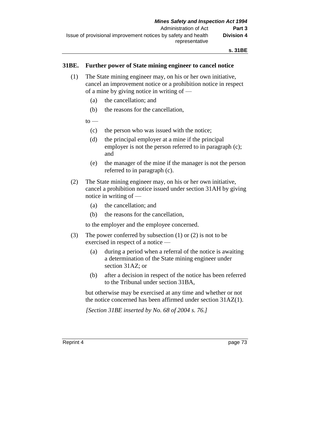## **31BE. Further power of State mining engineer to cancel notice**

- (1) The State mining engineer may, on his or her own initiative, cancel an improvement notice or a prohibition notice in respect of a mine by giving notice in writing of —
	- (a) the cancellation; and
	- (b) the reasons for the cancellation,
	- $to -$ 
		- (c) the person who was issued with the notice;
		- (d) the principal employer at a mine if the principal employer is not the person referred to in paragraph (c); and
		- (e) the manager of the mine if the manager is not the person referred to in paragraph (c).
- (2) The State mining engineer may, on his or her own initiative, cancel a prohibition notice issued under section 31AH by giving notice in writing of —
	- (a) the cancellation; and
	- (b) the reasons for the cancellation,

to the employer and the employee concerned.

- (3) The power conferred by subsection (1) or (2) is not to be exercised in respect of a notice —
	- (a) during a period when a referral of the notice is awaiting a determination of the State mining engineer under section 31AZ; or
	- (b) after a decision in respect of the notice has been referred to the Tribunal under section 31BA,

but otherwise may be exercised at any time and whether or not the notice concerned has been affirmed under section 31AZ(1).

*[Section 31BE inserted by No. 68 of 2004 s. 76.]*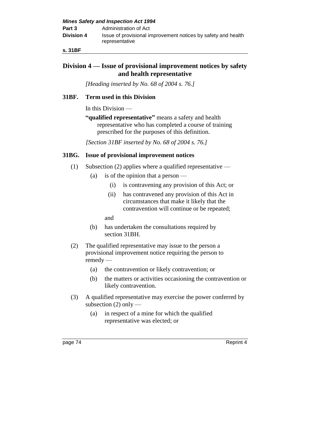| <b>Mines Safety and Inspection Act 1994</b> |                                                                                 |  |
|---------------------------------------------|---------------------------------------------------------------------------------|--|
| Part 3                                      | Administration of Act                                                           |  |
| <b>Division 4</b>                           | Issue of provisional improvement notices by safety and health<br>representative |  |

**s. 31BF**

## **Division 4 — Issue of provisional improvement notices by safety and health representative**

*[Heading inserted by No. 68 of 2004 s. 76.]* 

## **31BF. Term used in this Division**

In this Division —

**"qualified representative"** means a safety and health representative who has completed a course of training prescribed for the purposes of this definition.

*[Section 31BF inserted by No. 68 of 2004 s. 76.]*

## **31BG. Issue of provisional improvement notices**

- (1) Subsection (2) applies where a qualified representative
	- (a) is of the opinion that a person
		- (i) is contravening any provision of this Act; or
		- (ii) has contravened any provision of this Act in circumstances that make it likely that the contravention will continue or be repeated;

and

- (b) has undertaken the consultations required by section 31BH.
- (2) The qualified representative may issue to the person a provisional improvement notice requiring the person to remedy —
	- (a) the contravention or likely contravention; or
	- (b) the matters or activities occasioning the contravention or likely contravention.
- (3) A qualified representative may exercise the power conferred by subsection  $(2)$  only —
	- (a) in respect of a mine for which the qualified representative was elected; or

page 74 Reprint 4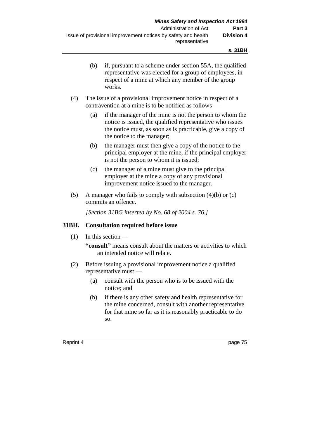- (b) if, pursuant to a scheme under section 55A, the qualified representative was elected for a group of employees, in respect of a mine at which any member of the group works.
- (4) The issue of a provisional improvement notice in respect of a contravention at a mine is to be notified as follows —
	- (a) if the manager of the mine is not the person to whom the notice is issued, the qualified representative who issues the notice must, as soon as is practicable, give a copy of the notice to the manager;
	- (b) the manager must then give a copy of the notice to the principal employer at the mine, if the principal employer is not the person to whom it is issued;
	- (c) the manager of a mine must give to the principal employer at the mine a copy of any provisional improvement notice issued to the manager.
- (5) A manager who fails to comply with subsection  $(4)(b)$  or  $(c)$ commits an offence.

*[Section 31BG inserted by No. 68 of 2004 s. 76.]*

## **31BH. Consultation required before issue**

(1) In this section —

**"consult"** means consult about the matters or activities to which an intended notice will relate.

- (2) Before issuing a provisional improvement notice a qualified representative must —
	- (a) consult with the person who is to be issued with the notice; and
	- (b) if there is any other safety and health representative for the mine concerned, consult with another representative for that mine so far as it is reasonably practicable to do so.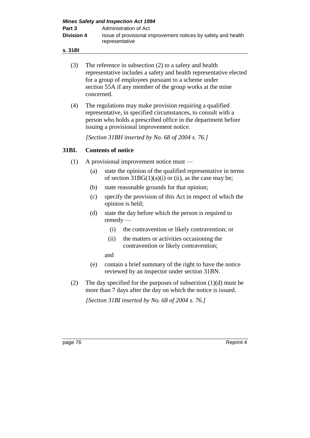| <b>Mines Safety and Inspection Act 1994</b> |                                                                                 |  |  |
|---------------------------------------------|---------------------------------------------------------------------------------|--|--|
| Part 3                                      | Administration of Act                                                           |  |  |
| <b>Division 4</b>                           | Issue of provisional improvement notices by safety and health<br>representative |  |  |

- **s. 31BI**
	- (3) The reference in subsection (2) to a safety and health representative includes a safety and health representative elected for a group of employees pursuant to a scheme under section 55A if any member of the group works at the mine concerned.
	- (4) The regulations may make provision requiring a qualified representative, in specified circumstances, to consult with a person who holds a prescribed office in the department before issuing a provisional improvement notice.

*[Section 31BH inserted by No. 68 of 2004 s. 76.]*

## **31BI. Contents of notice**

- (1) A provisional improvement notice must
	- (a) state the opinion of the qualified representative in terms of section  $31BG(1)(a)(i)$  or (ii), as the case may be;
	- (b) state reasonable grounds for that opinion;
	- (c) specify the provision of this Act in respect of which the opinion is held;
	- (d) state the day before which the person is required to remedy —
		- (i) the contravention or likely contravention; or
		- (ii) the matters or activities occasioning the contravention or likely contravention;

and

- (e) contain a brief summary of the right to have the notice reviewed by an inspector under section 31BN.
- (2) The day specified for the purposes of subsection (1)(d) must be more than 7 days after the day on which the notice is issued.

*[Section 31BI inserted by No. 68 of 2004 s. 76.]*

page 76 Reprint 4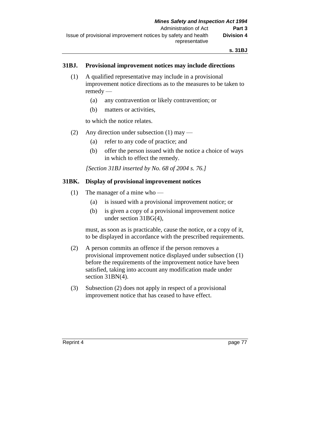## **31BJ. Provisional improvement notices may include directions**

- (1) A qualified representative may include in a provisional improvement notice directions as to the measures to be taken to remedy —
	- (a) any contravention or likely contravention; or
	- (b) matters or activities,

to which the notice relates.

- (2) Any direction under subsection (1) may
	- (a) refer to any code of practice; and
	- (b) offer the person issued with the notice a choice of ways in which to effect the remedy.

*[Section 31BJ inserted by No. 68 of 2004 s. 76.]*

## **31BK. Display of provisional improvement notices**

- (1) The manager of a mine who
	- (a) is issued with a provisional improvement notice; or
	- (b) is given a copy of a provisional improvement notice under section 31BG(4),

must, as soon as is practicable, cause the notice, or a copy of it, to be displayed in accordance with the prescribed requirements.

- (2) A person commits an offence if the person removes a provisional improvement notice displayed under subsection (1) before the requirements of the improvement notice have been satisfied, taking into account any modification made under section 31BN(4).
- (3) Subsection (2) does not apply in respect of a provisional improvement notice that has ceased to have effect.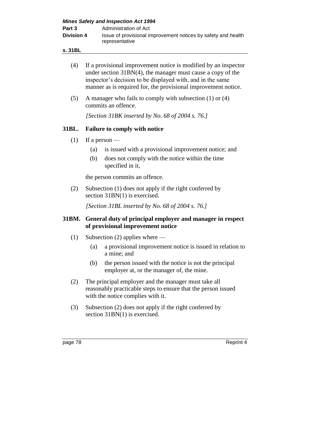| <b>Mines Safety and Inspection Act 1994</b> |                                                                                 |  |
|---------------------------------------------|---------------------------------------------------------------------------------|--|
| Part 3                                      | Administration of Act                                                           |  |
| <b>Division 4</b>                           | Issue of provisional improvement notices by safety and health<br>representative |  |

**s. 31BL**

| (4)   | If a provisional improvement notice is modified by an inspector<br>under section $31BN(4)$ , the manager must cause a copy of the<br>inspector's decision to be displayed with, and in the same<br>manner as is required for, the provisional improvement notice.                                                                                                           |  |  |  |
|-------|-----------------------------------------------------------------------------------------------------------------------------------------------------------------------------------------------------------------------------------------------------------------------------------------------------------------------------------------------------------------------------|--|--|--|
| (5)   | A manager who fails to comply with subsection (1) or (4)<br>commits an offence.                                                                                                                                                                                                                                                                                             |  |  |  |
|       | [Section 31BK inserted by No. 68 of 2004 s. 76.]                                                                                                                                                                                                                                                                                                                            |  |  |  |
| 31BL. | <b>Failure to comply with notice</b>                                                                                                                                                                                                                                                                                                                                        |  |  |  |
| (1)   | If a person $-$                                                                                                                                                                                                                                                                                                                                                             |  |  |  |
|       | is issued with a provisional improvement notice; and<br>(a)                                                                                                                                                                                                                                                                                                                 |  |  |  |
|       | does not comply with the notice within the time<br>(b)<br>specified in it,                                                                                                                                                                                                                                                                                                  |  |  |  |
|       | the person commits an offence.                                                                                                                                                                                                                                                                                                                                              |  |  |  |
| (2)   | Subsection (1) does not apply if the right conferred by<br>section $31BN(1)$ is exercised.                                                                                                                                                                                                                                                                                  |  |  |  |
|       | [Section 31BL inserted by No. 68 of 2004 s. 76.]                                                                                                                                                                                                                                                                                                                            |  |  |  |
| 31BM. | General duty of principal employer and manager in respect<br>of provisional improvement notice                                                                                                                                                                                                                                                                              |  |  |  |
| (1)   | Subsection $(2)$ applies where —                                                                                                                                                                                                                                                                                                                                            |  |  |  |
|       | a provisional improvement notice is issued in relation to<br>(a)<br>a mine; and                                                                                                                                                                                                                                                                                             |  |  |  |
|       | the person issued with the notice is not the principal<br>(b)<br>employer at, or the manager of, the mine.                                                                                                                                                                                                                                                                  |  |  |  |
| (2)   | The principal employer and the manager must take all<br>$\frac{1}{2}$ $\frac{1}{2}$ $\frac{1}{2}$ $\frac{1}{2}$ $\frac{1}{2}$ $\frac{1}{2}$ $\frac{1}{2}$ $\frac{1}{2}$ $\frac{1}{2}$ $\frac{1}{2}$ $\frac{1}{2}$ $\frac{1}{2}$ $\frac{1}{2}$ $\frac{1}{2}$ $\frac{1}{2}$ $\frac{1}{2}$ $\frac{1}{2}$ $\frac{1}{2}$ $\frac{1}{2}$ $\frac{1}{2}$ $\frac{1}{2}$ $\frac{1}{2}$ |  |  |  |

- reasonably practicable steps to ensure that the person issued with the notice complies with it.
- (3) Subsection (2) does not apply if the right conferred by section 31BN(1) is exercised.

page 78 Reprint 4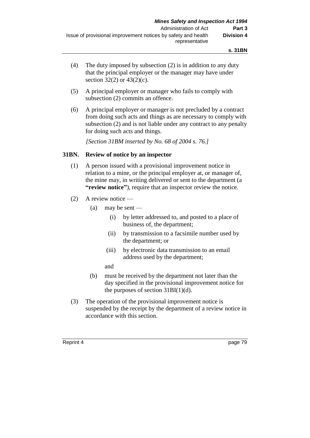- (4) The duty imposed by subsection (2) is in addition to any duty that the principal employer or the manager may have under section  $32(2)$  or  $43(2)(c)$ .
- (5) A principal employer or manager who fails to comply with subsection (2) commits an offence.
- (6) A principal employer or manager is not precluded by a contract from doing such acts and things as are necessary to comply with subsection (2) and is not liable under any contract to any penalty for doing such acts and things.

*[Section 31BM inserted by No. 68 of 2004 s. 76.]*

## **31BN. Review of notice by an inspector**

- (1) A person issued with a provisional improvement notice in relation to a mine, or the principal employer at, or manager of, the mine may, in writing delivered or sent to the department (a **"review notice"**), require that an inspector review the notice.
- (2) A review notice
	- (a) may be sent
		- (i) by letter addressed to, and posted to a place of business of, the department;
		- (ii) by transmission to a facsimile number used by the department; or
		- (iii) by electronic data transmission to an email address used by the department;
		- and
	- (b) must be received by the department not later than the day specified in the provisional improvement notice for the purposes of section  $31BI(1)(d)$ .
- (3) The operation of the provisional improvement notice is suspended by the receipt by the department of a review notice in accordance with this section.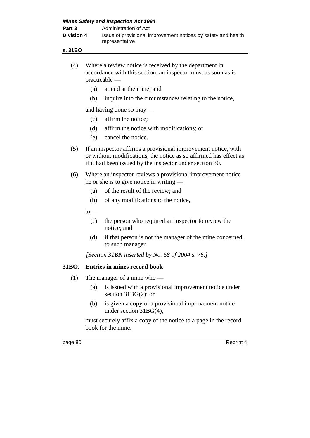| <b>Mines Safety and Inspection Act 1994</b> |                                                                                 |  |  |
|---------------------------------------------|---------------------------------------------------------------------------------|--|--|
| Part 3                                      | Administration of Act                                                           |  |  |
| <b>Division 4</b>                           | Issue of provisional improvement notices by safety and health<br>representative |  |  |

- **s. 31BO**
	- (4) Where a review notice is received by the department in accordance with this section, an inspector must as soon as is practicable —
		- (a) attend at the mine; and
		- (b) inquire into the circumstances relating to the notice,

and having done so may —

- (c) affirm the notice;
- (d) affirm the notice with modifications; or
- (e) cancel the notice.
- (5) If an inspector affirms a provisional improvement notice, with or without modifications, the notice as so affirmed has effect as if it had been issued by the inspector under section 30.
- (6) Where an inspector reviews a provisional improvement notice he or she is to give notice in writing —
	- (a) of the result of the review; and
	- (b) of any modifications to the notice,

 $to$ 

- (c) the person who required an inspector to review the notice; and
- (d) if that person is not the manager of the mine concerned, to such manager.

*[Section 31BN inserted by No. 68 of 2004 s. 76.]*

## **31BO. Entries in mines record book**

- (1) The manager of a mine who
	- (a) is issued with a provisional improvement notice under section 31BG(2); or
	- (b) is given a copy of a provisional improvement notice under section 31BG(4),

must securely affix a copy of the notice to a page in the record book for the mine.

page 80 Reprint 4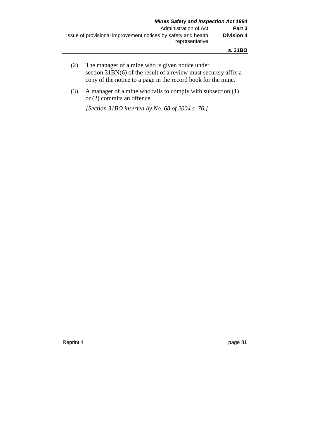- (2) The manager of a mine who is given notice under section 31BN(6) of the result of a review must securely affix a copy of the notice to a page in the record book for the mine.
- (3) A manager of a mine who fails to comply with subsection (1) or (2) commits an offence.

*[Section 31BO inserted by No. 68 of 2004 s. 76.]*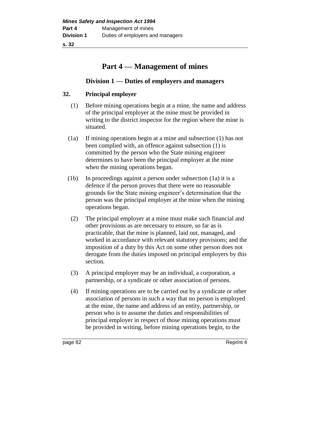**s. 32**

# **Part 4 — Management of mines**

## **Division 1 — Duties of employers and managers**

## **32. Principal employer**

- (1) Before mining operations begin at a mine, the name and address of the principal employer at the mine must be provided in writing to the district inspector for the region where the mine is situated.
- (1a) If mining operations begin at a mine and subsection (1) has not been complied with, an offence against subsection (1) is committed by the person who the State mining engineer determines to have been the principal employer at the mine when the mining operations began.
- (1b) In proceedings against a person under subsection (1a) it is a defence if the person proves that there were no reasonable grounds for the State mining engineer's determination that the person was the principal employer at the mine when the mining operations began.
- (2) The principal employer at a mine must make such financial and other provisions as are necessary to ensure, so far as is practicable, that the mine is planned, laid out, managed, and worked in accordance with relevant statutory provisions; and the imposition of a duty by this Act on some other person does not derogate from the duties imposed on principal employers by this section.
- (3) A principal employer may be an individual, a corporation, a partnership, or a syndicate or other association of persons.
- (4) If mining operations are to be carried out by a syndicate or other association of persons in such a way that no person is employed at the mine, the name and address of an entity, partnership, or person who is to assume the duties and responsibilities of principal employer in respect of those mining operations must be provided in writing, before mining operations begin, to the

page 82 Reprint 4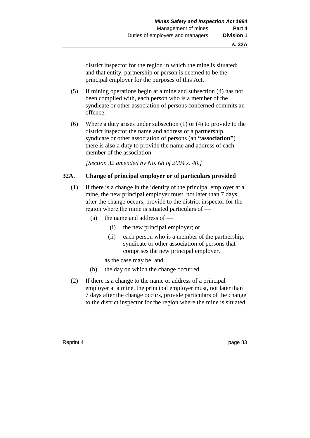district inspector for the region in which the mine is situated; and that entity, partnership or person is deemed to be the principal employer for the purposes of this Act.

- (5) If mining operations begin at a mine and subsection (4) has not been complied with, each person who is a member of the syndicate or other association of persons concerned commits an offence.
- (6) Where a duty arises under subsection (1) or (4) to provide to the district inspector the name and address of a partnership, syndicate or other association of persons (an **"association"**) there is also a duty to provide the name and address of each member of the association.

*[Section 32 amended by No. 68 of 2004 s. 40.]*

## **32A. Change of principal employer or of particulars provided**

- (1) If there is a change in the identity of the principal employer at a mine, the new principal employer must, not later than 7 days after the change occurs, provide to the district inspector for the region where the mine is situated particulars of —
	- (a) the name and address of
		- (i) the new principal employer; or
		- (ii) each person who is a member of the partnership, syndicate or other association of persons that comprises the new principal employer,
		- as the case may be; and
	- (b) the day on which the change occurred.
- (2) If there is a change to the name or address of a principal employer at a mine, the principal employer must, not later than 7 days after the change occurs, provide particulars of the change to the district inspector for the region where the mine is situated.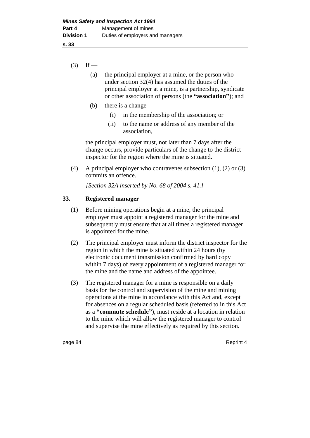**s. 33**

- $(3)$  If
	- (a) the principal employer at a mine, or the person who under section 32(4) has assumed the duties of the principal employer at a mine, is a partnership, syndicate or other association of persons (the **"association"**); and
	- (b) there is a change
		- (i) in the membership of the association; or
		- (ii) to the name or address of any member of the association,

the principal employer must, not later than 7 days after the change occurs, provide particulars of the change to the district inspector for the region where the mine is situated.

(4) A principal employer who contravenes subsection (1), (2) or (3) commits an offence.

*[Section 32A inserted by No. 68 of 2004 s. 41.]*

## **33. Registered manager**

- (1) Before mining operations begin at a mine, the principal employer must appoint a registered manager for the mine and subsequently must ensure that at all times a registered manager is appointed for the mine.
- (2) The principal employer must inform the district inspector for the region in which the mine is situated within 24 hours (by electronic document transmission confirmed by hard copy within 7 days) of every appointment of a registered manager for the mine and the name and address of the appointee.
- (3) The registered manager for a mine is responsible on a daily basis for the control and supervision of the mine and mining operations at the mine in accordance with this Act and, except for absences on a regular scheduled basis (referred to in this Act as a **"commute schedule"**), must reside at a location in relation to the mine which will allow the registered manager to control and supervise the mine effectively as required by this section.

page 84 Reprint 4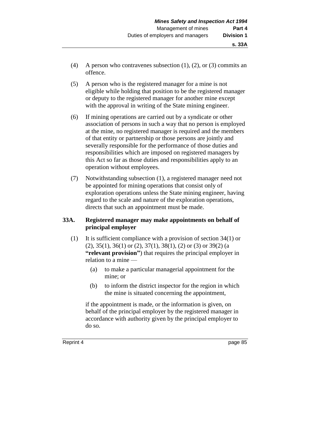- (4) A person who contravenes subsection (1), (2), or (3) commits an offence.
- (5) A person who is the registered manager for a mine is not eligible while holding that position to be the registered manager or deputy to the registered manager for another mine except with the approval in writing of the State mining engineer.
- (6) If mining operations are carried out by a syndicate or other association of persons in such a way that no person is employed at the mine, no registered manager is required and the members of that entity or partnership or those persons are jointly and severally responsible for the performance of those duties and responsibilities which are imposed on registered managers by this Act so far as those duties and responsibilities apply to an operation without employees.
- (7) Notwithstanding subsection (1), a registered manager need not be appointed for mining operations that consist only of exploration operations unless the State mining engineer, having regard to the scale and nature of the exploration operations, directs that such an appointment must be made.

## **33A. Registered manager may make appointments on behalf of principal employer**

- (1) It is sufficient compliance with a provision of section 34(1) or  $(2), 35(1), 36(1)$  or  $(2), 37(1), 38(1), (2)$  or  $(3)$  or  $39(2)$  (a **"relevant provision"**) that requires the principal employer in relation to a mine —
	- (a) to make a particular managerial appointment for the mine; or
	- (b) to inform the district inspector for the region in which the mine is situated concerning the appointment,

if the appointment is made, or the information is given, on behalf of the principal employer by the registered manager in accordance with authority given by the principal employer to do so.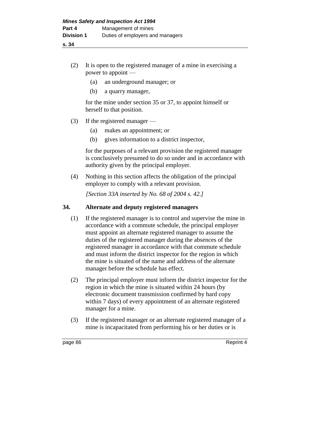- (2) It is open to the registered manager of a mine in exercising a power to appoint —
	- (a) an underground manager; or
	- (b) a quarry manager,

for the mine under section 35 or 37, to appoint himself or herself to that position.

- (3) If the registered manager
	- (a) makes an appointment; or
	- (b) gives information to a district inspector,

for the purposes of a relevant provision the registered manager is conclusively presumed to do so under and in accordance with authority given by the principal employer.

(4) Nothing in this section affects the obligation of the principal employer to comply with a relevant provision.

*[Section 33A inserted by No. 68 of 2004 s. 42.]*

## **34. Alternate and deputy registered managers**

- (1) If the registered manager is to control and supervise the mine in accordance with a commute schedule, the principal employer must appoint an alternate registered manager to assume the duties of the registered manager during the absences of the registered manager in accordance with that commute schedule and must inform the district inspector for the region in which the mine is situated of the name and address of the alternate manager before the schedule has effect.
- (2) The principal employer must inform the district inspector for the region in which the mine is situated within 24 hours (by electronic document transmission confirmed by hard copy within 7 days) of every appointment of an alternate registered manager for a mine.
- (3) If the registered manager or an alternate registered manager of a mine is incapacitated from performing his or her duties or is

page 86 Reprint 4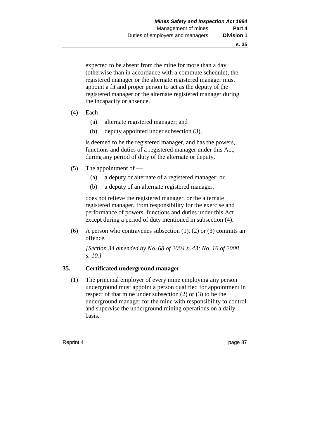expected to be absent from the mine for more than a day (otherwise than in accordance with a commute schedule), the registered manager or the alternate registered manager must appoint a fit and proper person to act as the deputy of the registered manager or the alternate registered manager during the incapacity or absence.

- $(4)$  Each
	- (a) alternate registered manager; and
	- (b) deputy appointed under subsection (3),

is deemed to be the registered manager, and has the powers, functions and duties of a registered manager under this Act, during any period of duty of the alternate or deputy.

- (5) The appointment of  $-$ 
	- (a) a deputy or alternate of a registered manager; or
	- (b) a deputy of an alternate registered manager,

does not relieve the registered manager, or the alternate registered manager, from responsibility for the exercise and performance of powers, functions and duties under this Act except during a period of duty mentioned in subsection (4).

(6) A person who contravenes subsection (1), (2) or (3) commits an offence.

*[Section 34 amended by No. 68 of 2004 s. 43; No. 16 of 2008 s. 10.]*

## **35. Certificated underground manager**

(1) The principal employer of every mine employing any person underground must appoint a person qualified for appointment in respect of that mine under subsection (2) or (3) to be the underground manager for the mine with responsibility to control and supervise the underground mining operations on a daily basis.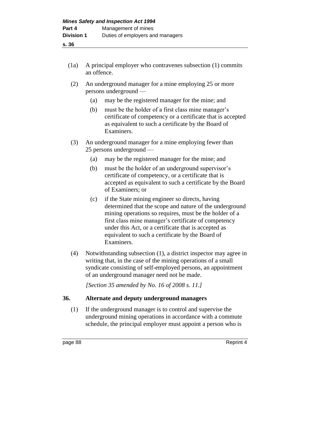- (1a) A principal employer who contravenes subsection (1) commits an offence.
- (2) An underground manager for a mine employing 25 or more persons underground —
	- (a) may be the registered manager for the mine; and
	- (b) must be the holder of a first class mine manager's certificate of competency or a certificate that is accepted as equivalent to such a certificate by the Board of Examiners.
- (3) An underground manager for a mine employing fewer than 25 persons underground —
	- (a) may be the registered manager for the mine; and
	- (b) must be the holder of an underground supervisor's certificate of competency, or a certificate that is accepted as equivalent to such a certificate by the Board of Examiners; or
	- (c) if the State mining engineer so directs, having determined that the scope and nature of the underground mining operations so requires, must be the holder of a first class mine manager's certificate of competency under this Act, or a certificate that is accepted as equivalent to such a certificate by the Board of Examiners.
- (4) Notwithstanding subsection (1), a district inspector may agree in writing that, in the case of the mining operations of a small syndicate consisting of self-employed persons, an appointment of an underground manager need not be made.

*[Section 35 amended by No. 16 of 2008 s. 11.]*

## **36. Alternate and deputy underground managers**

(1) If the underground manager is to control and supervise the underground mining operations in accordance with a commute schedule, the principal employer must appoint a person who is

page 88 Reprint 4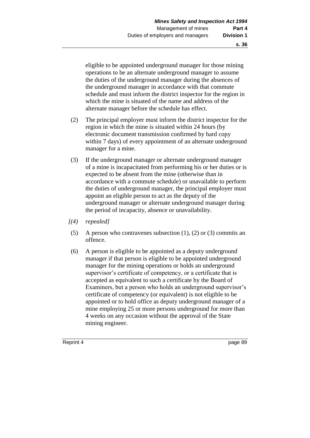eligible to be appointed underground manager for those mining operations to be an alternate underground manager to assume the duties of the underground manager during the absences of the underground manager in accordance with that commute schedule and must inform the district inspector for the region in which the mine is situated of the name and address of the alternate manager before the schedule has effect.

- (2) The principal employer must inform the district inspector for the region in which the mine is situated within 24 hours (by electronic document transmission confirmed by hard copy within 7 days) of every appointment of an alternate underground manager for a mine.
- (3) If the underground manager or alternate underground manager of a mine is incapacitated from performing his or her duties or is expected to be absent from the mine (otherwise than in accordance with a commute schedule) or unavailable to perform the duties of underground manager, the principal employer must appoint an eligible person to act as the deputy of the underground manager or alternate underground manager during the period of incapacity, absence or unavailability.
- *[(4) repealed]*
- (5) A person who contravenes subsection (1), (2) or (3) commits an offence.
- (6) A person is eligible to be appointed as a deputy underground manager if that person is eligible to be appointed underground manager for the mining operations or holds an underground supervisor's certificate of competency, or a certificate that is accepted as equivalent to such a certificate by the Board of Examiners, but a person who holds an underground supervisor's certificate of competency (or equivalent) is not eligible to be appointed or to hold office as deputy underground manager of a mine employing 25 or more persons underground for more than 4 weeks on any occasion without the approval of the State mining engineer.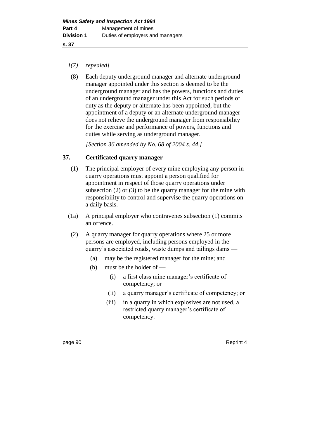**s. 37**

## *[(7) repealed]*

(8) Each deputy underground manager and alternate underground manager appointed under this section is deemed to be the underground manager and has the powers, functions and duties of an underground manager under this Act for such periods of duty as the deputy or alternate has been appointed, but the appointment of a deputy or an alternate underground manager does not relieve the underground manager from responsibility for the exercise and performance of powers, functions and duties while serving as underground manager.

*[Section 36 amended by No. 68 of 2004 s. 44.]*

## **37. Certificated quarry manager**

- (1) The principal employer of every mine employing any person in quarry operations must appoint a person qualified for appointment in respect of those quarry operations under subsection (2) or (3) to be the quarry manager for the mine with responsibility to control and supervise the quarry operations on a daily basis.
- (1a) A principal employer who contravenes subsection (1) commits an offence.
- (2) A quarry manager for quarry operations where 25 or more persons are employed, including persons employed in the quarry's associated roads, waste dumps and tailings dams —
	- (a) may be the registered manager for the mine; and
	- (b) must be the holder of
		- (i) a first class mine manager's certificate of competency; or
		- (ii) a quarry manager's certificate of competency; or
		- (iii) in a quarry in which explosives are not used, a restricted quarry manager's certificate of competency.

page 90 Reprint 4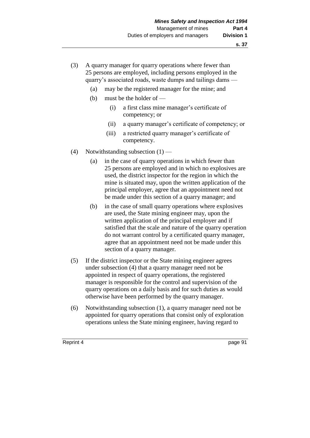- (3) A quarry manager for quarry operations where fewer than 25 persons are employed, including persons employed in the quarry's associated roads, waste dumps and tailings dams —
	- (a) may be the registered manager for the mine; and
	- (b) must be the holder of
		- (i) a first class mine manager's certificate of competency; or
		- (ii) a quarry manager's certificate of competency; or
		- (iii) a restricted quarry manager's certificate of competency.
- (4) Notwithstanding subsection  $(1)$ 
	- (a) in the case of quarry operations in which fewer than 25 persons are employed and in which no explosives are used, the district inspector for the region in which the mine is situated may, upon the written application of the principal employer, agree that an appointment need not be made under this section of a quarry manager; and
	- (b) in the case of small quarry operations where explosives are used, the State mining engineer may, upon the written application of the principal employer and if satisfied that the scale and nature of the quarry operation do not warrant control by a certificated quarry manager, agree that an appointment need not be made under this section of a quarry manager.
- (5) If the district inspector or the State mining engineer agrees under subsection (4) that a quarry manager need not be appointed in respect of quarry operations, the registered manager is responsible for the control and supervision of the quarry operations on a daily basis and for such duties as would otherwise have been performed by the quarry manager.
- (6) Notwithstanding subsection (1), a quarry manager need not be appointed for quarry operations that consist only of exploration operations unless the State mining engineer, having regard to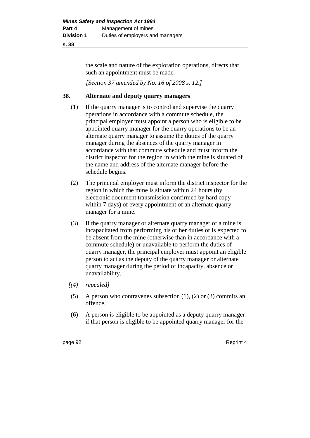#### **s. 38**

the scale and nature of the exploration operations, directs that such an appointment must be made.

*[Section 37 amended by No. 16 of 2008 s. 12.]*

## **38. Alternate and deputy quarry managers**

- (1) If the quarry manager is to control and supervise the quarry operations in accordance with a commute schedule, the principal employer must appoint a person who is eligible to be appointed quarry manager for the quarry operations to be an alternate quarry manager to assume the duties of the quarry manager during the absences of the quarry manager in accordance with that commute schedule and must inform the district inspector for the region in which the mine is situated of the name and address of the alternate manager before the schedule begins.
- (2) The principal employer must inform the district inspector for the region in which the mine is situate within 24 hours (by electronic document transmission confirmed by hard copy within 7 days) of every appointment of an alternate quarry manager for a mine.
- (3) If the quarry manager or alternate quarry manager of a mine is incapacitated from performing his or her duties or is expected to be absent from the mine (otherwise than in accordance with a commute schedule) or unavailable to perform the duties of quarry manager, the principal employer must appoint an eligible person to act as the deputy of the quarry manager or alternate quarry manager during the period of incapacity, absence or unavailability.
- *[(4) repealed]*
- (5) A person who contravenes subsection (1), (2) or (3) commits an offence.
- (6) A person is eligible to be appointed as a deputy quarry manager if that person is eligible to be appointed quarry manager for the

page 92 Reprint 4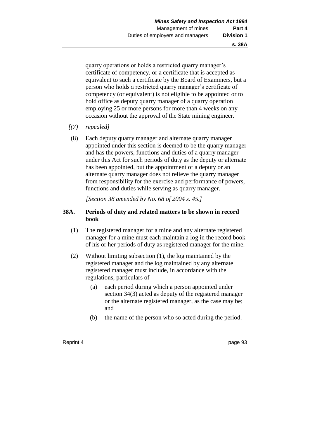quarry operations or holds a restricted quarry manager's certificate of competency, or a certificate that is accepted as equivalent to such a certificate by the Board of Examiners, but a person who holds a restricted quarry manager's certificate of competency (or equivalent) is not eligible to be appointed or to hold office as deputy quarry manager of a quarry operation employing 25 or more persons for more than 4 weeks on any occasion without the approval of the State mining engineer.

- *[(7) repealed]*
- (8) Each deputy quarry manager and alternate quarry manager appointed under this section is deemed to be the quarry manager and has the powers, functions and duties of a quarry manager under this Act for such periods of duty as the deputy or alternate has been appointed, but the appointment of a deputy or an alternate quarry manager does not relieve the quarry manager from responsibility for the exercise and performance of powers, functions and duties while serving as quarry manager.

*[Section 38 amended by No. 68 of 2004 s. 45.]*

## **38A. Periods of duty and related matters to be shown in record book**

- (1) The registered manager for a mine and any alternate registered manager for a mine must each maintain a log in the record book of his or her periods of duty as registered manager for the mine.
- (2) Without limiting subsection (1), the log maintained by the registered manager and the log maintained by any alternate registered manager must include, in accordance with the regulations, particulars of —
	- (a) each period during which a person appointed under section 34(3) acted as deputy of the registered manager or the alternate registered manager, as the case may be; and
	- (b) the name of the person who so acted during the period.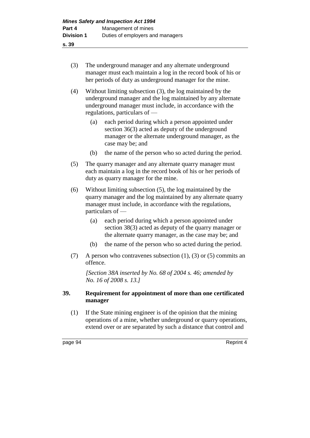- **s. 39**
	- (3) The underground manager and any alternate underground manager must each maintain a log in the record book of his or her periods of duty as underground manager for the mine.
	- (4) Without limiting subsection (3), the log maintained by the underground manager and the log maintained by any alternate underground manager must include, in accordance with the regulations, particulars of —
		- (a) each period during which a person appointed under section 36(3) acted as deputy of the underground manager or the alternate underground manager, as the case may be; and
		- (b) the name of the person who so acted during the period.
	- (5) The quarry manager and any alternate quarry manager must each maintain a log in the record book of his or her periods of duty as quarry manager for the mine.
	- (6) Without limiting subsection (5), the log maintained by the quarry manager and the log maintained by any alternate quarry manager must include, in accordance with the regulations, particulars of —
		- (a) each period during which a person appointed under section 38(3) acted as deputy of the quarry manager or the alternate quarry manager, as the case may be; and
		- (b) the name of the person who so acted during the period.
	- (7) A person who contravenes subsection (1), (3) or (5) commits an offence.

*[Section 38A inserted by No. 68 of 2004 s. 46; amended by No. 16 of 2008 s. 13.]*

## **39. Requirement for appointment of more than one certificated manager**

(1) If the State mining engineer is of the opinion that the mining operations of a mine, whether underground or quarry operations, extend over or are separated by such a distance that control and

page 94 Reprint 4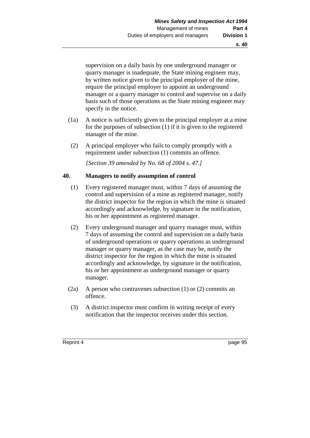supervision on a daily basis by one underground manager or quarry manager is inadequate, the State mining engineer may, by written notice given to the principal employer of the mine, require the principal employer to appoint an underground manager or a quarry manager to control and supervise on a daily basis such of those operations as the State mining engineer may specify in the notice.

- (1a) A notice is sufficiently given to the principal employer at a mine for the purposes of subsection (1) if it is given to the registered manager of the mine.
- (2) A principal employer who fails to comply promptly with a requirement under subsection (1) commits an offence.

*[Section 39 amended by No. 68 of 2004 s. 47.]*

## **40. Managers to notify assumption of control**

- (1) Every registered manager must, within 7 days of assuming the control and supervision of a mine as registered manager, notify the district inspector for the region in which the mine is situated accordingly and acknowledge, by signature in the notification, his or her appointment as registered manager.
- (2) Every underground manager and quarry manager must, within 7 days of assuming the control and supervision on a daily basis of underground operations or quarry operations as underground manager or quarry manager, as the case may be, notify the district inspector for the region in which the mine is situated accordingly and acknowledge, by signature in the notification, his or her appointment as underground manager or quarry manager.
- (2a) A person who contravenes subsection (1) or (2) commits an offence.
- (3) A district inspector must confirm in writing receipt of every notification that the inspector receives under this section.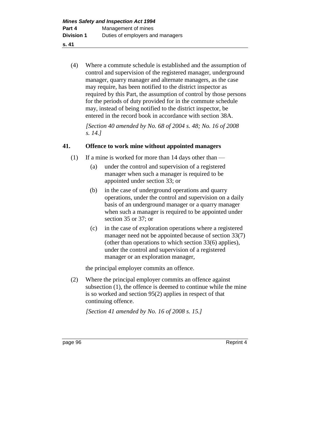**s. 41**

(4) Where a commute schedule is established and the assumption of control and supervision of the registered manager, underground manager, quarry manager and alternate managers, as the case may require, has been notified to the district inspector as required by this Part, the assumption of control by those persons for the periods of duty provided for in the commute schedule may, instead of being notified to the district inspector, be entered in the record book in accordance with section 38A.

*[Section 40 amended by No. 68 of 2004 s. 48; No. 16 of 2008 s. 14.]*

## **41. Offence to work mine without appointed managers**

- (1) If a mine is worked for more than 14 days other than
	- (a) under the control and supervision of a registered manager when such a manager is required to be appointed under section 33; or
	- (b) in the case of underground operations and quarry operations, under the control and supervision on a daily basis of an underground manager or a quarry manager when such a manager is required to be appointed under section 35 or 37; or
	- (c) in the case of exploration operations where a registered manager need not be appointed because of section 33(7) (other than operations to which section 33(6) applies), under the control and supervision of a registered manager or an exploration manager,

the principal employer commits an offence.

(2) Where the principal employer commits an offence against subsection (1), the offence is deemed to continue while the mine is so worked and section 95(2) applies in respect of that continuing offence.

*[Section 41 amended by No. 16 of 2008 s. 15.]*

page 96 Reprint 4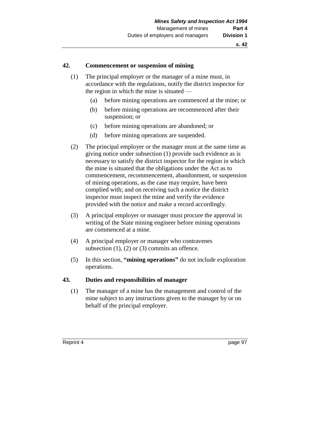#### **42. Commencement or suspension of mining**

- (1) The principal employer or the manager of a mine must, in accordance with the regulations, notify the district inspector for the region in which the mine is situated —
	- (a) before mining operations are commenced at the mine; or
	- (b) before mining operations are recommenced after their suspension; or
	- (c) before mining operations are abandoned; or
	- (d) before mining operations are suspended.
- (2) The principal employer or the manager must at the same time as giving notice under subsection (1) provide such evidence as is necessary to satisfy the district inspector for the region in which the mine is situated that the obligations under the Act as to commencement, recommencement, abandonment, or suspension of mining operations, as the case may require, have been complied with; and on receiving such a notice the district inspector must inspect the mine and verify the evidence provided with the notice and make a record accordingly.
- (3) A principal employer or manager must procure the approval in writing of the State mining engineer before mining operations are commenced at a mine.
- (4) A principal employer or manager who contravenes subsection  $(1)$ ,  $(2)$  or  $(3)$  commits an offence.
- (5) In this section, **"mining operations"** do not include exploration operations.

#### **43. Duties and responsibilities of manager**

(1) The manager of a mine has the management and control of the mine subject to any instructions given to the manager by or on behalf of the principal employer.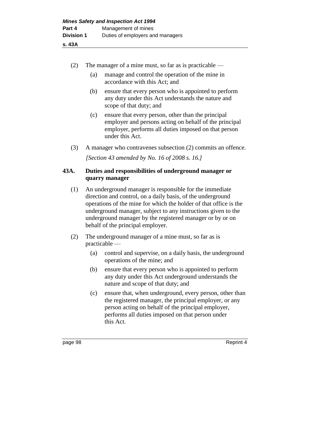| (2)     | The manager of a mine must, so far as is practicable $-$                                                                                                                                                                                                                                                                                                       |                                                                                                                                                                                                                                          |  |
|---------|----------------------------------------------------------------------------------------------------------------------------------------------------------------------------------------------------------------------------------------------------------------------------------------------------------------------------------------------------------------|------------------------------------------------------------------------------------------------------------------------------------------------------------------------------------------------------------------------------------------|--|
|         | (a)                                                                                                                                                                                                                                                                                                                                                            | manage and control the operation of the mine in<br>accordance with this Act; and                                                                                                                                                         |  |
|         | (b)                                                                                                                                                                                                                                                                                                                                                            | ensure that every person who is appointed to perform<br>any duty under this Act understands the nature and<br>scope of that duty; and                                                                                                    |  |
|         | (c)                                                                                                                                                                                                                                                                                                                                                            | ensure that every person, other than the principal<br>employer and persons acting on behalf of the principal<br>employer, performs all duties imposed on that person<br>under this Act.                                                  |  |
| (3)     | A manager who contravenes subsection (2) commits an offence.                                                                                                                                                                                                                                                                                                   |                                                                                                                                                                                                                                          |  |
|         |                                                                                                                                                                                                                                                                                                                                                                | [Section 43 amended by No. 16 of 2008 s. 16.]                                                                                                                                                                                            |  |
| 43A.    |                                                                                                                                                                                                                                                                                                                                                                | Duties and responsibilities of underground manager or<br>quarry manager                                                                                                                                                                  |  |
| (1)     | An underground manager is responsible for the immediate<br>direction and control, on a daily basis, of the underground<br>operations of the mine for which the holder of that office is the<br>underground manager, subject to any instructions given to the<br>underground manager by the registered manager or by or on<br>behalf of the principal employer. |                                                                                                                                                                                                                                          |  |
| (2)     | The underground manager of a mine must, so far as is<br>$practicalble$ —                                                                                                                                                                                                                                                                                       |                                                                                                                                                                                                                                          |  |
|         | (a)                                                                                                                                                                                                                                                                                                                                                            | control and supervise, on a daily basis, the underground<br>operations of the mine; and                                                                                                                                                  |  |
|         | (b)                                                                                                                                                                                                                                                                                                                                                            | ensure that every person who is appointed to perform<br>any duty under this Act underground understands the<br>nature and scope of that duty; and                                                                                        |  |
|         | (c)                                                                                                                                                                                                                                                                                                                                                            | ensure that, when underground, every person, other than<br>the registered manager, the principal employer, or any<br>person acting on behalf of the principal employer,<br>performs all duties imposed on that person under<br>this Act. |  |
| page 98 |                                                                                                                                                                                                                                                                                                                                                                | Reprint 4                                                                                                                                                                                                                                |  |
|         |                                                                                                                                                                                                                                                                                                                                                                |                                                                                                                                                                                                                                          |  |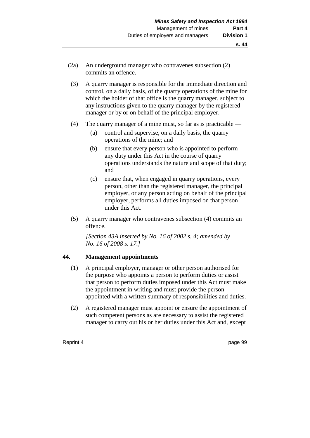- (2a) An underground manager who contravenes subsection (2) commits an offence.
- (3) A quarry manager is responsible for the immediate direction and control, on a daily basis, of the quarry operations of the mine for which the holder of that office is the quarry manager, subject to any instructions given to the quarry manager by the registered manager or by or on behalf of the principal employer.
- (4) The quarry manager of a mine must, so far as is practicable
	- (a) control and supervise, on a daily basis, the quarry operations of the mine; and
	- (b) ensure that every person who is appointed to perform any duty under this Act in the course of quarry operations understands the nature and scope of that duty; and
	- (c) ensure that, when engaged in quarry operations, every person, other than the registered manager, the principal employer, or any person acting on behalf of the principal employer, performs all duties imposed on that person under this Act.
- (5) A quarry manager who contravenes subsection (4) commits an offence.

*[Section 43A inserted by No. 16 of 2002 s. 4; amended by No. 16 of 2008 s. 17.]*

# **44. Management appointments**

- (1) A principal employer, manager or other person authorised for the purpose who appoints a person to perform duties or assist that person to perform duties imposed under this Act must make the appointment in writing and must provide the person appointed with a written summary of responsibilities and duties.
- (2) A registered manager must appoint or ensure the appointment of such competent persons as are necessary to assist the registered manager to carry out his or her duties under this Act and, except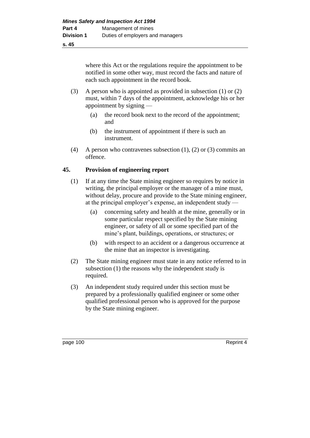where this Act or the regulations require the appointment to be notified in some other way, must record the facts and nature of each such appointment in the record book.

- (3) A person who is appointed as provided in subsection (1) or (2) must, within 7 days of the appointment, acknowledge his or her appointment by signing —
	- (a) the record book next to the record of the appointment; and
	- (b) the instrument of appointment if there is such an instrument.
- (4) A person who contravenes subsection (1), (2) or (3) commits an offence.

# **45. Provision of engineering report**

- (1) If at any time the State mining engineer so requires by notice in writing, the principal employer or the manager of a mine must, without delay, procure and provide to the State mining engineer, at the principal employer's expense, an independent study —
	- (a) concerning safety and health at the mine, generally or in some particular respect specified by the State mining engineer, or safety of all or some specified part of the mine's plant, buildings, operations, or structures; or
	- (b) with respect to an accident or a dangerous occurrence at the mine that an inspector is investigating.
- (2) The State mining engineer must state in any notice referred to in subsection (1) the reasons why the independent study is required.
- (3) An independent study required under this section must be prepared by a professionally qualified engineer or some other qualified professional person who is approved for the purpose by the State mining engineer.

page 100 Reprint 4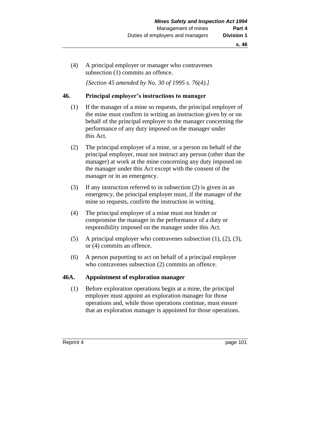(4) A principal employer or manager who contravenes subsection (1) commits an offence.

*[Section 45 amended by No. 30 of 1995 s. 76(4).]* 

## **46. Principal employer's instructions to manager**

- (1) If the manager of a mine so requests, the principal employer of the mine must confirm in writing an instruction given by or on behalf of the principal employer to the manager concerning the performance of any duty imposed on the manager under this Act.
- (2) The principal employer of a mine, or a person on behalf of the principal employer, must not instruct any person (other than the manager) at work at the mine concerning any duty imposed on the manager under this Act except with the consent of the manager or in an emergency.
- (3) If any instruction referred to in subsection (2) is given in an emergency, the principal employer must, if the manager of the mine so requests, confirm the instruction in writing.
- (4) The principal employer of a mine must not hinder or compromise the manager in the performance of a duty or responsibility imposed on the manager under this Act.
- (5) A principal employer who contravenes subsection (1), (2), (3), or (4) commits an offence.
- (6) A person purporting to act on behalf of a principal employer who contravenes subsection (2) commits an offence.

### **46A. Appointment of exploration manager**

(1) Before exploration operations begin at a mine, the principal employer must appoint an exploration manager for those operations and, while those operations continue, must ensure that an exploration manager is appointed for those operations.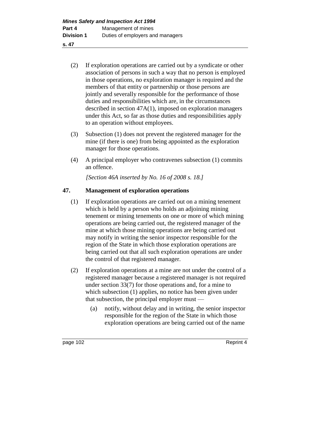- (2) If exploration operations are carried out by a syndicate or other association of persons in such a way that no person is employed in those operations, no exploration manager is required and the members of that entity or partnership or those persons are jointly and severally responsible for the performance of those duties and responsibilities which are, in the circumstances described in section 47A(1), imposed on exploration managers under this Act, so far as those duties and responsibilities apply to an operation without employees.
- (3) Subsection (1) does not prevent the registered manager for the mine (if there is one) from being appointed as the exploration manager for those operations.
- (4) A principal employer who contravenes subsection (1) commits an offence.

*[Section 46A inserted by No. 16 of 2008 s. 18.]*

# **47. Management of exploration operations**

- (1) If exploration operations are carried out on a mining tenement which is held by a person who holds an adjoining mining tenement or mining tenements on one or more of which mining operations are being carried out, the registered manager of the mine at which those mining operations are being carried out may notify in writing the senior inspector responsible for the region of the State in which those exploration operations are being carried out that all such exploration operations are under the control of that registered manager.
- (2) If exploration operations at a mine are not under the control of a registered manager because a registered manager is not required under section 33(7) for those operations and, for a mine to which subsection (1) applies, no notice has been given under that subsection, the principal employer must —
	- (a) notify, without delay and in writing, the senior inspector responsible for the region of the State in which those exploration operations are being carried out of the name

page 102 Reprint 4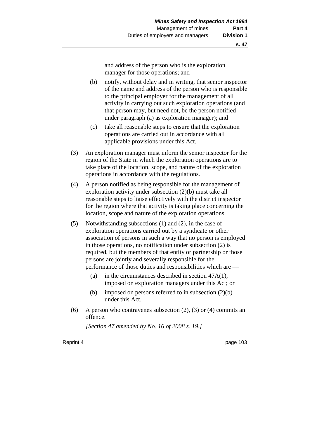and address of the person who is the exploration manager for those operations; and

- (b) notify, without delay and in writing, that senior inspector of the name and address of the person who is responsible to the principal employer for the management of all activity in carrying out such exploration operations (and that person may, but need not, be the person notified under paragraph (a) as exploration manager); and
- (c) take all reasonable steps to ensure that the exploration operations are carried out in accordance with all applicable provisions under this Act.
- (3) An exploration manager must inform the senior inspector for the region of the State in which the exploration operations are to take place of the location, scope, and nature of the exploration operations in accordance with the regulations.
- (4) A person notified as being responsible for the management of exploration activity under subsection (2)(b) must take all reasonable steps to liaise effectively with the district inspector for the region where that activity is taking place concerning the location, scope and nature of the exploration operations.
- (5) Notwithstanding subsections (1) and (2), in the case of exploration operations carried out by a syndicate or other association of persons in such a way that no person is employed in those operations, no notification under subsection (2) is required, but the members of that entity or partnership or those persons are jointly and severally responsible for the performance of those duties and responsibilities which are —
	- (a) in the circumstances described in section 47A(1), imposed on exploration managers under this Act; or
	- (b) imposed on persons referred to in subsection  $(2)(b)$ under this Act.
- (6) A person who contravenes subsection (2), (3) or (4) commits an offence.

*[Section 47 amended by No. 16 of 2008 s. 19.]*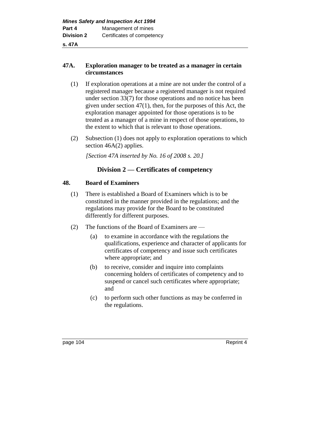# **47A. Exploration manager to be treated as a manager in certain circumstances**

- (1) If exploration operations at a mine are not under the control of a registered manager because a registered manager is not required under section 33(7) for those operations and no notice has been given under section 47(1), then, for the purposes of this Act, the exploration manager appointed for those operations is to be treated as a manager of a mine in respect of those operations, to the extent to which that is relevant to those operations.
- (2) Subsection (1) does not apply to exploration operations to which section 46A(2) applies.

*[Section 47A inserted by No. 16 of 2008 s. 20.]*

# **Division 2 — Certificates of competency**

### **48. Board of Examiners**

- (1) There is established a Board of Examiners which is to be constituted in the manner provided in the regulations; and the regulations may provide for the Board to be constituted differently for different purposes.
- (2) The functions of the Board of Examiners are
	- (a) to examine in accordance with the regulations the qualifications, experience and character of applicants for certificates of competency and issue such certificates where appropriate; and
	- (b) to receive, consider and inquire into complaints concerning holders of certificates of competency and to suspend or cancel such certificates where appropriate; and
	- (c) to perform such other functions as may be conferred in the regulations.

page 104 Reprint 4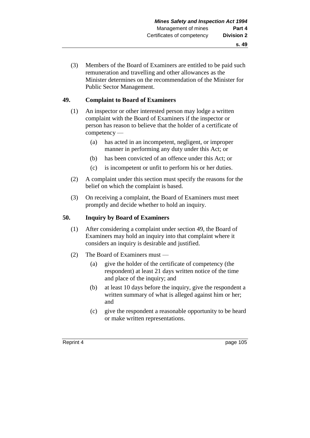(3) Members of the Board of Examiners are entitled to be paid such remuneration and travelling and other allowances as the Minister determines on the recommendation of the Minister for Public Sector Management.

### **49. Complaint to Board of Examiners**

- (1) An inspector or other interested person may lodge a written complaint with the Board of Examiners if the inspector or person has reason to believe that the holder of a certificate of competency —
	- (a) has acted in an incompetent, negligent, or improper manner in performing any duty under this Act; or
	- (b) has been convicted of an offence under this Act; or
	- (c) is incompetent or unfit to perform his or her duties.
- (2) A complaint under this section must specify the reasons for the belief on which the complaint is based.
- (3) On receiving a complaint, the Board of Examiners must meet promptly and decide whether to hold an inquiry.

# **50. Inquiry by Board of Examiners**

- (1) After considering a complaint under section 49, the Board of Examiners may hold an inquiry into that complaint where it considers an inquiry is desirable and justified.
- (2) The Board of Examiners must
	- (a) give the holder of the certificate of competency (the respondent) at least 21 days written notice of the time and place of the inquiry; and
	- (b) at least 10 days before the inquiry, give the respondent a written summary of what is alleged against him or her; and
	- (c) give the respondent a reasonable opportunity to be heard or make written representations.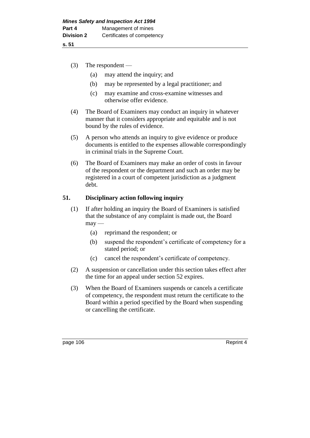- (3) The respondent
	- (a) may attend the inquiry; and
	- (b) may be represented by a legal practitioner; and
	- (c) may examine and cross-examine witnesses and otherwise offer evidence.
- (4) The Board of Examiners may conduct an inquiry in whatever manner that it considers appropriate and equitable and is not bound by the rules of evidence.
- (5) A person who attends an inquiry to give evidence or produce documents is entitled to the expenses allowable correspondingly in criminal trials in the Supreme Court.
- (6) The Board of Examiners may make an order of costs in favour of the respondent or the department and such an order may be registered in a court of competent jurisdiction as a judgment debt.

# **51. Disciplinary action following inquiry**

- (1) If after holding an inquiry the Board of Examiners is satisfied that the substance of any complaint is made out, the Board  $may -$ 
	- (a) reprimand the respondent; or
	- (b) suspend the respondent's certificate of competency for a stated period; or
	- (c) cancel the respondent's certificate of competency.
- (2) A suspension or cancellation under this section takes effect after the time for an appeal under section 52 expires.
- (3) When the Board of Examiners suspends or cancels a certificate of competency, the respondent must return the certificate to the Board within a period specified by the Board when suspending or cancelling the certificate.

page 106 Reprint 4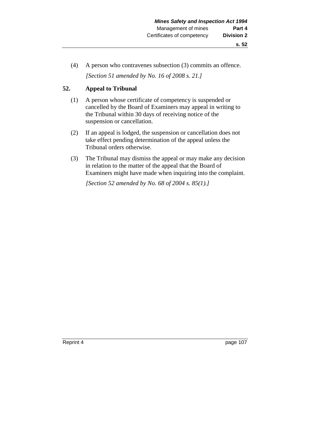- **s. 52**
- (4) A person who contravenes subsection (3) commits an offence. *[Section 51 amended by No. 16 of 2008 s. 21.]*

# **52. Appeal to Tribunal**

- (1) A person whose certificate of competency is suspended or cancelled by the Board of Examiners may appeal in writing to the Tribunal within 30 days of receiving notice of the suspension or cancellation.
- (2) If an appeal is lodged, the suspension or cancellation does not take effect pending determination of the appeal unless the Tribunal orders otherwise.
- (3) The Tribunal may dismiss the appeal or may make any decision in relation to the matter of the appeal that the Board of Examiners might have made when inquiring into the complaint.

*[Section 52 amended by No. 68 of 2004 s. 85(1).]*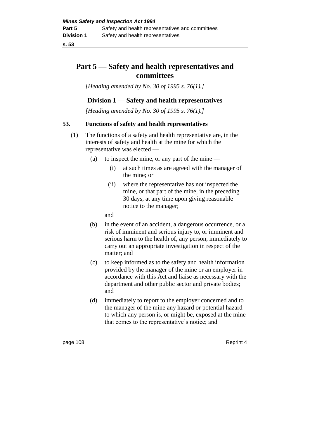# **Part 5 — Safety and health representatives and committees**

*[Heading amended by No. 30 of 1995 s. 76(1).]* 

# **Division 1 — Safety and health representatives**

*[Heading amended by No. 30 of 1995 s. 76(1).]* 

# **53. Functions of safety and health representatives**

- (1) The functions of a safety and health representative are, in the interests of safety and health at the mine for which the representative was elected —
	- (a) to inspect the mine, or any part of the mine
		- (i) at such times as are agreed with the manager of the mine; or
		- (ii) where the representative has not inspected the mine, or that part of the mine, in the preceding 30 days, at any time upon giving reasonable notice to the manager;

and

- (b) in the event of an accident, a dangerous occurrence, or a risk of imminent and serious injury to, or imminent and serious harm to the health of, any person, immediately to carry out an appropriate investigation in respect of the matter; and
- (c) to keep informed as to the safety and health information provided by the manager of the mine or an employer in accordance with this Act and liaise as necessary with the department and other public sector and private bodies; and
- (d) immediately to report to the employer concerned and to the manager of the mine any hazard or potential hazard to which any person is, or might be, exposed at the mine that comes to the representative's notice; and

page 108 Reprint 4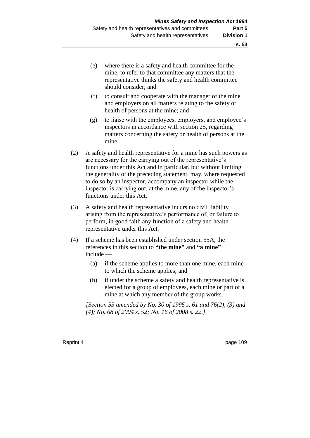- (e) where there is a safety and health committee for the mine, to refer to that committee any matters that the representative thinks the safety and health committee should consider; and
- (f) to consult and cooperate with the manager of the mine and employers on all matters relating to the safety or health of persons at the mine; and
- (g) to liaise with the employees, employers, and employee's inspectors in accordance with section 25, regarding matters concerning the safety or health of persons at the mine.
- (2) A safety and health representative for a mine has such powers as are necessary for the carrying out of the representative's functions under this Act and in particular, but without limiting the generality of the preceding statement, may, where requested to do so by an inspector, accompany an inspector while the inspector is carrying out, at the mine, any of the inspector's functions under this Act.
- (3) A safety and health representative incurs no civil liability arising from the representative's performance of, or failure to perform, in good faith any function of a safety and health representative under this Act.
- (4) If a scheme has been established under section 55A, the references in this section to **"the mine"** and **"a mine"** include —
	- (a) if the scheme applies to more than one mine, each mine to which the scheme applies; and
	- (b) if under the scheme a safety and health representative is elected for a group of employees, each mine or part of a mine at which any member of the group works.

*[Section 53 amended by No. 30 of 1995 s. 61 and 76(2), (3) and (4); No. 68 of 2004 s. 52; No. 16 of 2008 s. 22.]*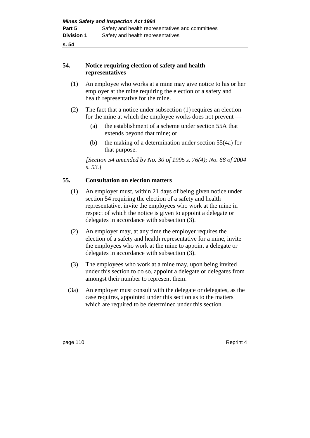# **54. Notice requiring election of safety and health representatives**

- (1) An employee who works at a mine may give notice to his or her employer at the mine requiring the election of a safety and health representative for the mine.
- (2) The fact that a notice under subsection (1) requires an election for the mine at which the employee works does not prevent —
	- (a) the establishment of a scheme under section 55A that extends beyond that mine; or
	- (b) the making of a determination under section 55(4a) for that purpose.

*[Section 54 amended by No. 30 of 1995 s. 76(4); No. 68 of 2004 s. 53.]* 

# **55. Consultation on election matters**

- (1) An employer must, within 21 days of being given notice under section 54 requiring the election of a safety and health representative, invite the employees who work at the mine in respect of which the notice is given to appoint a delegate or delegates in accordance with subsection (3).
- (2) An employer may, at any time the employer requires the election of a safety and health representative for a mine, invite the employees who work at the mine to appoint a delegate or delegates in accordance with subsection (3).
- (3) The employees who work at a mine may, upon being invited under this section to do so, appoint a delegate or delegates from amongst their number to represent them.
- (3a) An employer must consult with the delegate or delegates, as the case requires, appointed under this section as to the matters which are required to be determined under this section.

page 110 Reprint 4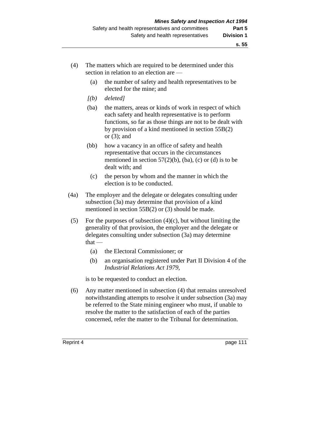- (4) The matters which are required to be determined under this section in relation to an election are —
	- (a) the number of safety and health representatives to be elected for the mine; and
	- *[(b) deleted]*
	- (ba) the matters, areas or kinds of work in respect of which each safety and health representative is to perform functions, so far as those things are not to be dealt with by provision of a kind mentioned in section 55B(2) or (3); and
	- (bb) how a vacancy in an office of safety and health representative that occurs in the circumstances mentioned in section  $57(2)(b)$ , (ba), (c) or (d) is to be dealt with; and
		- (c) the person by whom and the manner in which the election is to be conducted.
- (4a) The employer and the delegate or delegates consulting under subsection (3a) may determine that provision of a kind mentioned in section 55B(2) or (3) should be made.
- (5) For the purposes of subsection  $(4)(c)$ , but without limiting the generality of that provision, the employer and the delegate or delegates consulting under subsection (3a) may determine  $that -$ 
	- (a) the Electoral Commissioner; or
	- (b) an organisation registered under Part II Division 4 of the *Industrial Relations Act 1979*,

is to be requested to conduct an election.

(6) Any matter mentioned in subsection (4) that remains unresolved notwithstanding attempts to resolve it under subsection (3a) may be referred to the State mining engineer who must, if unable to resolve the matter to the satisfaction of each of the parties concerned, refer the matter to the Tribunal for determination.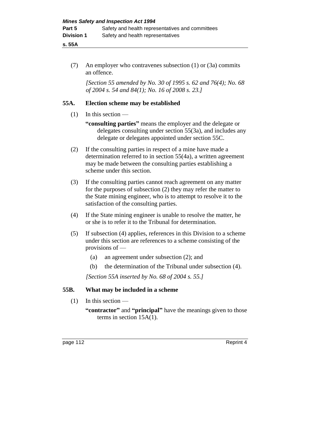**s. 55A**

(7) An employer who contravenes subsection (1) or (3a) commits an offence.

*[Section 55 amended by No. 30 of 1995 s. 62 and 76(4); No. 68 of 2004 s. 54 and 84(1); No. 16 of 2008 s. 23.]*

# **55A. Election scheme may be established**

- (1) In this section
	- **"consulting parties"** means the employer and the delegate or delegates consulting under section 55(3a), and includes any delegate or delegates appointed under section 55C.
- (2) If the consulting parties in respect of a mine have made a determination referred to in section 55(4a), a written agreement may be made between the consulting parties establishing a scheme under this section.
- (3) If the consulting parties cannot reach agreement on any matter for the purposes of subsection (2) they may refer the matter to the State mining engineer, who is to attempt to resolve it to the satisfaction of the consulting parties.
- (4) If the State mining engineer is unable to resolve the matter, he or she is to refer it to the Tribunal for determination.
- (5) If subsection (4) applies, references in this Division to a scheme under this section are references to a scheme consisting of the provisions of —
	- (a) an agreement under subsection (2); and
	- (b) the determination of the Tribunal under subsection (4).

*[Section 55A inserted by No. 68 of 2004 s. 55.]*

# **55B. What may be included in a scheme**

(1) In this section —

**<sup>&</sup>quot;contractor"** and **"principal"** have the meanings given to those terms in section 15A(1).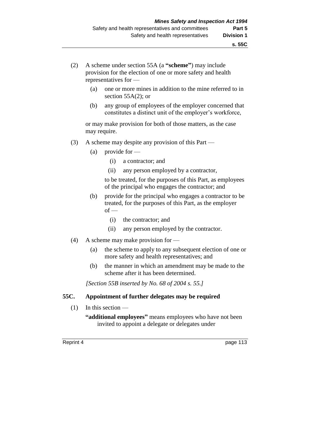- (2) A scheme under section 55A (a **"scheme"**) may include provision for the election of one or more safety and health representatives for —
	- (a) one or more mines in addition to the mine referred to in section 55A(2); or
	- (b) any group of employees of the employer concerned that constitutes a distinct unit of the employer's workforce,

or may make provision for both of those matters, as the case may require.

- (3) A scheme may despite any provision of this Part
	- (a) provide for
		- (i) a contractor; and
		- (ii) any person employed by a contractor,

to be treated, for the purposes of this Part, as employees of the principal who engages the contractor; and

- (b) provide for the principal who engages a contractor to be treated, for the purposes of this Part, as the employer  $of$  —
	- (i) the contractor; and
	- (ii) any person employed by the contractor.
- (4) A scheme may make provision for
	- (a) the scheme to apply to any subsequent election of one or more safety and health representatives; and
	- (b) the manner in which an amendment may be made to the scheme after it has been determined.

*[Section 55B inserted by No. 68 of 2004 s. 55.]*

#### **55C. Appointment of further delegates may be required**

(1) In this section —

**"additional employees"** means employees who have not been invited to appoint a delegate or delegates under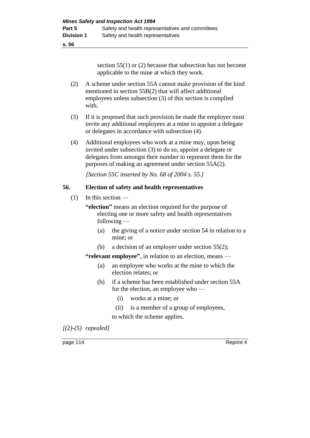section 55(1) or (2) because that subsection has not become applicable to the mine at which they work.

- (2) A scheme under section 55A cannot make provision of the kind mentioned in section 55B(2) that will affect additional employees unless subsection (3) of this section is complied with.
- (3) If it is proposed that such provision be made the employer must invite any additional employees at a mine to appoint a delegate or delegates in accordance with subsection (4).
- (4) Additional employees who work at a mine may, upon being invited under subsection (3) to do so, appoint a delegate or delegates from amongst their number to represent them for the purposes of making an agreement under section 55A(2).

*[Section 55C inserted by No. 68 of 2004 s. 55.]*

# **56. Election of safety and health representatives**

- (1) In this section
	- **"election"** means an election required for the purpose of electing one or more safety and health representatives following —
		- (a) the giving of a notice under section 54 in relation to a mine; or
		- (b) a decision of an employer under section 55(2);

**"relevant employee"**, in relation to an election, means —

- (a) an employee who works at the mine to which the election relates; or
- (b) if a scheme has been established under section 55A for the election, an employee who —
	- (i) works at a mine; or
	- (ii) is a member of a group of employees,

to which the scheme applies.

*[(2)-(5) repealed]*

page 114 Reprint 4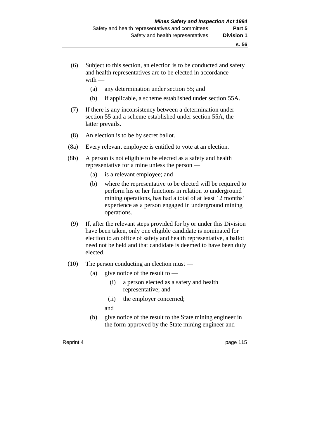- (6) Subject to this section, an election is to be conducted and safety and health representatives are to be elected in accordance with —
	- (a) any determination under section 55; and
	- (b) if applicable, a scheme established under section 55A.
- (7) If there is any inconsistency between a determination under section 55 and a scheme established under section 55A, the latter prevails.
- (8) An election is to be by secret ballot.
- (8a) Every relevant employee is entitled to vote at an election.
- (8b) A person is not eligible to be elected as a safety and health representative for a mine unless the person —
	- (a) is a relevant employee; and
	- (b) where the representative to be elected will be required to perform his or her functions in relation to underground mining operations, has had a total of at least 12 months' experience as a person engaged in underground mining operations.
- (9) If, after the relevant steps provided for by or under this Division have been taken, only one eligible candidate is nominated for election to an office of safety and health representative, a ballot need not be held and that candidate is deemed to have been duly elected.
- (10) The person conducting an election must
	- (a) give notice of the result to  $\overline{\phantom{a}}$ 
		- (i) a person elected as a safety and health representative; and
		- (ii) the employer concerned;
		- and
	- (b) give notice of the result to the State mining engineer in the form approved by the State mining engineer and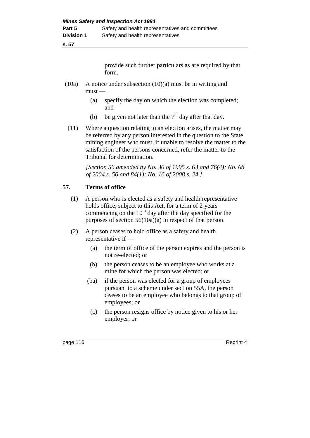provide such further particulars as are required by that form.

- (10a) A notice under subsection (10)(a) must be in writing and must —
	- (a) specify the day on which the election was completed; and
	- (b) be given not later than the  $7<sup>th</sup>$  day after that day.
	- (11) Where a question relating to an election arises, the matter may be referred by any person interested in the question to the State mining engineer who must, if unable to resolve the matter to the satisfaction of the persons concerned, refer the matter to the Tribunal for determination.

*[Section 56 amended by No. 30 of 1995 s. 63 and 76(4); No. 68 of 2004 s. 56 and 84(1); No. 16 of 2008 s. 24.]* 

# **57. Terms of office**

- (1) A person who is elected as a safety and health representative holds office, subject to this Act, for a term of 2 years commencing on the  $10<sup>th</sup>$  day after the day specified for the purposes of section 56(10a)(a) in respect of that person.
- (2) A person ceases to hold office as a safety and health representative if —
	- (a) the term of office of the person expires and the person is not re-elected; or
	- (b) the person ceases to be an employee who works at a mine for which the person was elected; or
	- (ba) if the person was elected for a group of employees pursuant to a scheme under section 55A, the person ceases to be an employee who belongs to that group of employees; or
	- (c) the person resigns office by notice given to his or her employer; or

page 116 Reprint 4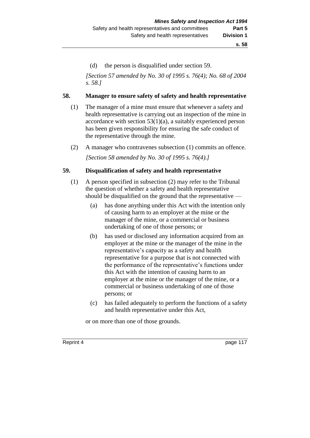(d) the person is disqualified under section 59.

*[Section 57 amended by No. 30 of 1995 s. 76(4); No. 68 of 2004 s. 58.]* 

### **58. Manager to ensure safety of safety and health representative**

- (1) The manager of a mine must ensure that whenever a safety and health representative is carrying out an inspection of the mine in accordance with section  $53(1)(a)$ , a suitably experienced person has been given responsibility for ensuring the safe conduct of the representative through the mine.
- (2) A manager who contravenes subsection (1) commits an offence.

*[Section 58 amended by No. 30 of 1995 s. 76(4).]* 

# **59. Disqualification of safety and health representative**

- (1) A person specified in subsection (2) may refer to the Tribunal the question of whether a safety and health representative should be disqualified on the ground that the representative —
	- (a) has done anything under this Act with the intention only of causing harm to an employer at the mine or the manager of the mine, or a commercial or business undertaking of one of those persons; or
	- (b) has used or disclosed any information acquired from an employer at the mine or the manager of the mine in the representative's capacity as a safety and health representative for a purpose that is not connected with the performance of the representative's functions under this Act with the intention of causing harm to an employer at the mine or the manager of the mine, or a commercial or business undertaking of one of those persons; or
	- (c) has failed adequately to perform the functions of a safety and health representative under this Act,

or on more than one of those grounds.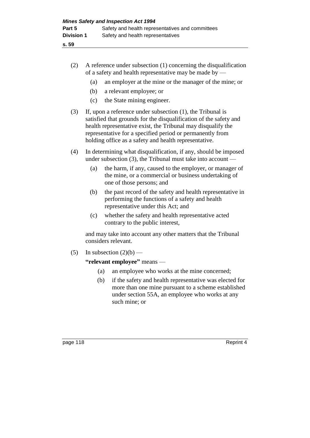| (2) | A reference under subsection $(1)$ concerning the disqualification |
|-----|--------------------------------------------------------------------|
|     | of a safety and health representative may be made by $-$           |

- (a) an employer at the mine or the manager of the mine; or
- (b) a relevant employee; or
- (c) the State mining engineer.
- (3) If, upon a reference under subsection (1), the Tribunal is satisfied that grounds for the disqualification of the safety and health representative exist, the Tribunal may disqualify the representative for a specified period or permanently from holding office as a safety and health representative.
- (4) In determining what disqualification, if any, should be imposed under subsection  $(3)$ , the Tribunal must take into account —
	- (a) the harm, if any, caused to the employer, or manager of the mine, or a commercial or business undertaking of one of those persons; and
	- (b) the past record of the safety and health representative in performing the functions of a safety and health representative under this Act; and
	- (c) whether the safety and health representative acted contrary to the public interest,

and may take into account any other matters that the Tribunal considers relevant.

(5) In subsection  $(2)(b)$  —

# **"relevant employee"** means —

- (a) an employee who works at the mine concerned;
- (b) if the safety and health representative was elected for more than one mine pursuant to a scheme established under section 55A, an employee who works at any such mine; or

page 118 Reprint 4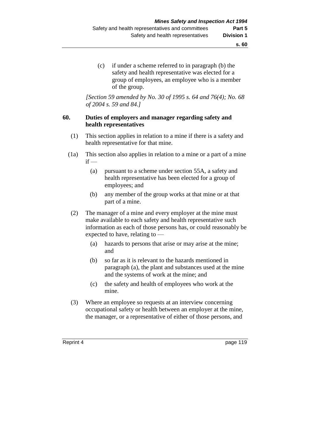(c) if under a scheme referred to in paragraph (b) the safety and health representative was elected for a group of employees, an employee who is a member of the group.

*[Section 59 amended by No. 30 of 1995 s. 64 and 76(4); No. 68 of 2004 s. 59 and 84.]* 

# **60. Duties of employers and manager regarding safety and health representatives**

- (1) This section applies in relation to a mine if there is a safety and health representative for that mine.
- (1a) This section also applies in relation to a mine or a part of a mine  $if -$ 
	- (a) pursuant to a scheme under section 55A, a safety and health representative has been elected for a group of employees; and
	- (b) any member of the group works at that mine or at that part of a mine.
	- (2) The manager of a mine and every employer at the mine must make available to each safety and health representative such information as each of those persons has, or could reasonably be expected to have, relating to —
		- (a) hazards to persons that arise or may arise at the mine; and
		- (b) so far as it is relevant to the hazards mentioned in paragraph (a), the plant and substances used at the mine and the systems of work at the mine; and
		- (c) the safety and health of employees who work at the mine.
	- (3) Where an employee so requests at an interview concerning occupational safety or health between an employer at the mine, the manager, or a representative of either of those persons, and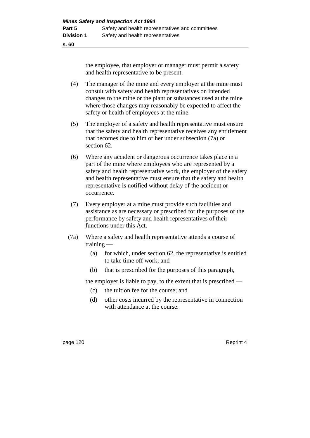the employee, that employer or manager must permit a safety and health representative to be present.

- (4) The manager of the mine and every employer at the mine must consult with safety and health representatives on intended changes to the mine or the plant or substances used at the mine where those changes may reasonably be expected to affect the safety or health of employees at the mine.
- (5) The employer of a safety and health representative must ensure that the safety and health representative receives any entitlement that becomes due to him or her under subsection (7a) or section 62.
- (6) Where any accident or dangerous occurrence takes place in a part of the mine where employees who are represented by a safety and health representative work, the employer of the safety and health representative must ensure that the safety and health representative is notified without delay of the accident or occurrence.
- (7) Every employer at a mine must provide such facilities and assistance as are necessary or prescribed for the purposes of the performance by safety and health representatives of their functions under this Act.
- (7a) Where a safety and health representative attends a course of training —
	- (a) for which, under section  $62$ , the representative is entitled to take time off work; and
	- (b) that is prescribed for the purposes of this paragraph,

the employer is liable to pay, to the extent that is prescribed —

- (c) the tuition fee for the course; and
- (d) other costs incurred by the representative in connection with attendance at the course.

page 120 Reprint 4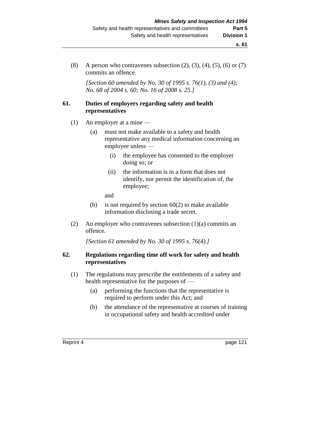(8) A person who contravenes subsection  $(2)$ ,  $(3)$ ,  $(4)$ ,  $(5)$ ,  $(6)$  or  $(7)$ commits an offence.

*[Section 60 amended by No. 30 of 1995 s. 76(1), (3) and (4); No. 68 of 2004 s. 60; No. 16 of 2008 s. 25.]* 

#### **61. Duties of employers regarding safety and health representatives**

- (1) An employer at a mine
	- (a) must not make available to a safety and health representative any medical information concerning an employee unless —
		- (i) the employee has consented to the employer doing so; or
		- (ii) the information is in a form that does not identify, nor permit the identification of, the employee;

and

- (b) is not required by section  $60(2)$  to make available information disclosing a trade secret.
- (2) An employer who contravenes subsection (1)(a) commits an offence.

*[Section 61 amended by No. 30 of 1995 s. 76(4).]* 

# **62. Regulations regarding time off work for safety and health representatives**

- (1) The regulations may prescribe the entitlements of a safety and health representative for the purposes of —
	- (a) performing the functions that the representative is required to perform under this Act; and
	- (b) the attendance of the representative at courses of training in occupational safety and health accredited under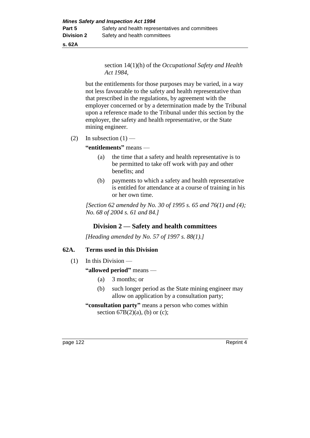**s. 62A**

section 14(1)(h) of the *Occupational Safety and Health Act 1984*,

but the entitlements for those purposes may be varied, in a way not less favourable to the safety and health representative than that prescribed in the regulations, by agreement with the employer concerned or by a determination made by the Tribunal upon a reference made to the Tribunal under this section by the employer, the safety and health representative, or the State mining engineer.

(2) In subsection  $(1)$  —

**"entitlements"** means —

- (a) the time that a safety and health representative is to be permitted to take off work with pay and other benefits; and
- (b) payments to which a safety and health representative is entitled for attendance at a course of training in his or her own time.

*[Section 62 amended by No. 30 of 1995 s. 65 and 76(1) and (4); No. 68 of 2004 s. 61 and 84.]* 

# **Division 2 — Safety and health committees**

*[Heading amended by No. 57 of 1997 s. 88(1).]*

# **62A. Terms used in this Division**

(1) In this Division —

**"allowed period"** means —

- (a) 3 months; or
- (b) such longer period as the State mining engineer may allow on application by a consultation party;
- **"consultation party"** means a person who comes within section  $67B(2)(a)$ , (b) or (c);

page 122 Reprint 4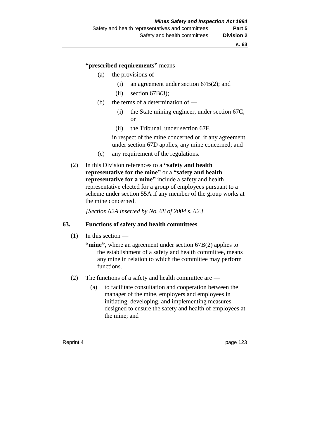**"prescribed requirements"** means —

- (a) the provisions of  $-$ 
	- (i) an agreement under section 67B(2); and
	- (ii) section  $67B(3)$ ;
- (b) the terms of a determination of
	- (i) the State mining engineer, under section 67C; or
	- (ii) the Tribunal, under section 67F,

in respect of the mine concerned or, if any agreement under section 67D applies, any mine concerned; and

- (c) any requirement of the regulations.
- (2) In this Division references to a **"safety and health representative for the mine"** or a **"safety and health representative for a mine"** include a safety and health representative elected for a group of employees pursuant to a scheme under section 55A if any member of the group works at the mine concerned.

*[Section 62A inserted by No. 68 of 2004 s. 62.]*

#### **63. Functions of safety and health committees**

- (1) In this section
	- "mine", where an agreement under section 67B(2) applies to the establishment of a safety and health committee, means any mine in relation to which the committee may perform functions.
- (2) The functions of a safety and health committee are
	- (a) to facilitate consultation and cooperation between the manager of the mine, employers and employees in initiating, developing, and implementing measures designed to ensure the safety and health of employees at the mine; and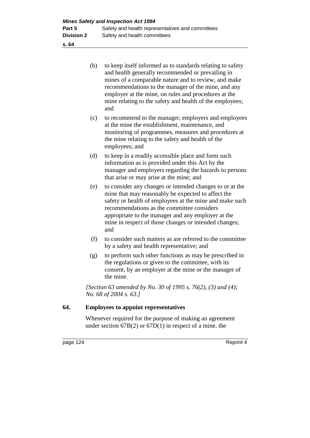| (b) | to keep itself informed as to standards relating to safety |
|-----|------------------------------------------------------------|
|     | and health generally recommended or prevailing in          |
|     | mines of a comparable nature and to review, and make       |
|     | recommendations to the manager of the mine, and any        |
|     | employer at the mine, on rules and procedures at the       |
|     | mine relating to the safety and health of the employees;   |
|     | and                                                        |

- (c) to recommend to the manager, employers and employees at the mine the establishment, maintenance, and monitoring of programmes, measures and procedures at the mine relating to the safety and health of the employees; and
- (d) to keep in a readily accessible place and form such information as is provided under this Act by the manager and employers regarding the hazards to persons that arise or may arise at the mine; and
- (e) to consider any changes or intended changes to or at the mine that may reasonably be expected to affect the safety or health of employees at the mine and make such recommendations as the committee considers appropriate to the manager and any employer at the mine in respect of those changes or intended changes; and
- (f) to consider such matters as are referred to the committee by a safety and health representative; and
- (g) to perform such other functions as may be prescribed in the regulations or given to the committee, with its consent, by an employer at the mine or the manager of the mine.

*[Section 63 amended by No. 30 of 1995 s. 76(2), (3) and (4); No. 68 of 2004 s. 63.]* 

### **64. Employees to appoint representatives**

Whenever required for the purpose of making an agreement under section  $67B(2)$  or  $67D(1)$  in respect of a mine, the

page 124 Reprint 4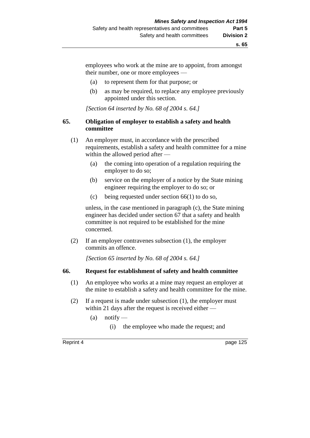employees who work at the mine are to appoint, from amongst their number, one or more employees —

- (a) to represent them for that purpose; or
- (b) as may be required, to replace any employee previously appointed under this section.

*[Section 64 inserted by No. 68 of 2004 s. 64.]*

#### **65. Obligation of employer to establish a safety and health committee**

- (1) An employer must, in accordance with the prescribed requirements, establish a safety and health committee for a mine within the allowed period after —
	- (a) the coming into operation of a regulation requiring the employer to do so;
	- (b) service on the employer of a notice by the State mining engineer requiring the employer to do so; or
	- (c) being requested under section 66(1) to do so,

unless, in the case mentioned in paragraph (c), the State mining engineer has decided under section 67 that a safety and health committee is not required to be established for the mine concerned.

(2) If an employer contravenes subsection (1), the employer commits an offence.

*[Section 65 inserted by No. 68 of 2004 s. 64.]*

#### **66. Request for establishment of safety and health committee**

- (1) An employee who works at a mine may request an employer at the mine to establish a safety and health committee for the mine.
- (2) If a request is made under subsection (1), the employer must within 21 days after the request is received either —
	- $(a)$  notify
		- (i) the employee who made the request; and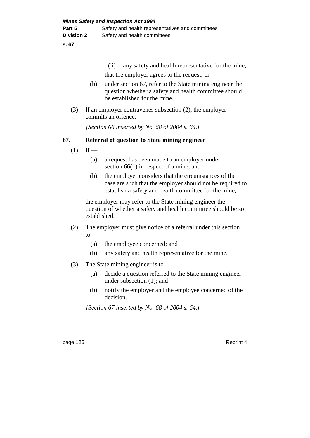(ii) any safety and health representative for the mine,

that the employer agrees to the request; or

- (b) under section 67, refer to the State mining engineer the question whether a safety and health committee should be established for the mine.
- (3) If an employer contravenes subsection (2), the employer commits an offence.

*[Section 66 inserted by No. 68 of 2004 s. 64.]*

# **67. Referral of question to State mining engineer**

- $(1)$  If
	- (a) a request has been made to an employer under section 66(1) in respect of a mine; and
	- (b) the employer considers that the circumstances of the case are such that the employer should not be required to establish a safety and health committee for the mine,

the employer may refer to the State mining engineer the question of whether a safety and health committee should be so established.

- (2) The employer must give notice of a referral under this section  $to -$ 
	- (a) the employee concerned; and
	- (b) any safety and health representative for the mine.
- (3) The State mining engineer is to
	- (a) decide a question referred to the State mining engineer under subsection (1); and
	- (b) notify the employer and the employee concerned of the decision.

*[Section 67 inserted by No. 68 of 2004 s. 64.]*

page 126 Reprint 4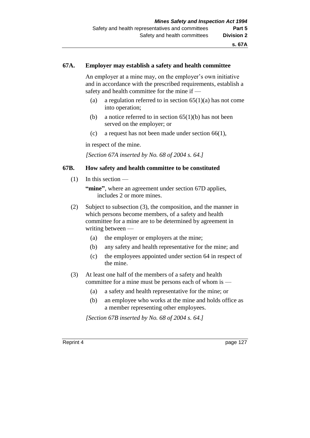### **67A. Employer may establish a safety and health committee**

An employer at a mine may, on the employer's own initiative and in accordance with the prescribed requirements, establish a safety and health committee for the mine if —

- (a) a regulation referred to in section  $65(1)(a)$  has not come into operation;
- (b) a notice referred to in section  $65(1)(b)$  has not been served on the employer; or
- (c) a request has not been made under section 66(1),

in respect of the mine.

*[Section 67A inserted by No. 68 of 2004 s. 64.]*

### **67B. How safety and health committee to be constituted**

 $(1)$  In this section —

"mine", where an agreement under section 67D applies, includes 2 or more mines.

- (2) Subject to subsection (3), the composition, and the manner in which persons become members, of a safety and health committee for a mine are to be determined by agreement in writing between —
	- (a) the employer or employers at the mine;
	- (b) any safety and health representative for the mine; and
	- (c) the employees appointed under section 64 in respect of the mine.
- (3) At least one half of the members of a safety and health committee for a mine must be persons each of whom is —
	- (a) a safety and health representative for the mine; or
	- (b) an employee who works at the mine and holds office as a member representing other employees.

*[Section 67B inserted by No. 68 of 2004 s. 64.]*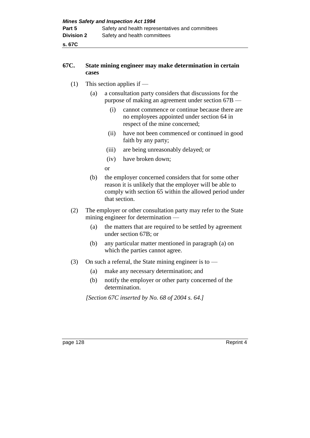**s. 67C**

# **67C. State mining engineer may make determination in certain cases**

- (1) This section applies if
	- (a) a consultation party considers that discussions for the purpose of making an agreement under section 67B —
		- (i) cannot commence or continue because there are no employees appointed under section 64 in respect of the mine concerned;
		- (ii) have not been commenced or continued in good faith by any party;
		- (iii) are being unreasonably delayed; or
		- (iv) have broken down;

or

- (b) the employer concerned considers that for some other reason it is unlikely that the employer will be able to comply with section 65 within the allowed period under that section.
- (2) The employer or other consultation party may refer to the State mining engineer for determination —
	- (a) the matters that are required to be settled by agreement under section 67B; or
	- (b) any particular matter mentioned in paragraph (a) on which the parties cannot agree.
- (3) On such a referral, the State mining engineer is to  $-$ 
	- (a) make any necessary determination; and
	- (b) notify the employer or other party concerned of the determination.

*[Section 67C inserted by No. 68 of 2004 s. 64.]*

page 128 Reprint 4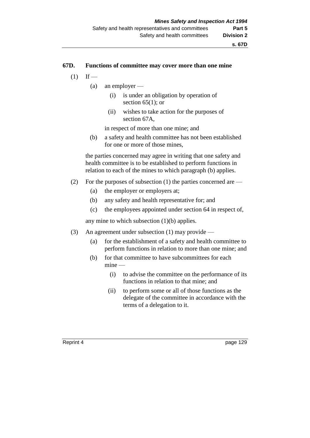#### **s. 67D**

#### **67D. Functions of committee may cover more than one mine**

- $(1)$  If
	- (a) an employer
		- (i) is under an obligation by operation of section  $65(1)$ ; or
		- (ii) wishes to take action for the purposes of section 67A,

in respect of more than one mine; and

(b) a safety and health committee has not been established for one or more of those mines,

the parties concerned may agree in writing that one safety and health committee is to be established to perform functions in relation to each of the mines to which paragraph (b) applies.

- (2) For the purposes of subsection (1) the parties concerned are  $-$ 
	- (a) the employer or employers at;
	- (b) any safety and health representative for; and
	- (c) the employees appointed under section 64 in respect of,

any mine to which subsection (1)(b) applies.

- (3) An agreement under subsection (1) may provide
	- (a) for the establishment of a safety and health committee to perform functions in relation to more than one mine; and
	- (b) for that committee to have subcommittees for each mine —
		- (i) to advise the committee on the performance of its functions in relation to that mine; and
		- (ii) to perform some or all of those functions as the delegate of the committee in accordance with the terms of a delegation to it.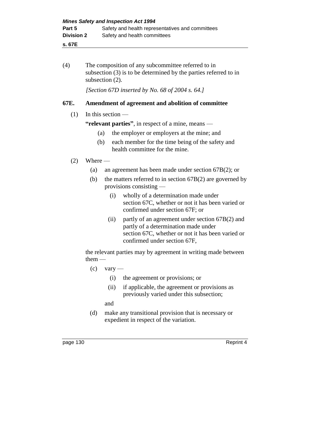## **s. 67E**

(4) The composition of any subcommittee referred to in subsection (3) is to be determined by the parties referred to in subsection (2).

*[Section 67D inserted by No. 68 of 2004 s. 64.]*

# **67E. Amendment of agreement and abolition of committee**

# (1) In this section —

**"relevant parties"**, in respect of a mine, means —

- (a) the employer or employers at the mine; and
- (b) each member for the time being of the safety and health committee for the mine.

# $(2)$  Where —

- (a) an agreement has been made under section 67B(2); or
- (b) the matters referred to in section 67B(2) are governed by provisions consisting —
	- (i) wholly of a determination made under section 67C, whether or not it has been varied or confirmed under section 67F; or
	- (ii) partly of an agreement under section 67B(2) and partly of a determination made under section 67C, whether or not it has been varied or confirmed under section 67F,

the relevant parties may by agreement in writing made between them —

- $(c)$  vary
	- (i) the agreement or provisions; or
	- (ii) if applicable, the agreement or provisions as previously varied under this subsection;

and

(d) make any transitional provision that is necessary or expedient in respect of the variation.

page 130 Reprint 4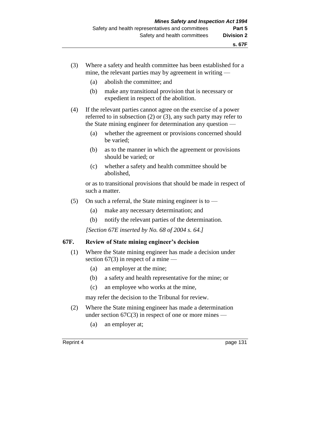- (3) Where a safety and health committee has been established for a mine, the relevant parties may by agreement in writing —
	- (a) abolish the committee; and
	- (b) make any transitional provision that is necessary or expedient in respect of the abolition.
- (4) If the relevant parties cannot agree on the exercise of a power referred to in subsection (2) or (3), any such party may refer to the State mining engineer for determination any question —
	- (a) whether the agreement or provisions concerned should be varied;
	- (b) as to the manner in which the agreement or provisions should be varied; or
	- (c) whether a safety and health committee should be abolished,

or as to transitional provisions that should be made in respect of such a matter.

- (5) On such a referral, the State mining engineer is to  $-$ 
	- (a) make any necessary determination; and
	- (b) notify the relevant parties of the determination.

*[Section 67E inserted by No. 68 of 2004 s. 64.]*

### **67F. Review of State mining engineer's decision**

- (1) Where the State mining engineer has made a decision under section  $67(3)$  in respect of a mine —
	- (a) an employer at the mine;
	- (b) a safety and health representative for the mine; or
	- (c) an employee who works at the mine,

may refer the decision to the Tribunal for review.

- (2) Where the State mining engineer has made a determination under section  $67C(3)$  in respect of one or more mines —
	- (a) an employer at;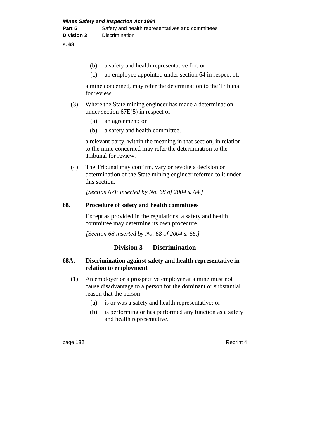- (b) a safety and health representative for; or
- (c) an employee appointed under section 64 in respect of,

a mine concerned, may refer the determination to the Tribunal for review.

- (3) Where the State mining engineer has made a determination under section  $67E(5)$  in respect of —
	- (a) an agreement; or
	- (b) a safety and health committee,

a relevant party, within the meaning in that section, in relation to the mine concerned may refer the determination to the Tribunal for review.

(4) The Tribunal may confirm, vary or revoke a decision or determination of the State mining engineer referred to it under this section.

*[Section 67F inserted by No. 68 of 2004 s. 64.]*

### **68. Procedure of safety and health committees**

Except as provided in the regulations, a safety and health committee may determine its own procedure.

*[Section 68 inserted by No. 68 of 2004 s. 66.]*

# **Division 3 — Discrimination**

# **68A. Discrimination against safety and health representative in relation to employment**

- (1) An employer or a prospective employer at a mine must not cause disadvantage to a person for the dominant or substantial reason that the person —
	- (a) is or was a safety and health representative; or
	- (b) is performing or has performed any function as a safety and health representative.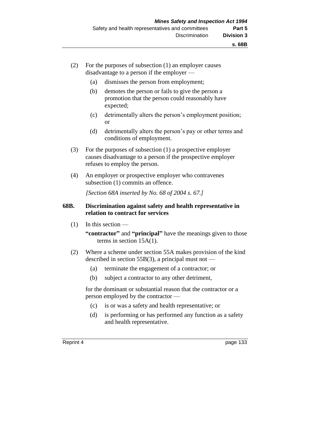- (2) For the purposes of subsection (1) an employer causes disadvantage to a person if the employer —
	- (a) dismisses the person from employment;
	- (b) demotes the person or fails to give the person a promotion that the person could reasonably have expected;
	- (c) detrimentally alters the person's employment position; or
	- (d) detrimentally alters the person's pay or other terms and conditions of employment.
- (3) For the purposes of subsection (1) a prospective employer causes disadvantage to a person if the prospective employer refuses to employ the person.
- (4) An employer or prospective employer who contravenes subsection (1) commits an offence.

*[Section 68A inserted by No. 68 of 2004 s. 67.]*

### **68B. Discrimination against safety and health representative in relation to contract for services**

(1) In this section —

**"contractor"** and **"principal"** have the meanings given to those terms in section 15A(1).

- (2) Where a scheme under section 55A makes provision of the kind described in section 55 $B(3)$ , a principal must not —
	- (a) terminate the engagement of a contractor; or
	- (b) subject a contractor to any other detriment,

for the dominant or substantial reason that the contractor or a person employed by the contractor —

- (c) is or was a safety and health representative; or
- (d) is performing or has performed any function as a safety and health representative.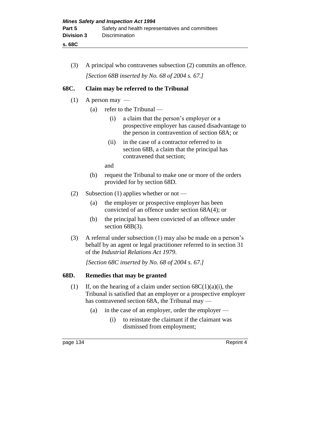**s. 68C**

(3) A principal who contravenes subsection (2) commits an offence. *[Section 68B inserted by No. 68 of 2004 s. 67.]*

# **68C. Claim may be referred to the Tribunal**

- $(1)$  A person may
	- (a) refer to the Tribunal
		- (i) a claim that the person's employer or a prospective employer has caused disadvantage to the person in contravention of section 68A; or
		- (ii) in the case of a contractor referred to in section 68B, a claim that the principal has contravened that section;

and

- (b) request the Tribunal to make one or more of the orders provided for by section 68D.
- (2) Subsection (1) applies whether or not
	- (a) the employer or prospective employer has been convicted of an offence under section 68A(4); or
	- (b) the principal has been convicted of an offence under section 68B(3).
- (3) A referral under subsection (1) may also be made on a person's behalf by an agent or legal practitioner referred to in section 31 of the *Industrial Relations Act 1979*.

*[Section 68C inserted by No. 68 of 2004 s. 67.]*

# **68D. Remedies that may be granted**

- (1) If, on the hearing of a claim under section  $68C(1)(a)(i)$ , the Tribunal is satisfied that an employer or a prospective employer has contravened section 68A, the Tribunal may —
	- (a) in the case of an employer, order the employer
		- (i) to reinstate the claimant if the claimant was dismissed from employment;

page 134 Reprint 4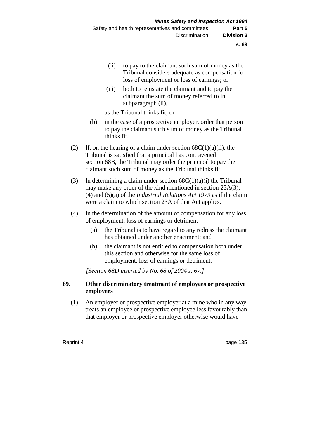- (ii) to pay to the claimant such sum of money as the Tribunal considers adequate as compensation for loss of employment or loss of earnings; or
- (iii) both to reinstate the claimant and to pay the claimant the sum of money referred to in subparagraph (ii),

as the Tribunal thinks fit; or

- (b) in the case of a prospective employer, order that person to pay the claimant such sum of money as the Tribunal thinks fit.
- (2) If, on the hearing of a claim under section  $68C(1)(a)(ii)$ , the Tribunal is satisfied that a principal has contravened section 68B, the Tribunal may order the principal to pay the claimant such sum of money as the Tribunal thinks fit.
- (3) In determining a claim under section  $68C(1)(a)(i)$  the Tribunal may make any order of the kind mentioned in section 23A(3), (4) and (5)(a) of the *Industrial Relations Act 1979* as if the claim were a claim to which section 23A of that Act applies.
- (4) In the determination of the amount of compensation for any loss of employment, loss of earnings or detriment —
	- (a) the Tribunal is to have regard to any redress the claimant has obtained under another enactment; and
	- (b) the claimant is not entitled to compensation both under this section and otherwise for the same loss of employment, loss of earnings or detriment.

*[Section 68D inserted by No. 68 of 2004 s. 67.]*

# **69. Other discriminatory treatment of employees or prospective employees**

(1) An employer or prospective employer at a mine who in any way treats an employee or prospective employee less favourably than that employer or prospective employer otherwise would have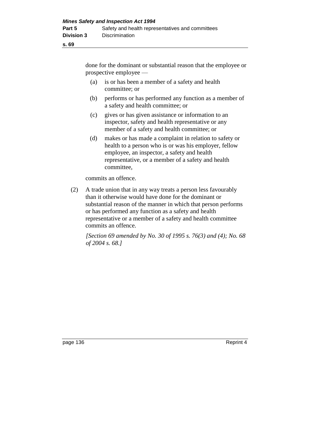done for the dominant or substantial reason that the employee or prospective employee —

- (a) is or has been a member of a safety and health committee; or
- (b) performs or has performed any function as a member of a safety and health committee; or
- (c) gives or has given assistance or information to an inspector, safety and health representative or any member of a safety and health committee; or
- (d) makes or has made a complaint in relation to safety or health to a person who is or was his employer, fellow employee, an inspector, a safety and health representative, or a member of a safety and health committee,

commits an offence.

(2) A trade union that in any way treats a person less favourably than it otherwise would have done for the dominant or substantial reason of the manner in which that person performs or has performed any function as a safety and health representative or a member of a safety and health committee commits an offence.

*[Section 69 amended by No. 30 of 1995 s. 76(3) and (4); No. 68 of 2004 s. 68.]* 

page 136 Reprint 4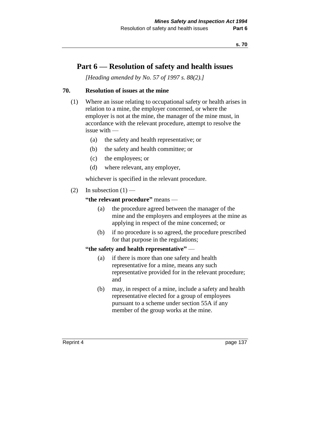# **Part 6 — Resolution of safety and health issues**

*[Heading amended by No. 57 of 1997 s. 88(2).]*

### **70. Resolution of issues at the mine**

- (1) Where an issue relating to occupational safety or health arises in relation to a mine, the employer concerned, or where the employer is not at the mine, the manager of the mine must, in accordance with the relevant procedure, attempt to resolve the issue with —
	- (a) the safety and health representative; or
	- (b) the safety and health committee; or
	- (c) the employees; or
	- (d) where relevant, any employer,

whichever is specified in the relevant procedure.

(2) In subsection  $(1)$  —

### **"the relevant procedure"** means —

- (a) the procedure agreed between the manager of the mine and the employers and employees at the mine as applying in respect of the mine concerned; or
- (b) if no procedure is so agreed, the procedure prescribed for that purpose in the regulations;

# **"the safety and health representative"** —

- (a) if there is more than one safety and health representative for a mine, means any such representative provided for in the relevant procedure; and
- (b) may, in respect of a mine, include a safety and health representative elected for a group of employees pursuant to a scheme under section 55A if any member of the group works at the mine.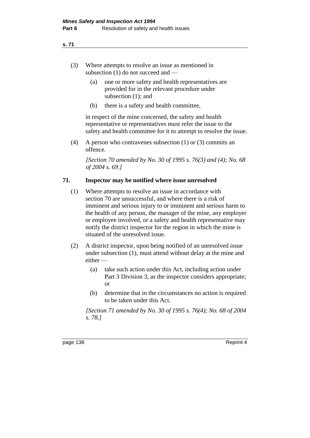- (3) Where attempts to resolve an issue as mentioned in subsection (1) do not succeed and —
	- (a) one or more safety and health representatives are provided for in the relevant procedure under subsection (1); and
	- (b) there is a safety and health committee,

in respect of the mine concerned, the safety and health representative or representatives must refer the issue to the safety and health committee for it to attempt to resolve the issue.

(4) A person who contravenes subsection (1) or (3) commits an offence.

*[Section 70 amended by No. 30 of 1995 s. 76(3) and (4); No. 68 of 2004 s. 69.]* 

# **71. Inspector may be notified where issue unresolved**

- (1) Where attempts to resolve an issue in accordance with section 70 are unsuccessful, and where there is a risk of imminent and serious injury to or imminent and serious harm to the health of any person, the manager of the mine, any employer or employee involved, or a safety and health representative may notify the district inspector for the region in which the mine is situated of the unresolved issue.
- (2) A district inspector, upon being notified of an unresolved issue under subsection (1), must attend without delay at the mine and either —
	- (a) take such action under this Act, including action under Part 3 Division 3, as the inspector considers appropriate; or
	- (b) determine that in the circumstances no action is required to be taken under this Act.

*[Section 71 amended by No. 30 of 1995 s. 76(4); No. 68 of 2004 s. 78.]*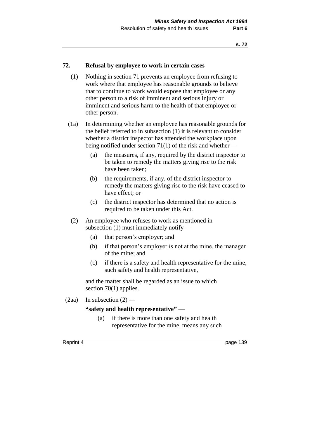### **72. Refusal by employee to work in certain cases**

- (1) Nothing in section 71 prevents an employee from refusing to work where that employee has reasonable grounds to believe that to continue to work would expose that employee or any other person to a risk of imminent and serious injury or imminent and serious harm to the health of that employee or other person.
- (1a) In determining whether an employee has reasonable grounds for the belief referred to in subsection (1) it is relevant to consider whether a district inspector has attended the workplace upon being notified under section 71(1) of the risk and whether —
	- (a) the measures, if any, required by the district inspector to be taken to remedy the matters giving rise to the risk have been taken;
	- (b) the requirements, if any, of the district inspector to remedy the matters giving rise to the risk have ceased to have effect; or
	- (c) the district inspector has determined that no action is required to be taken under this Act.
- (2) An employee who refuses to work as mentioned in subsection (1) must immediately notify —
	- (a) that person's employer; and
	- (b) if that person's employer is not at the mine, the manager of the mine; and
	- (c) if there is a safety and health representative for the mine, such safety and health representative,

and the matter shall be regarded as an issue to which section 70(1) applies.

(2aa) In subsection  $(2)$  —

#### **"safety and health representative"** —

(a) if there is more than one safety and health representative for the mine, means any such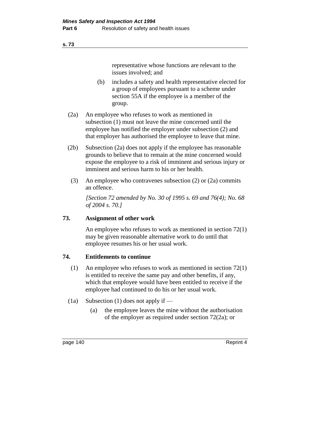representative whose functions are relevant to the issues involved; and

- (b) includes a safety and health representative elected for a group of employees pursuant to a scheme under section 55A if the employee is a member of the group.
- (2a) An employee who refuses to work as mentioned in subsection (1) must not leave the mine concerned until the employee has notified the employer under subsection (2) and that employer has authorised the employee to leave that mine.
- (2b) Subsection (2a) does not apply if the employee has reasonable grounds to believe that to remain at the mine concerned would expose the employee to a risk of imminent and serious injury or imminent and serious harm to his or her health.
	- (3) An employee who contravenes subsection (2) or (2a) commits an offence.

*[Section 72 amended by No. 30 of 1995 s. 69 and 76(4); No. 68 of 2004 s. 70.]* 

### **73. Assignment of other work**

An employee who refuses to work as mentioned in section 72(1) may be given reasonable alternative work to do until that employee resumes his or her usual work.

# **74. Entitlements to continue**

- (1) An employee who refuses to work as mentioned in section 72(1) is entitled to receive the same pay and other benefits, if any, which that employee would have been entitled to receive if the employee had continued to do his or her usual work.
- (1a) Subsection (1) does not apply if
	- (a) the employee leaves the mine without the authorisation of the employer as required under section 72(2a); or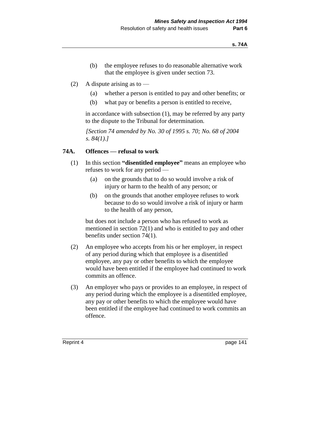- (b) the employee refuses to do reasonable alternative work that the employee is given under section 73.
- (2) A dispute arising as to
	- (a) whether a person is entitled to pay and other benefits; or
	- (b) what pay or benefits a person is entitled to receive,

in accordance with subsection (1), may be referred by any party to the dispute to the Tribunal for determination.

*[Section 74 amended by No. 30 of 1995 s. 70; No. 68 of 2004 s. 84(1).]* 

### **74A. Offences — refusal to work**

- (1) In this section **"disentitled employee"** means an employee who refuses to work for any period —
	- (a) on the grounds that to do so would involve a risk of injury or harm to the health of any person; or
	- (b) on the grounds that another employee refuses to work because to do so would involve a risk of injury or harm to the health of any person,

but does not include a person who has refused to work as mentioned in section 72(1) and who is entitled to pay and other benefits under section 74(1).

- (2) An employee who accepts from his or her employer, in respect of any period during which that employee is a disentitled employee, any pay or other benefits to which the employee would have been entitled if the employee had continued to work commits an offence.
- (3) An employer who pays or provides to an employee, in respect of any period during which the employee is a disentitled employee, any pay or other benefits to which the employee would have been entitled if the employee had continued to work commits an offence.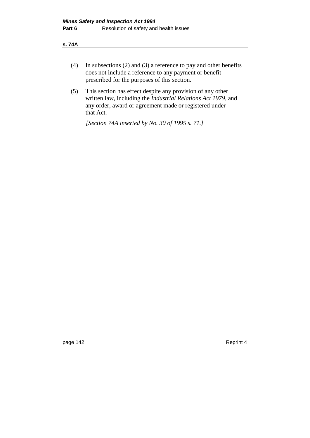- **s. 74A**
	- (4) In subsections (2) and (3) a reference to pay and other benefits does not include a reference to any payment or benefit prescribed for the purposes of this section.
	- (5) This section has effect despite any provision of any other written law, including the *Industrial Relations Act 1979,* and any order, award or agreement made or registered under that Act.

*[Section 74A inserted by No. 30 of 1995 s. 71.]* 

page 142 Reprint 4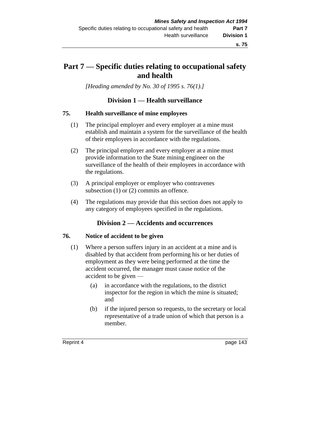# **Part 7 — Specific duties relating to occupational safety and health**

*[Heading amended by No. 30 of 1995 s. 76(1).]* 

# **Division 1 — Health surveillance**

#### **75. Health surveillance of mine employees**

- (1) The principal employer and every employer at a mine must establish and maintain a system for the surveillance of the health of their employees in accordance with the regulations.
- (2) The principal employer and every employer at a mine must provide information to the State mining engineer on the surveillance of the health of their employees in accordance with the regulations.
- (3) A principal employer or employer who contravenes subsection (1) or (2) commits an offence.
- (4) The regulations may provide that this section does not apply to any category of employees specified in the regulations.

# **Division 2 — Accidents and occurrences**

#### **76. Notice of accident to be given**

- (1) Where a person suffers injury in an accident at a mine and is disabled by that accident from performing his or her duties of employment as they were being performed at the time the accident occurred, the manager must cause notice of the accident to be given —
	- (a) in accordance with the regulations, to the district inspector for the region in which the mine is situated; and
	- (b) if the injured person so requests, to the secretary or local representative of a trade union of which that person is a member.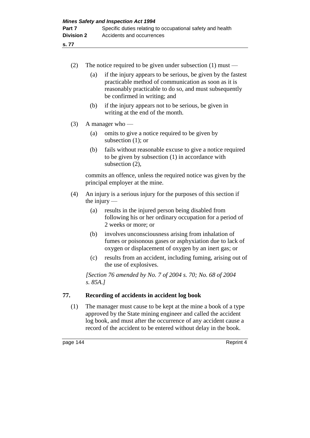| (2) | The notice required to be given under subsection $(1)$ must —                                                                                                                                                                                                         |                                                                                                                                                                                                                |  |  |
|-----|-----------------------------------------------------------------------------------------------------------------------------------------------------------------------------------------------------------------------------------------------------------------------|----------------------------------------------------------------------------------------------------------------------------------------------------------------------------------------------------------------|--|--|
|     | (a)                                                                                                                                                                                                                                                                   | if the injury appears to be serious, be given by the fastest<br>practicable method of communication as soon as it is<br>reasonably practicable to do so, and must subsequently<br>be confirmed in writing; and |  |  |
|     | (b)                                                                                                                                                                                                                                                                   | if the injury appears not to be serious, be given in<br>writing at the end of the month.                                                                                                                       |  |  |
| (3) | A manager who —                                                                                                                                                                                                                                                       |                                                                                                                                                                                                                |  |  |
|     | (a)                                                                                                                                                                                                                                                                   | omits to give a notice required to be given by<br>subsection $(1)$ ; or                                                                                                                                        |  |  |
|     | (b)                                                                                                                                                                                                                                                                   | fails without reasonable excuse to give a notice required<br>to be given by subsection (1) in accordance with<br>subsection (2),                                                                               |  |  |
|     | commits an offence, unless the required notice was given by the<br>principal employer at the mine.                                                                                                                                                                    |                                                                                                                                                                                                                |  |  |
| (4) | An injury is a serious injury for the purposes of this section if<br>the injury $-$                                                                                                                                                                                   |                                                                                                                                                                                                                |  |  |
|     | (a)                                                                                                                                                                                                                                                                   | results in the injured person being disabled from<br>following his or her ordinary occupation for a period of<br>2 weeks or more; or                                                                           |  |  |
|     | (b)                                                                                                                                                                                                                                                                   | involves unconsciousness arising from inhalation of<br>fumes or poisonous gases or asphyxiation due to lack of<br>oxygen or displacement of oxygen by an inert gas; or                                         |  |  |
|     | (c)                                                                                                                                                                                                                                                                   | results from an accident, including fuming, arising out of<br>the use of explosives.                                                                                                                           |  |  |
|     | [Section 76 amended by No. 7 of 2004 s. 70; No. 68 of 2004<br>s. 85A.                                                                                                                                                                                                 |                                                                                                                                                                                                                |  |  |
| 77. | Recording of accidents in accident log book                                                                                                                                                                                                                           |                                                                                                                                                                                                                |  |  |
| (1) | The manager must cause to be kept at the mine a book of a type<br>approved by the State mining engineer and called the accident<br>log book, and must after the occurrence of any accident cause a<br>record of the accident to be entered without delay in the book. |                                                                                                                                                                                                                |  |  |

page 144 Reprint 4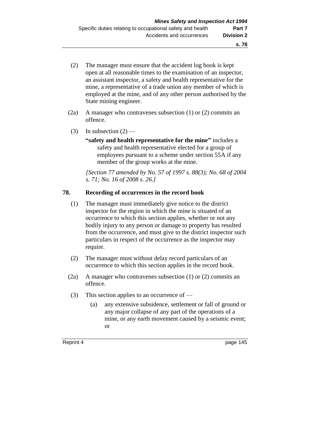- (2) The manager must ensure that the accident log book is kept open at all reasonable times to the examination of an inspector, an assistant inspector, a safety and health representative for the mine, a representative of a trade union any member of which is employed at the mine, and of any other person authorised by the State mining engineer.
- (2a) A manager who contravenes subsection (1) or (2) commits an offence.
- (3) In subsection  $(2)$ 
	- **"safety and health representative for the mine"** includes a safety and health representative elected for a group of employees pursuant to a scheme under section 55A if any member of the group works at the mine.

*[Section 77 amended by No. 57 of 1997 s. 88(3); No. 68 of 2004 s. 71; No. 16 of 2008 s. 26.]* 

#### **78. Recording of occurrences in the record book**

- (1) The manager must immediately give notice to the district inspector for the region in which the mine is situated of an occurrence to which this section applies, whether or not any bodily injury to any person or damage to property has resulted from the occurrence, and must give to the district inspector such particulars in respect of the occurrence as the inspector may require.
- (2) The manager must without delay record particulars of an occurrence to which this section applies in the record book.
- (2a) A manager who contravenes subsection (1) or (2) commits an offence.
- (3) This section applies to an occurrence of
	- (a) any extensive subsidence, settlement or fall of ground or any major collapse of any part of the operations of a mine, or any earth movement caused by a seismic event; or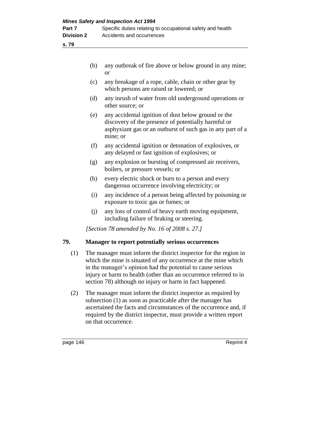|     | (b) | any outbreak of fire above or below ground in any mine;<br><b>or</b>                                                                                                                 |
|-----|-----|--------------------------------------------------------------------------------------------------------------------------------------------------------------------------------------|
|     | (c) | any breakage of a rope, cable, chain or other gear by<br>which persons are raised or lowered; or                                                                                     |
|     | (d) | any inrush of water from old underground operations or<br>other source; or                                                                                                           |
|     | (e) | any accidental ignition of dust below ground or the<br>discovery of the presence of potentially harmful or<br>asphyxiant gas or an outburst of such gas in any part of a<br>mine; or |
|     | (f) | any accidental ignition or detonation of explosives, or<br>any delayed or fast ignition of explosives; or                                                                            |
|     | (g) | any explosion or bursting of compressed air receivers,<br>boilers, or pressure vessels; or                                                                                           |
|     | (h) | every electric shock or burn to a person and every<br>dangerous occurrence involving electricity; or                                                                                 |
|     | (i) | any incidence of a person being affected by poisoning or<br>exposure to toxic gas or fumes; or                                                                                       |
|     | (i) | any loss of control of heavy earth moving equipment,<br>including failure of braking or steering.                                                                                    |
|     |     | [Section 78 amended by No. 16 of 2008 s. 27.]                                                                                                                                        |
| 79. |     | <b>Manager to report potentially serious occurrences</b>                                                                                                                             |

- (1) The manager must inform the district inspector for the region in which the mine is situated of any occurrence at the mine which in the manager's opinion had the potential to cause serious injury or harm to health (other than an occurrence referred to in section 78) although no injury or harm in fact happened.
- (2) The manager must inform the district inspector as required by subsection (1) as soon as practicable after the manager has ascertained the facts and circumstances of the occurrence and, if required by the district inspector, must provide a written report on that occurrence.

page 146 Reprint 4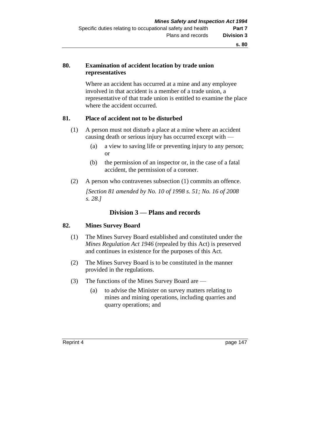# **80. Examination of accident location by trade union representatives**

Where an accident has occurred at a mine and any employee involved in that accident is a member of a trade union, a representative of that trade union is entitled to examine the place where the accident occurred.

### **81. Place of accident not to be disturbed**

- (1) A person must not disturb a place at a mine where an accident causing death or serious injury has occurred except with —
	- (a) a view to saving life or preventing injury to any person; or
	- (b) the permission of an inspector or, in the case of a fatal accident, the permission of a coroner.
- (2) A person who contravenes subsection (1) commits an offence.

*[Section 81 amended by No. 10 of 1998 s. 51; No. 16 of 2008 s. 28.]*

# **Division 3 — Plans and records**

#### **82. Mines Survey Board**

- (1) The Mines Survey Board established and constituted under the *Mines Regulation Act 1946* (repealed by this Act) is preserved and continues in existence for the purposes of this Act.
- (2) The Mines Survey Board is to be constituted in the manner provided in the regulations.
- (3) The functions of the Mines Survey Board are
	- (a) to advise the Minister on survey matters relating to mines and mining operations, including quarries and quarry operations; and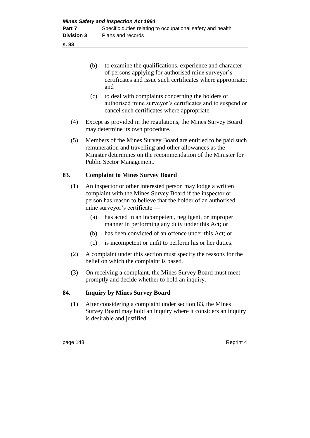page 148 Reprint 4 (b) to examine the qualifications, experience and character of persons applying for authorised mine surveyor's certificates and issue such certificates where appropriate; and (c) to deal with complaints concerning the holders of authorised mine surveyor's certificates and to suspend or cancel such certificates where appropriate. (4) Except as provided in the regulations, the Mines Survey Board may determine its own procedure. (5) Members of the Mines Survey Board are entitled to be paid such remuneration and travelling and other allowances as the Minister determines on the recommendation of the Minister for Public Sector Management. **83. Complaint to Mines Survey Board**  (1) An inspector or other interested person may lodge a written complaint with the Mines Survey Board if the inspector or person has reason to believe that the holder of an authorised mine surveyor's certificate — (a) has acted in an incompetent, negligent, or improper manner in performing any duty under this Act; or (b) has been convicted of an offence under this Act; or (c) is incompetent or unfit to perform his or her duties. (2) A complaint under this section must specify the reasons for the belief on which the complaint is based. (3) On receiving a complaint, the Mines Survey Board must meet promptly and decide whether to hold an inquiry. **84. Inquiry by Mines Survey Board**  (1) After considering a complaint under section 83, the Mines Survey Board may hold an inquiry where it considers an inquiry is desirable and justified.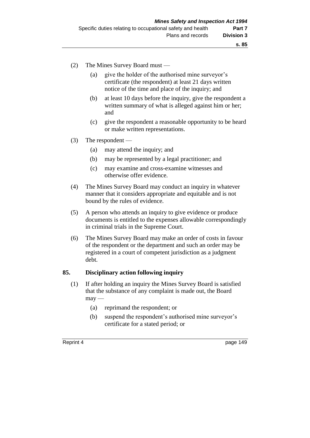- (2) The Mines Survey Board must
	- (a) give the holder of the authorised mine surveyor's certificate (the respondent) at least 21 days written notice of the time and place of the inquiry; and
	- (b) at least 10 days before the inquiry, give the respondent a written summary of what is alleged against him or her; and
	- (c) give the respondent a reasonable opportunity to be heard or make written representations.
- (3) The respondent
	- (a) may attend the inquiry; and
	- (b) may be represented by a legal practitioner; and
	- (c) may examine and cross-examine witnesses and otherwise offer evidence.
- (4) The Mines Survey Board may conduct an inquiry in whatever manner that it considers appropriate and equitable and is not bound by the rules of evidence.
- (5) A person who attends an inquiry to give evidence or produce documents is entitled to the expenses allowable correspondingly in criminal trials in the Supreme Court.
- (6) The Mines Survey Board may make an order of costs in favour of the respondent or the department and such an order may be registered in a court of competent jurisdiction as a judgment debt.

### **85. Disciplinary action following inquiry**

- (1) If after holding an inquiry the Mines Survey Board is satisfied that the substance of any complaint is made out, the Board  $may -$ 
	- (a) reprimand the respondent; or
	- (b) suspend the respondent's authorised mine surveyor's certificate for a stated period; or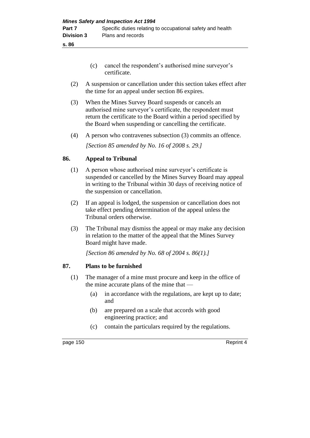- (c) cancel the respondent's authorised mine surveyor's certificate.
- (2) A suspension or cancellation under this section takes effect after the time for an appeal under section 86 expires.
- (3) When the Mines Survey Board suspends or cancels an authorised mine surveyor's certificate, the respondent must return the certificate to the Board within a period specified by the Board when suspending or cancelling the certificate.
- (4) A person who contravenes subsection (3) commits an offence.

*[Section 85 amended by No. 16 of 2008 s. 29.]*

# **86. Appeal to Tribunal**

- (1) A person whose authorised mine surveyor's certificate is suspended or cancelled by the Mines Survey Board may appeal in writing to the Tribunal within 30 days of receiving notice of the suspension or cancellation.
- (2) If an appeal is lodged, the suspension or cancellation does not take effect pending determination of the appeal unless the Tribunal orders otherwise.
- (3) The Tribunal may dismiss the appeal or may make any decision in relation to the matter of the appeal that the Mines Survey Board might have made.

*[Section 86 amended by No. 68 of 2004 s. 86(1).]*

# **87. Plans to be furnished**

- (1) The manager of a mine must procure and keep in the office of the mine accurate plans of the mine that —
	- (a) in accordance with the regulations, are kept up to date; and
	- (b) are prepared on a scale that accords with good engineering practice; and
	- (c) contain the particulars required by the regulations.

page 150 Reprint 4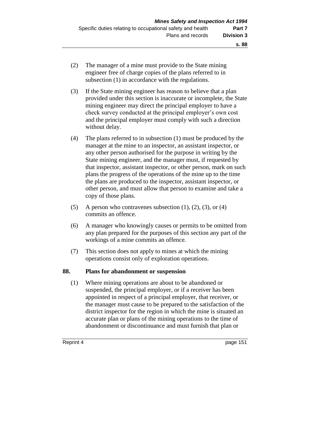- (2) The manager of a mine must provide to the State mining engineer free of charge copies of the plans referred to in
	- subsection (1) in accordance with the regulations.
- (3) If the State mining engineer has reason to believe that a plan provided under this section is inaccurate or incomplete, the State mining engineer may direct the principal employer to have a check survey conducted at the principal employer's own cost and the principal employer must comply with such a direction without delay.
- (4) The plans referred to in subsection (1) must be produced by the manager at the mine to an inspector, an assistant inspector, or any other person authorised for the purpose in writing by the State mining engineer, and the manager must, if requested by that inspector, assistant inspector, or other person, mark on such plans the progress of the operations of the mine up to the time the plans are produced to the inspector, assistant inspector, or other person, and must allow that person to examine and take a copy of those plans.
- (5) A person who contravenes subsection  $(1)$ ,  $(2)$ ,  $(3)$ , or  $(4)$ commits an offence.
- (6) A manager who knowingly causes or permits to be omitted from any plan prepared for the purposes of this section any part of the workings of a mine commits an offence.
- (7) This section does not apply to mines at which the mining operations consist only of exploration operations.

# **88. Plans for abandonment or suspension**

(1) Where mining operations are about to be abandoned or suspended, the principal employer, or if a receiver has been appointed in respect of a principal employer, that receiver, or the manager must cause to be prepared to the satisfaction of the district inspector for the region in which the mine is situated an accurate plan or plans of the mining operations to the time of abandonment or discontinuance and must furnish that plan or

Reprint 4 **page 151** 

**s. 88**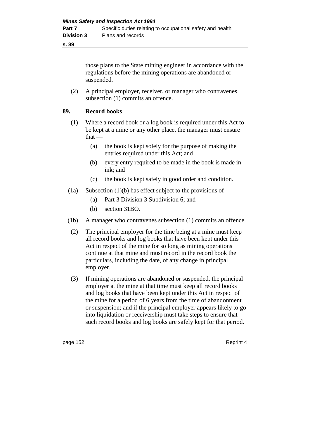those plans to the State mining engineer in accordance with the regulations before the mining operations are abandoned or suspended.

(2) A principal employer, receiver, or manager who contravenes subsection  $(1)$  commits an offence.

# **89. Record books**

- (1) Where a record book or a log book is required under this Act to be kept at a mine or any other place, the manager must ensure  $that -$ 
	- (a) the book is kept solely for the purpose of making the entries required under this Act; and
	- (b) every entry required to be made in the book is made in ink; and
	- (c) the book is kept safely in good order and condition.
- (1a) Subsection (1)(b) has effect subject to the provisions of
	- (a) Part 3 Division 3 Subdivision 6; and
	- (b) section 31BO.
- (1b) A manager who contravenes subsection (1) commits an offence.
- (2) The principal employer for the time being at a mine must keep all record books and log books that have been kept under this Act in respect of the mine for so long as mining operations continue at that mine and must record in the record book the particulars, including the date, of any change in principal employer.
- (3) If mining operations are abandoned or suspended, the principal employer at the mine at that time must keep all record books and log books that have been kept under this Act in respect of the mine for a period of 6 years from the time of abandonment or suspension; and if the principal employer appears likely to go into liquidation or receivership must take steps to ensure that such record books and log books are safely kept for that period.

page 152 Reprint 4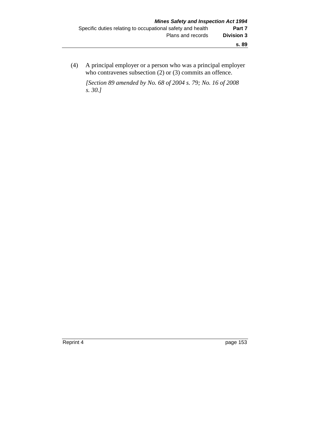(4) A principal employer or a person who was a principal employer who contravenes subsection (2) or (3) commits an offence.

*[Section 89 amended by No. 68 of 2004 s. 79; No. 16 of 2008 s. 30.]*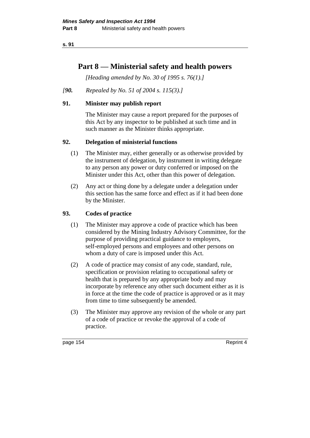# **Part 8 — Ministerial safety and health powers**

*[Heading amended by No. 30 of 1995 s. 76(1).]* 

# *[90. Repealed by No. 51 of 2004 s. 115(3).]*

# **91. Minister may publish report**

The Minister may cause a report prepared for the purposes of this Act by any inspector to be published at such time and in such manner as the Minister thinks appropriate.

# **92. Delegation of ministerial functions**

- (1) The Minister may, either generally or as otherwise provided by the instrument of delegation, by instrument in writing delegate to any person any power or duty conferred or imposed on the Minister under this Act, other than this power of delegation.
- (2) Any act or thing done by a delegate under a delegation under this section has the same force and effect as if it had been done by the Minister.

# **93. Codes of practice**

- (1) The Minister may approve a code of practice which has been considered by the Mining Industry Advisory Committee, for the purpose of providing practical guidance to employers, self-employed persons and employees and other persons on whom a duty of care is imposed under this Act.
- (2) A code of practice may consist of any code, standard, rule, specification or provision relating to occupational safety or health that is prepared by any appropriate body and may incorporate by reference any other such document either as it is in force at the time the code of practice is approved or as it may from time to time subsequently be amended.
- (3) The Minister may approve any revision of the whole or any part of a code of practice or revoke the approval of a code of practice.

page 154 Reprint 4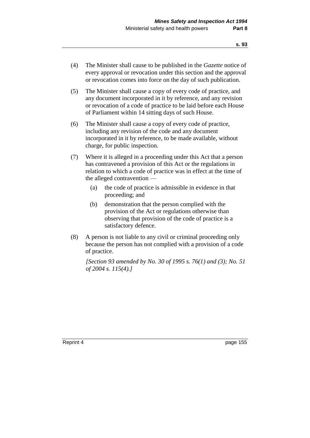- (4) The Minister shall cause to be published in the *Gazette* notice of every approval or revocation under this section and the approval or revocation comes into force on the day of such publication.
- (5) The Minister shall cause a copy of every code of practice, and any document incorporated in it by reference, and any revision or revocation of a code of practice to be laid before each House of Parliament within 14 sitting days of such House.
- (6) The Minister shall cause a copy of every code of practice, including any revision of the code and any document incorporated in it by reference, to be made available, without charge, for public inspection.
- (7) Where it is alleged in a proceeding under this Act that a person has contravened a provision of this Act or the regulations in relation to which a code of practice was in effect at the time of the alleged contravention —
	- (a) the code of practice is admissible in evidence in that proceeding; and
	- (b) demonstration that the person complied with the provision of the Act or regulations otherwise than observing that provision of the code of practice is a satisfactory defence.
- (8) A person is not liable to any civil or criminal proceeding only because the person has not complied with a provision of a code of practice.

*[Section 93 amended by No. 30 of 1995 s. 76(1) and (3); No. 51 of 2004 s. 115(4).]*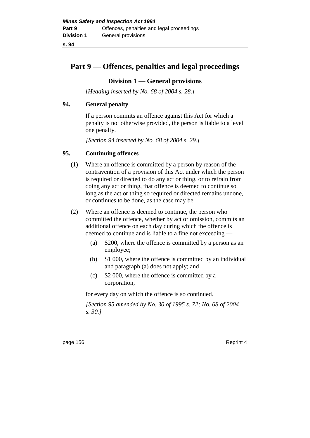# **Part 9 — Offences, penalties and legal proceedings**

### **Division 1 — General provisions**

*[Heading inserted by No. 68 of 2004 s. 28.]* 

### **94. General penalty**

If a person commits an offence against this Act for which a penalty is not otherwise provided, the person is liable to a level one penalty.

*[Section 94 inserted by No. 68 of 2004 s. 29.]*

# **95. Continuing offences**

- (1) Where an offence is committed by a person by reason of the contravention of a provision of this Act under which the person is required or directed to do any act or thing, or to refrain from doing any act or thing, that offence is deemed to continue so long as the act or thing so required or directed remains undone, or continues to be done, as the case may be.
- (2) Where an offence is deemed to continue, the person who committed the offence, whether by act or omission, commits an additional offence on each day during which the offence is deemed to continue and is liable to a fine not exceeding —
	- (a) \$200, where the offence is committed by a person as an employee;
	- (b) \$1 000, where the offence is committed by an individual and paragraph (a) does not apply; and
	- (c) \$2 000, where the offence is committed by a corporation,

for every day on which the offence is so continued.

*[Section 95 amended by No. 30 of 1995 s. 72; No. 68 of 2004 s. 30.]* 

page 156 Reprint 4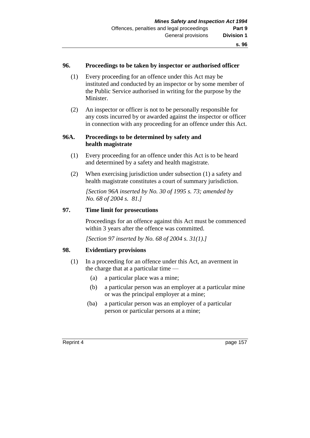#### **96. Proceedings to be taken by inspector or authorised officer**

- (1) Every proceeding for an offence under this Act may be instituted and conducted by an inspector or by some member of the Public Service authorised in writing for the purpose by the Minister.
- (2) An inspector or officer is not to be personally responsible for any costs incurred by or awarded against the inspector or officer in connection with any proceeding for an offence under this Act.

### **96A. Proceedings to be determined by safety and health magistrate**

- (1) Every proceeding for an offence under this Act is to be heard and determined by a safety and health magistrate.
- (2) When exercising jurisdiction under subsection (1) a safety and health magistrate constitutes a court of summary jurisdiction.

*[Section 96A inserted by No. 30 of 1995 s. 73; amended by No. 68 of 2004 s. 81.]* 

### **97. Time limit for prosecutions**

Proceedings for an offence against this Act must be commenced within 3 years after the offence was committed.

*[Section 97 inserted by No. 68 of 2004 s. 31(1).]*

### **98. Evidentiary provisions**

- (1) In a proceeding for an offence under this Act, an averment in the charge that at a particular time —
	- (a) a particular place was a mine;
	- (b) a particular person was an employer at a particular mine or was the principal employer at a mine;
	- (ba) a particular person was an employer of a particular person or particular persons at a mine;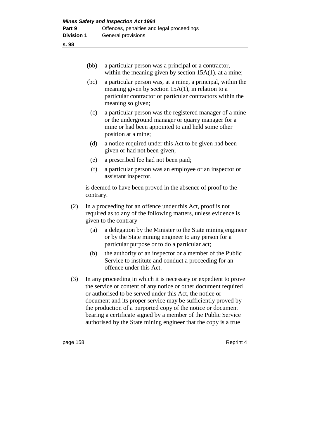|     | (bb)                                                                                                                                                      | a particular person was a principal or a contractor,<br>within the meaning given by section $15A(1)$ , at a mine;                                                                                                                                                                                                                                                                                                                                                     |  |
|-----|-----------------------------------------------------------------------------------------------------------------------------------------------------------|-----------------------------------------------------------------------------------------------------------------------------------------------------------------------------------------------------------------------------------------------------------------------------------------------------------------------------------------------------------------------------------------------------------------------------------------------------------------------|--|
|     | (bc)                                                                                                                                                      | a particular person was, at a mine, a principal, within the<br>meaning given by section $15A(1)$ , in relation to a<br>particular contractor or particular contractors within the<br>meaning so given;                                                                                                                                                                                                                                                                |  |
|     | (c)                                                                                                                                                       | a particular person was the registered manager of a mine<br>or the underground manager or quarry manager for a<br>mine or had been appointed to and held some other<br>position at a mine;                                                                                                                                                                                                                                                                            |  |
|     | (d)                                                                                                                                                       | a notice required under this Act to be given had been<br>given or had not been given;                                                                                                                                                                                                                                                                                                                                                                                 |  |
|     | (e)                                                                                                                                                       | a prescribed fee had not been paid;                                                                                                                                                                                                                                                                                                                                                                                                                                   |  |
|     | (f)                                                                                                                                                       | a particular person was an employee or an inspector or<br>assistant inspector,                                                                                                                                                                                                                                                                                                                                                                                        |  |
|     | contrary.                                                                                                                                                 | is deemed to have been proved in the absence of proof to the                                                                                                                                                                                                                                                                                                                                                                                                          |  |
| (2) | In a proceeding for an offence under this Act, proof is not<br>required as to any of the following matters, unless evidence is<br>given to the contrary — |                                                                                                                                                                                                                                                                                                                                                                                                                                                                       |  |
|     | (a)                                                                                                                                                       | a delegation by the Minister to the State mining engineer<br>or by the State mining engineer to any person for a<br>particular purpose or to do a particular act;                                                                                                                                                                                                                                                                                                     |  |
|     | (b)                                                                                                                                                       | the authority of an inspector or a member of the Public<br>Service to institute and conduct a proceeding for an<br>offence under this Act.                                                                                                                                                                                                                                                                                                                            |  |
| (3) |                                                                                                                                                           | In any proceeding in which it is necessary or expedient to prove<br>the service or content of any notice or other document required<br>or authorised to be served under this Act, the notice or<br>document and its proper service may be sufficiently proved by<br>the production of a purported copy of the notice or document<br>bearing a certificate signed by a member of the Public Service<br>authorised by the State mining engineer that the copy is a true |  |

page 158 Reprint 4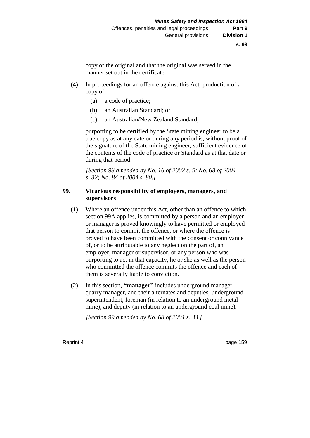copy of the original and that the original was served in the manner set out in the certificate.

- (4) In proceedings for an offence against this Act, production of a copy of —
	- (a) a code of practice;
	- (b) an Australian Standard; or
	- (c) an Australian/New Zealand Standard,

purporting to be certified by the State mining engineer to be a true copy as at any date or during any period is, without proof of the signature of the State mining engineer, sufficient evidence of the contents of the code of practice or Standard as at that date or during that period.

*[Section 98 amended by No. 16 of 2002 s. 5; No. 68 of 2004 s. 32; No. 84 of 2004 s. 80.]*

### **99. Vicarious responsibility of employers, managers, and supervisors**

- (1) Where an offence under this Act, other than an offence to which section 99A applies, is committed by a person and an employer or manager is proved knowingly to have permitted or employed that person to commit the offence, or where the offence is proved to have been committed with the consent or connivance of, or to be attributable to any neglect on the part of, an employer, manager or supervisor, or any person who was purporting to act in that capacity, he or she as well as the person who committed the offence commits the offence and each of them is severally liable to conviction.
- (2) In this section, **"manager"** includes underground manager, quarry manager, and their alternates and deputies, underground superintendent, foreman (in relation to an underground metal mine), and deputy (in relation to an underground coal mine).

*[Section 99 amended by No. 68 of 2004 s. 33.]*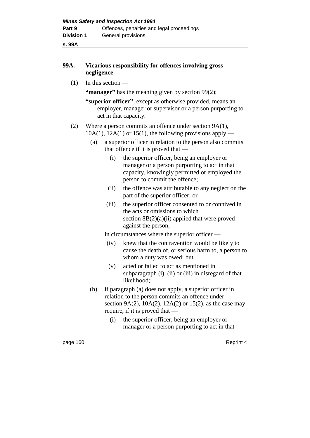### **99A. Vicarious responsibility for offences involving gross negligence**

(1) In this section —

**"manager"** has the meaning given by section 99(2);

**"superior officer"**, except as otherwise provided, means an employer, manager or supervisor or a person purporting to act in that capacity.

#### (2) Where a person commits an offence under section 9A(1),

- $10A(1)$ ,  $12A(1)$  or  $15(1)$ , the following provisions apply
	- (a) a superior officer in relation to the person also commits that offence if it is proved that —
		- (i) the superior officer, being an employer or manager or a person purporting to act in that capacity, knowingly permitted or employed the person to commit the offence;
		- (ii) the offence was attributable to any neglect on the part of the superior officer; or
		- (iii) the superior officer consented to or connived in the acts or omissions to which section  $8B(2)(a)(ii)$  applied that were proved against the person,

in circumstances where the superior officer —

- (iv) knew that the contravention would be likely to cause the death of, or serious harm to, a person to whom a duty was owed; but
- (v) acted or failed to act as mentioned in subparagraph (i), (ii) or (iii) in disregard of that likelihood;
- (b) if paragraph (a) does not apply, a superior officer in relation to the person commits an offence under section 9A(2),  $10A(2)$ ,  $12A(2)$  or  $15(2)$ , as the case may require, if it is proved that —
	- (i) the superior officer, being an employer or manager or a person purporting to act in that

page 160 Reprint 4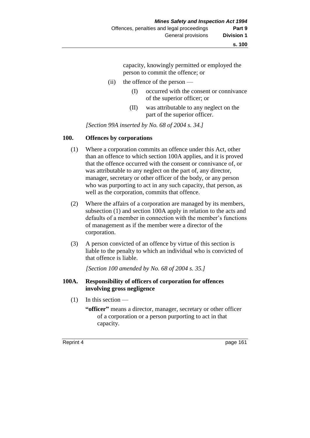capacity, knowingly permitted or employed the person to commit the offence; or

- (ii) the offence of the person
	- (I) occurred with the consent or connivance of the superior officer; or
	- (II) was attributable to any neglect on the part of the superior officer.

*[Section 99A inserted by No. 68 of 2004 s. 34.]*

### **100. Offences by corporations**

- (1) Where a corporation commits an offence under this Act, other than an offence to which section 100A applies, and it is proved that the offence occurred with the consent or connivance of, or was attributable to any neglect on the part of, any director, manager, secretary or other officer of the body, or any person who was purporting to act in any such capacity, that person, as well as the corporation, commits that offence.
- (2) Where the affairs of a corporation are managed by its members, subsection (1) and section 100A apply in relation to the acts and defaults of a member in connection with the member's functions of management as if the member were a director of the corporation.
- (3) A person convicted of an offence by virtue of this section is liable to the penalty to which an individual who is convicted of that offence is liable.

*[Section 100 amended by No. 68 of 2004 s. 35.]*

#### **100A. Responsibility of officers of corporation for offences involving gross negligence**

- (1) In this section
	- **"officer"** means a director, manager, secretary or other officer of a corporation or a person purporting to act in that capacity.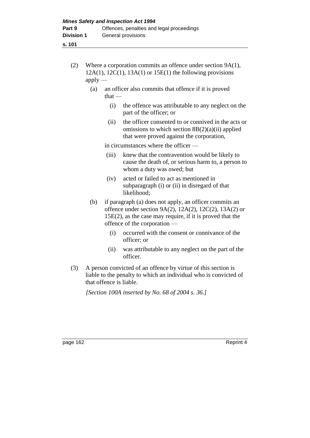- **s. 101**
	- (2) Where a corporation commits an offence under section 9A(1),  $12A(1)$ ,  $12C(1)$ ,  $13A(1)$  or  $15E(1)$  the following provisions  $apply$ —
		- (a) an officer also commits that offence if it is proved  $that -$ 
			- (i) the offence was attributable to any neglect on the part of the officer; or
			- (ii) the officer consented to or connived in the acts or omissions to which section  $8B(2)(a)(ii)$  applied that were proved against the corporation,

in circumstances where the officer —

- (iii) knew that the contravention would be likely to cause the death of, or serious harm to, a person to whom a duty was owed; but
- (iv) acted or failed to act as mentioned in subparagraph (i) or (ii) in disregard of that likelihood;
- (b) if paragraph (a) does not apply, an officer commits an offence under section 9A(2), 12A(2), 12C(2), 13A(2) or 15E(2), as the case may require, if it is proved that the offence of the corporation —
	- (i) occurred with the consent or connivance of the officer; or
	- (ii) was attributable to any neglect on the part of the officer.
- (3) A person convicted of an offence by virtue of this section is liable to the penalty to which an individual who is convicted of that offence is liable.

*[Section 100A inserted by No. 68 of 2004 s. 36.]*

page 162 Reprint 4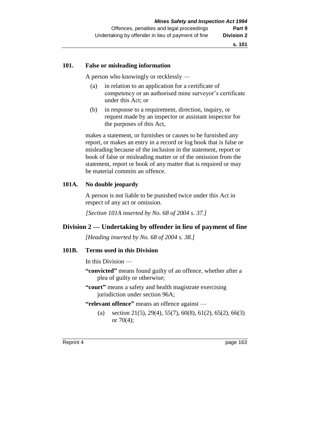#### **101. False or misleading information**

A person who knowingly or recklessly —

- (a) in relation to an application for a certificate of competency or an authorised mine surveyor's certificate under this Act; or
- (b) in response to a requirement, direction, inquiry, or request made by an inspector or assistant inspector for the purposes of this Act,

makes a statement, or furnishes or causes to be furnished any report, or makes an entry in a record or log book that is false or misleading because of the inclusion in the statement, report or book of false or misleading matter or of the omission from the statement, report or book of any matter that is required or may be material commits an offence.

### **101A. No double jeopardy**

A person is not liable to be punished twice under this Act in respect of any act or omission.

*[Section 101A inserted by No. 68 of 2004 s. 37.]*

# **Division 2 — Undertaking by offender in lieu of payment of fine**

*[Heading inserted by No. 68 of 2004 s. 38.]* 

#### **101B. Terms used in this Division**

In this Division —

- **"convicted"** means found guilty of an offence, whether after a plea of guilty or otherwise;
- **"court"** means a safety and health magistrate exercising jurisdiction under section 96A;

#### **"relevant offence"** means an offence against —

(a) section 21(5), 29(4), 55(7), 60(8), 61(2), 65(2), 66(3) or 70(4);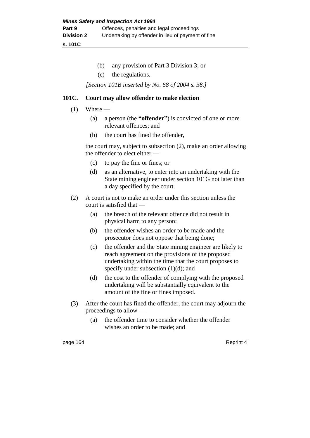**s. 101C**

- (b) any provision of Part 3 Division 3; or
- (c) the regulations.

*[Section 101B inserted by No. 68 of 2004 s. 38.]*

#### **101C. Court may allow offender to make election**

- $(1)$  Where
	- (a) a person (the **"offender"**) is convicted of one or more relevant offences; and
	- (b) the court has fined the offender,

the court may, subject to subsection (2), make an order allowing the offender to elect either —

- (c) to pay the fine or fines; or
- (d) as an alternative, to enter into an undertaking with the State mining engineer under section 101G not later than a day specified by the court.
- (2) A court is not to make an order under this section unless the court is satisfied that —
	- (a) the breach of the relevant offence did not result in physical harm to any person;
	- (b) the offender wishes an order to be made and the prosecutor does not oppose that being done;
	- (c) the offender and the State mining engineer are likely to reach agreement on the provisions of the proposed undertaking within the time that the court proposes to specify under subsection (1)(d); and
	- (d) the cost to the offender of complying with the proposed undertaking will be substantially equivalent to the amount of the fine or fines imposed.
- (3) After the court has fined the offender, the court may adjourn the proceedings to allow —
	- (a) the offender time to consider whether the offender wishes an order to be made; and

page 164 Reprint 4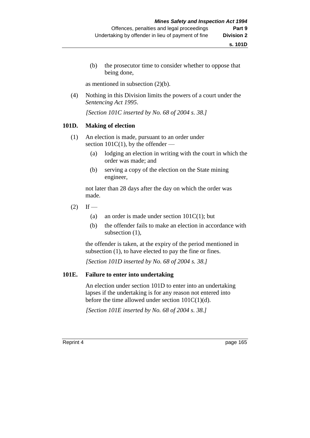(b) the prosecutor time to consider whether to oppose that being done,

as mentioned in subsection (2)(b).

(4) Nothing in this Division limits the powers of a court under the *Sentencing Act 1995*.

*[Section 101C inserted by No. 68 of 2004 s. 38.]*

#### **101D. Making of election**

- (1) An election is made, pursuant to an order under section  $101C(1)$ , by the offender —
	- (a) lodging an election in writing with the court in which the order was made; and
	- (b) serving a copy of the election on the State mining engineer,

not later than 28 days after the day on which the order was made.

- $(2)$  If
	- (a) an order is made under section  $101C(1)$ ; but
	- (b) the offender fails to make an election in accordance with subsection (1),

the offender is taken, at the expiry of the period mentioned in subsection (1), to have elected to pay the fine or fines.

*[Section 101D inserted by No. 68 of 2004 s. 38.]*

#### **101E. Failure to enter into undertaking**

An election under section 101D to enter into an undertaking lapses if the undertaking is for any reason not entered into before the time allowed under section 101C(1)(d).

*[Section 101E inserted by No. 68 of 2004 s. 38.]*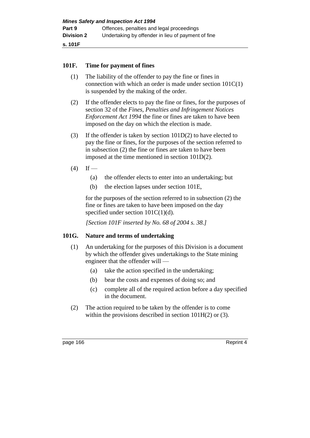### **101F. Time for payment of fines**

- (1) The liability of the offender to pay the fine or fines in connection with which an order is made under section 101C(1) is suspended by the making of the order.
- (2) If the offender elects to pay the fine or fines, for the purposes of section 32 of the *Fines, Penalties and Infringement Notices Enforcement Act 1994* the fine or fines are taken to have been imposed on the day on which the election is made.
- (3) If the offender is taken by section 101D(2) to have elected to pay the fine or fines, for the purposes of the section referred to in subsection (2) the fine or fines are taken to have been imposed at the time mentioned in section 101D(2).
- $(4)$  If
	- (a) the offender elects to enter into an undertaking; but
	- (b) the election lapses under section 101E,

for the purposes of the section referred to in subsection (2) the fine or fines are taken to have been imposed on the day specified under section  $101C(1)(d)$ .

*[Section 101F inserted by No. 68 of 2004 s. 38.]*

#### **101G. Nature and terms of undertaking**

- (1) An undertaking for the purposes of this Division is a document by which the offender gives undertakings to the State mining engineer that the offender will —
	- (a) take the action specified in the undertaking;
	- (b) bear the costs and expenses of doing so; and
	- (c) complete all of the required action before a day specified in the document.
- (2) The action required to be taken by the offender is to come within the provisions described in section 101H(2) or (3).

page 166 Reprint 4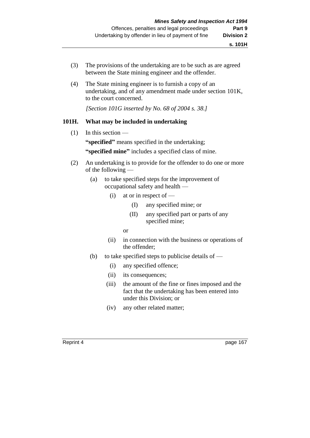- (3) The provisions of the undertaking are to be such as are agreed between the State mining engineer and the offender.
- (4) The State mining engineer is to furnish a copy of an undertaking, and of any amendment made under section 101K, to the court concerned.

*[Section 101G inserted by No. 68 of 2004 s. 38.]*

### **101H. What may be included in undertaking**

(1) In this section — **"specified"** means specified in the undertaking;

**"specified mine"** includes a specified class of mine.

- (2) An undertaking is to provide for the offender to do one or more of the following —
	- (a) to take specified steps for the improvement of occupational safety and health —
		- $(i)$  at or in respect of
			- (I) any specified mine; or
			- (II) any specified part or parts of any specified mine;
			- or
		- (ii) in connection with the business or operations of the offender;
	- (b) to take specified steps to publicise details of  $-$ 
		- (i) any specified offence;
		- (ii) its consequences;
		- (iii) the amount of the fine or fines imposed and the fact that the undertaking has been entered into under this Division; or
		- (iv) any other related matter;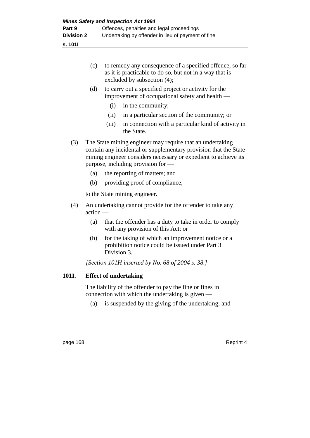**s. 101I**

| (c) | to remedy any consequence of a specified offence, so far |
|-----|----------------------------------------------------------|
|     | as it is practicable to do so, but not in a way that is  |
|     | excluded by subsection $(4)$ ;                           |

- (d) to carry out a specified project or activity for the improvement of occupational safety and health —
	- (i) in the community;
	- (ii) in a particular section of the community; or
	- (iii) in connection with a particular kind of activity in the State.
- (3) The State mining engineer may require that an undertaking contain any incidental or supplementary provision that the State mining engineer considers necessary or expedient to achieve its purpose, including provision for —
	- (a) the reporting of matters; and
	- (b) providing proof of compliance,

to the State mining engineer.

- (4) An undertaking cannot provide for the offender to take any action —
	- (a) that the offender has a duty to take in order to comply with any provision of this Act; or
	- (b) for the taking of which an improvement notice or a prohibition notice could be issued under Part 3 Division 3.

*[Section 101H inserted by No. 68 of 2004 s. 38.]*

# **101I. Effect of undertaking**

The liability of the offender to pay the fine or fines in connection with which the undertaking is given —

(a) is suspended by the giving of the undertaking; and

page 168 Reprint 4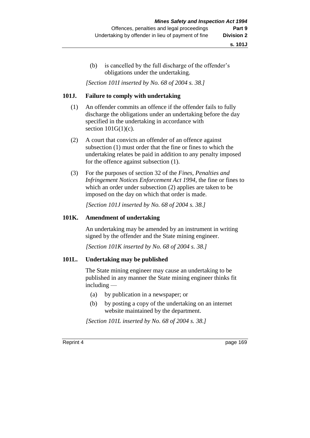(b) is cancelled by the full discharge of the offender's obligations under the undertaking.

*[Section 101I inserted by No. 68 of 2004 s. 38.]*

### **101J. Failure to comply with undertaking**

- (1) An offender commits an offence if the offender fails to fully discharge the obligations under an undertaking before the day specified in the undertaking in accordance with section  $101G(1)(c)$ .
- (2) A court that convicts an offender of an offence against subsection (1) must order that the fine or fines to which the undertaking relates be paid in addition to any penalty imposed for the offence against subsection (1).
- (3) For the purposes of section 32 of the *Fines, Penalties and Infringement Notices Enforcement Act 1994*, the fine or fines to which an order under subsection (2) applies are taken to be imposed on the day on which that order is made.

*[Section 101J inserted by No. 68 of 2004 s. 38.]*

### **101K. Amendment of undertaking**

An undertaking may be amended by an instrument in writing signed by the offender and the State mining engineer.

*[Section 101K inserted by No. 68 of 2004 s. 38.]*

### **101L. Undertaking may be published**

The State mining engineer may cause an undertaking to be published in any manner the State mining engineer thinks fit including —

- (a) by publication in a newspaper; or
- (b) by posting a copy of the undertaking on an internet website maintained by the department.

*[Section 101L inserted by No. 68 of 2004 s. 38.]*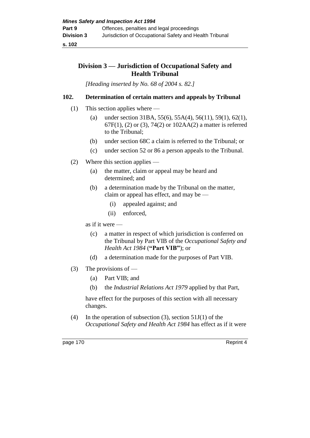**s. 102**

## **Division 3 — Jurisdiction of Occupational Safety and Health Tribunal**

*[Heading inserted by No. 68 of 2004 s. 82.]* 

## **102. Determination of certain matters and appeals by Tribunal**

- (1) This section applies where
	- (a) under section 31BA, 55(6), 55A(4), 56(11), 59(1), 62(1), 67F(1), (2) or (3), 74(2) or 102AA(2) a matter is referred to the Tribunal;
	- (b) under section 68C a claim is referred to the Tribunal; or
	- (c) under section 52 or 86 a person appeals to the Tribunal.
- (2) Where this section applies
	- (a) the matter, claim or appeal may be heard and determined; and
	- (b) a determination made by the Tribunal on the matter, claim or appeal has effect, and may be —
		- (i) appealed against; and
		- (ii) enforced,

as if it were —

- (c) a matter in respect of which jurisdiction is conferred on the Tribunal by Part VIB of the *Occupational Safety and Health Act 1984* (**"Part VIB"**); or
- (d) a determination made for the purposes of Part VIB.
- (3) The provisions of
	- (a) Part VIB; and
	- (b) the *Industrial Relations Act 1979* applied by that Part,

have effect for the purposes of this section with all necessary changes.

(4) In the operation of subsection (3), section  $51J(1)$  of the *Occupational Safety and Health Act 1984* has effect as if it were

page 170 Reprint 4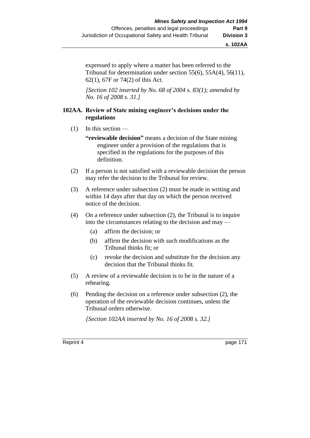expressed to apply where a matter has been referred to the Tribunal for determination under section 55(6), 55A(4), 56(11), 62(1), 67F or 74(2) of this Act.

*[Section 102 inserted by No. 68 of 2004 s. 83(1); amended by No. 16 of 2008 s. 31.]*

### **102AA. Review of State mining engineer's decisions under the regulations**

(1) In this section —

**"reviewable decision"** means a decision of the State mining engineer under a provision of the regulations that is specified in the regulations for the purposes of this definition.

- (2) If a person is not satisfied with a reviewable decision the person may refer the decision to the Tribunal for review.
- (3) A reference under subsection (2) must be made in writing and within 14 days after that day on which the person received notice of the decision.
- (4) On a reference under subsection (2), the Tribunal is to inquire into the circumstances relating to the decision and may —
	- (a) affirm the decision; or
	- (b) affirm the decision with such modifications as the Tribunal thinks fit; or
	- (c) revoke the decision and substitute for the decision any decision that the Tribunal thinks fit.
- (5) A review of a reviewable decision is to be in the nature of a rehearing.
- (6) Pending the decision on a reference under subsection (2), the operation of the reviewable decision continues, unless the Tribunal orders otherwise.

*[Section 102AA inserted by No. 16 of 2008 s. 32.]*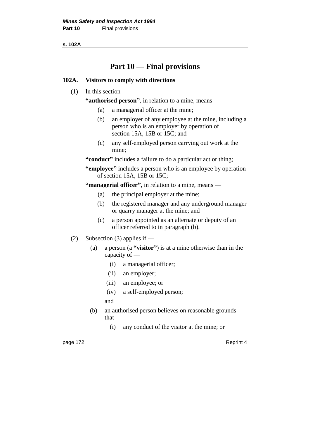**s. 102A**

# **Part 10 — Final provisions**

## **102A. Visitors to comply with directions**

 $(1)$  In this section —

**"authorised person"**, in relation to a mine, means —

- (a) a managerial officer at the mine;
- (b) an employer of any employee at the mine, including a person who is an employer by operation of section 15A, 15B or 15C; and
- (c) any self-employed person carrying out work at the mine;

**"conduct"** includes a failure to do a particular act or thing;

**"employee"** includes a person who is an employee by operation of section 15A, 15B or 15C;

**"managerial officer"**, in relation to a mine, means —

- (a) the principal employer at the mine;
- (b) the registered manager and any underground manager or quarry manager at the mine; and
- (c) a person appointed as an alternate or deputy of an officer referred to in paragraph (b).
- (2) Subsection (3) applies if
	- (a) a person (a **"visitor"**) is at a mine otherwise than in the capacity of —
		- (i) a managerial officer;
		- (ii) an employer;
		- (iii) an employee; or
		- (iv) a self-employed person;
		- and
	- (b) an authorised person believes on reasonable grounds that —
		- (i) any conduct of the visitor at the mine; or

page 172 Reprint 4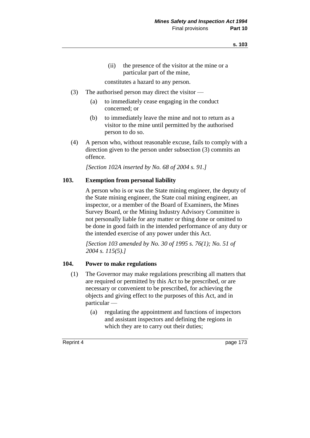(ii) the presence of the visitor at the mine or a particular part of the mine,

constitutes a hazard to any person.

- (3) The authorised person may direct the visitor
	- (a) to immediately cease engaging in the conduct concerned; or
	- (b) to immediately leave the mine and not to return as a visitor to the mine until permitted by the authorised person to do so.
- (4) A person who, without reasonable excuse, fails to comply with a direction given to the person under subsection (3) commits an offence.

*[Section 102A inserted by No. 68 of 2004 s. 91.]*

#### **103. Exemption from personal liability**

A person who is or was the State mining engineer, the deputy of the State mining engineer, the State coal mining engineer, an inspector, or a member of the Board of Examiners, the Mines Survey Board, or the Mining Industry Advisory Committee is not personally liable for any matter or thing done or omitted to be done in good faith in the intended performance of any duty or the intended exercise of any power under this Act.

*[Section 103 amended by No. 30 of 1995 s. 76(1); No. 51 of 2004 s. 115(5).]* 

#### **104. Power to make regulations**

- (1) The Governor may make regulations prescribing all matters that are required or permitted by this Act to be prescribed, or are necessary or convenient to be prescribed, for achieving the objects and giving effect to the purposes of this Act, and in particular —
	- (a) regulating the appointment and functions of inspectors and assistant inspectors and defining the regions in which they are to carry out their duties;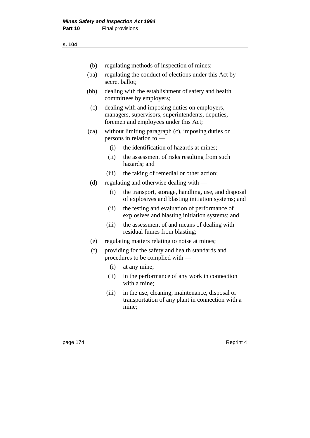| (b)  | regulating methods of inspection of mines;                                                                                                   |                                                                                                             |  |
|------|----------------------------------------------------------------------------------------------------------------------------------------------|-------------------------------------------------------------------------------------------------------------|--|
| (ba) | regulating the conduct of elections under this Act by<br>secret ballot:                                                                      |                                                                                                             |  |
| (bb) | dealing with the establishment of safety and health<br>committees by employers;                                                              |                                                                                                             |  |
| (c)  | dealing with and imposing duties on employers,<br>managers, supervisors, superintendents, deputies,<br>foremen and employees under this Act; |                                                                                                             |  |
| (ca) | without limiting paragraph (c), imposing duties on<br>persons in relation to —                                                               |                                                                                                             |  |
|      | (i)                                                                                                                                          | the identification of hazards at mines;                                                                     |  |
|      | (ii)                                                                                                                                         | the assessment of risks resulting from such<br>hazards; and                                                 |  |
|      | (iii)                                                                                                                                        | the taking of remedial or other action;                                                                     |  |
| (d)  |                                                                                                                                              | regulating and otherwise dealing with —                                                                     |  |
|      | (i)                                                                                                                                          | the transport, storage, handling, use, and disposal<br>of explosives and blasting initiation systems; and   |  |
|      | (ii)                                                                                                                                         | the testing and evaluation of performance of<br>explosives and blasting initiation systems; and             |  |
|      | (iii)                                                                                                                                        | the assessment of and means of dealing with<br>residual fumes from blasting;                                |  |
| (e)  |                                                                                                                                              | regulating matters relating to noise at mines;                                                              |  |
| (f)  |                                                                                                                                              | providing for the safety and health standards and<br>procedures to be complied with —                       |  |
|      | (i)                                                                                                                                          | at any mine;                                                                                                |  |
|      | (ii)                                                                                                                                         | in the performance of any work in connection<br>with a mine;                                                |  |
|      | (iii)                                                                                                                                        | in the use, cleaning, maintenance, disposal or<br>transportation of any plant in connection with a<br>mine; |  |

page 174 Reprint 4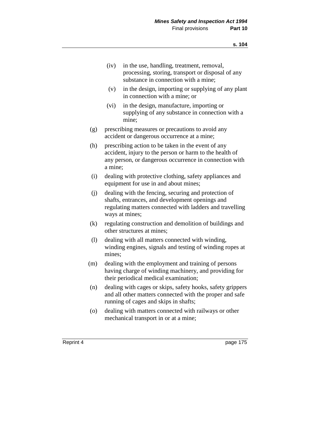- (iv) in the use, handling, treatment, removal, processing, storing, transport or disposal of any substance in connection with a mine;
- (v) in the design, importing or supplying of any plant in connection with a mine; or
- (vi) in the design, manufacture, importing or supplying of any substance in connection with a mine;
- (g) prescribing measures or precautions to avoid any accident or dangerous occurrence at a mine;
- (h) prescribing action to be taken in the event of any accident, injury to the person or harm to the health of any person, or dangerous occurrence in connection with a mine;
- (i) dealing with protective clothing, safety appliances and equipment for use in and about mines;
- (j) dealing with the fencing, securing and protection of shafts, entrances, and development openings and regulating matters connected with ladders and travelling ways at mines;
- (k) regulating construction and demolition of buildings and other structures at mines;
- (l) dealing with all matters connected with winding, winding engines, signals and testing of winding ropes at mines;
- (m) dealing with the employment and training of persons having charge of winding machinery, and providing for their periodical medical examination;
- (n) dealing with cages or skips, safety hooks, safety grippers and all other matters connected with the proper and safe running of cages and skips in shafts;
- (o) dealing with matters connected with railways or other mechanical transport in or at a mine;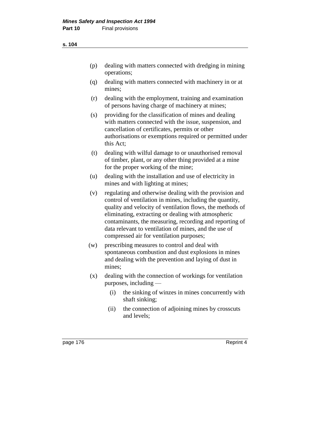- (p) dealing with matters connected with dredging in mining operations;
- (q) dealing with matters connected with machinery in or at mines;
- (r) dealing with the employment, training and examination of persons having charge of machinery at mines;
- (s) providing for the classification of mines and dealing with matters connected with the issue, suspension, and cancellation of certificates, permits or other authorisations or exemptions required or permitted under this Act;
- (t) dealing with wilful damage to or unauthorised removal of timber, plant, or any other thing provided at a mine for the proper working of the mine;
- (u) dealing with the installation and use of electricity in mines and with lighting at mines;
- (v) regulating and otherwise dealing with the provision and control of ventilation in mines, including the quantity, quality and velocity of ventilation flows, the methods of eliminating, extracting or dealing with atmospheric contaminants, the measuring, recording and reporting of data relevant to ventilation of mines, and the use of compressed air for ventilation purposes;
- (w) prescribing measures to control and deal with spontaneous combustion and dust explosions in mines and dealing with the prevention and laying of dust in mines;
- (x) dealing with the connection of workings for ventilation purposes, including —
	- (i) the sinking of winzes in mines concurrently with shaft sinking;
	- (ii) the connection of adjoining mines by crosscuts and levels;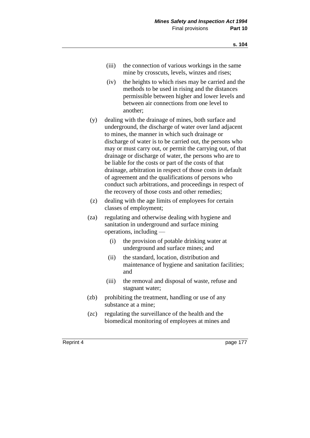- (iii) the connection of various workings in the same mine by crosscuts, levels, winzes and rises;
- (iv) the heights to which rises may be carried and the methods to be used in rising and the distances permissible between higher and lower levels and between air connections from one level to another;
- (y) dealing with the drainage of mines, both surface and underground, the discharge of water over land adjacent to mines, the manner in which such drainage or discharge of water is to be carried out, the persons who may or must carry out, or permit the carrying out, of that drainage or discharge of water, the persons who are to be liable for the costs or part of the costs of that drainage, arbitration in respect of those costs in default of agreement and the qualifications of persons who conduct such arbitrations, and proceedings in respect of the recovery of those costs and other remedies;
- (z) dealing with the age limits of employees for certain classes of employment;
- (za) regulating and otherwise dealing with hygiene and sanitation in underground and surface mining operations, including —
	- (i) the provision of potable drinking water at underground and surface mines; and
	- (ii) the standard, location, distribution and maintenance of hygiene and sanitation facilities; and
	- (iii) the removal and disposal of waste, refuse and stagnant water;
- (zb) prohibiting the treatment, handling or use of any substance at a mine;
- (zc) regulating the surveillance of the health and the biomedical monitoring of employees at mines and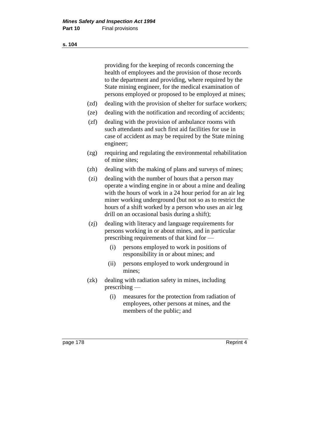providing for the keeping of records concerning the health of employees and the provision of those records to the department and providing, where required by the State mining engineer, for the medical examination of persons employed or proposed to be employed at mines;

- (zd) dealing with the provision of shelter for surface workers;
- (ze) dealing with the notification and recording of accidents;
- (zf) dealing with the provision of ambulance rooms with such attendants and such first aid facilities for use in case of accident as may be required by the State mining engineer;
- (zg) requiring and regulating the environmental rehabilitation of mine sites;
- (zh) dealing with the making of plans and surveys of mines;
- (zi) dealing with the number of hours that a person may operate a winding engine in or about a mine and dealing with the hours of work in a 24 hour period for an air leg miner working underground (but not so as to restrict the hours of a shift worked by a person who uses an air leg drill on an occasional basis during a shift);
- (zj) dealing with literacy and language requirements for persons working in or about mines, and in particular prescribing requirements of that kind for —
	- (i) persons employed to work in positions of responsibility in or about mines; and
	- (ii) persons employed to work underground in mines;
- (zk) dealing with radiation safety in mines, including prescribing —
	- (i) measures for the protection from radiation of employees, other persons at mines, and the members of the public; and

page 178 Reprint 4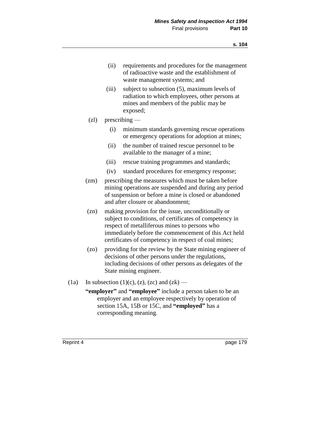- (ii) requirements and procedures for the management of radioactive waste and the establishment of waste management systems; and
- (iii) subject to subsection (5), maximum levels of radiation to which employees, other persons at mines and members of the public may be exposed;
- (zl) prescribing
	- (i) minimum standards governing rescue operations or emergency operations for adoption at mines;
	- (ii) the number of trained rescue personnel to be available to the manager of a mine;
	- (iii) rescue training programmes and standards;
	- (iv) standard procedures for emergency response;
- (zm) prescribing the measures which must be taken before mining operations are suspended and during any period of suspension or before a mine is closed or abandoned and after closure or abandonment;
- (zn) making provision for the issue, unconditionally or subject to conditions, of certificates of competency in respect of metalliferous mines to persons who immediately before the commencement of this Act held certificates of competency in respect of coal mines;
- (zo) providing for the review by the State mining engineer of decisions of other persons under the regulations, including decisions of other persons as delegates of the State mining engineer.
- (1a) In subsection (1)(c), (z), (zc) and (zk)
	- **"employer"** and **"employee"** include a person taken to be an employer and an employee respectively by operation of section 15A, 15B or 15C, and **"employed"** has a corresponding meaning.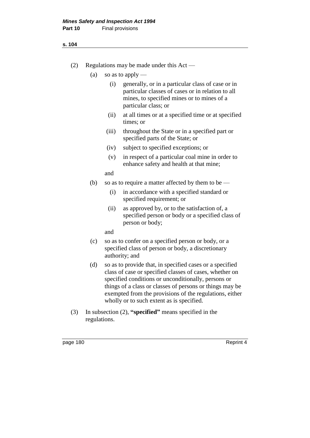#### **s. 104**

- (2) Regulations may be made under this Act
	- (a) so as to apply
		- (i) generally, or in a particular class of case or in particular classes of cases or in relation to all mines, to specified mines or to mines of a particular class; or
		- (ii) at all times or at a specified time or at specified times; or
		- (iii) throughout the State or in a specified part or specified parts of the State; or
		- (iv) subject to specified exceptions; or
		- (v) in respect of a particular coal mine in order to enhance safety and health at that mine;

and

- (b) so as to require a matter affected by them to be
	- (i) in accordance with a specified standard or specified requirement; or
	- (ii) as approved by, or to the satisfaction of, a specified person or body or a specified class of person or body;

and

- (c) so as to confer on a specified person or body, or a specified class of person or body, a discretionary authority; and
- (d) so as to provide that, in specified cases or a specified class of case or specified classes of cases, whether on specified conditions or unconditionally, persons or things of a class or classes of persons or things may be exempted from the provisions of the regulations, either wholly or to such extent as is specified.
- (3) In subsection (2), **"specified"** means specified in the regulations.

page 180 Reprint 4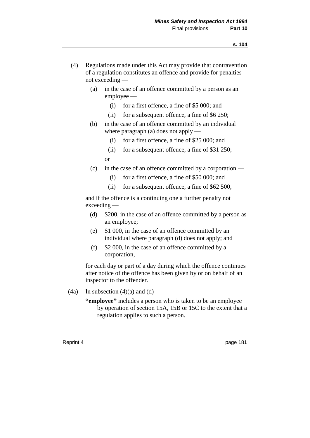- (4) Regulations made under this Act may provide that contravention of a regulation constitutes an offence and provide for penalties not exceeding —
	- (a) in the case of an offence committed by a person as an employee —
		- (i) for a first offence, a fine of \$5 000; and
		- (ii) for a subsequent offence, a fine of \$6 250;
	- (b) in the case of an offence committed by an individual where paragraph (a) does not apply —
		- (i) for a first offence, a fine of \$25 000; and
		- (ii) for a subsequent offence, a fine of \$31 250; or
	- (c) in the case of an offence committed by a corporation
		- (i) for a first offence, a fine of \$50 000; and
		- (ii) for a subsequent offence, a fine of \$62 500,

and if the offence is a continuing one a further penalty not exceeding —

- (d) \$200, in the case of an offence committed by a person as an employee;
- (e) \$1 000, in the case of an offence committed by an individual where paragraph (d) does not apply; and
- (f) \$2 000, in the case of an offence committed by a corporation,

for each day or part of a day during which the offence continues after notice of the offence has been given by or on behalf of an inspector to the offender.

- (4a) In subsection (4)(a) and (d)
	- **"employee"** includes a person who is taken to be an employee by operation of section 15A, 15B or 15C to the extent that a regulation applies to such a person.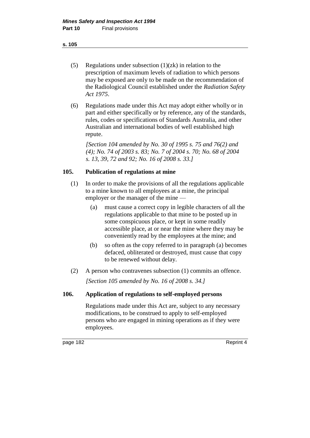#### **s. 105**

- (5) Regulations under subsection  $(1)(zk)$  in relation to the prescription of maximum levels of radiation to which persons may be exposed are only to be made on the recommendation of the Radiological Council established under the *Radiation Safety Act 1975*.
- (6) Regulations made under this Act may adopt either wholly or in part and either specifically or by reference, any of the standards, rules, codes or specifications of Standards Australia, and other Australian and international bodies of well established high repute.

*[Section 104 amended by No. 30 of 1995 s. 75 and 76(2) and (4); No. 74 of 2003 s. 83; No. 7 of 2004 s. 70; No. 68 of 2004 s. 13, 39, 72 and 92; No. 16 of 2008 s. 33.]* 

## **105. Publication of regulations at mine**

- (1) In order to make the provisions of all the regulations applicable to a mine known to all employees at a mine, the principal employer or the manager of the mine —
	- (a) must cause a correct copy in legible characters of all the regulations applicable to that mine to be posted up in some conspicuous place, or kept in some readily accessible place, at or near the mine where they may be conveniently read by the employees at the mine; and
	- (b) so often as the copy referred to in paragraph (a) becomes defaced, obliterated or destroyed, must cause that copy to be renewed without delay.
- (2) A person who contravenes subsection (1) commits an offence. *[Section 105 amended by No. 16 of 2008 s. 34.]*

## **106. Application of regulations to self-employed persons**

Regulations made under this Act are, subject to any necessary modifications, to be construed to apply to self-employed persons who are engaged in mining operations as if they were employees.

page 182 Reprint 4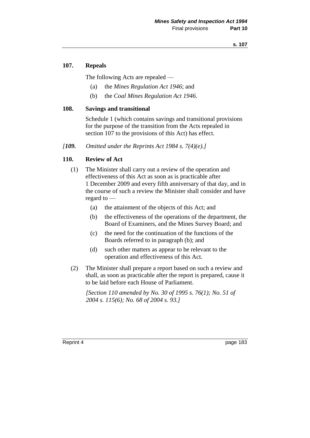### **107. Repeals**

The following Acts are repealed —

- (a) the *Mines Regulation Act 1946*; and
- (b) the *Coal Mines Regulation Act 1946*.

#### **108. Savings and transitional**

Schedule 1 (which contains savings and transitional provisions for the purpose of the transition from the Acts repealed in section 107 to the provisions of this Act) has effect.

*[109. Omitted under the Reprints Act 1984 s. 7(4)(e).]*

#### **110. Review of Act**

- (1) The Minister shall carry out a review of the operation and effectiveness of this Act as soon as is practicable after 1 December 2009 and every fifth anniversary of that day, and in the course of such a review the Minister shall consider and have regard to —
	- (a) the attainment of the objects of this Act; and
	- (b) the effectiveness of the operations of the department, the Board of Examiners, and the Mines Survey Board; and
	- (c) the need for the continuation of the functions of the Boards referred to in paragraph (b); and
	- (d) such other matters as appear to be relevant to the operation and effectiveness of this Act.
- (2) The Minister shall prepare a report based on such a review and shall, as soon as practicable after the report is prepared, cause it to be laid before each House of Parliament.

*[Section 110 amended by No. 30 of 1995 s. 76(1); No. 51 of 2004 s. 115(6); No. 68 of 2004 s. 93.]*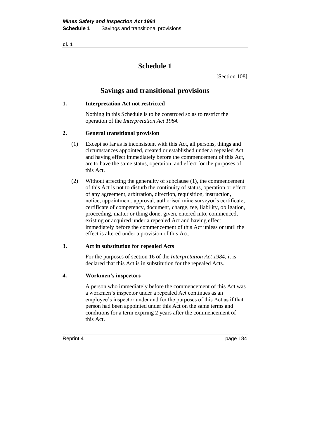**cl. 1**

# **Schedule 1**

[Section 108]

## **Savings and transitional provisions**

#### **1. Interpretation Act not restricted**

Nothing in this Schedule is to be construed so as to restrict the operation of the *Interpretation Act 1984.*

#### **2. General transitional provision**

- (1) Except so far as is inconsistent with this Act, all persons, things and circumstances appointed, created or established under a repealed Act and having effect immediately before the commencement of this Act, are to have the same status, operation, and effect for the purposes of this Act.
- (2) Without affecting the generality of subclause (1), the commencement of this Act is not to disturb the continuity of status, operation or effect of any agreement, arbitration, direction, requisition, instruction, notice, appointment, approval, authorised mine surveyor's certificate, certificate of competency, document, charge, fee, liability, obligation, proceeding, matter or thing done, given, entered into, commenced, existing or acquired under a repealed Act and having effect immediately before the commencement of this Act unless or until the effect is altered under a provision of this Act.

#### **3. Act in substitution for repealed Acts**

For the purposes of section 16 of the *Interpretation Act 1984*, it is declared that this Act is in substitution for the repealed Acts.

#### **4. Workmen's inspectors**

A person who immediately before the commencement of this Act was a workmen's inspector under a repealed Act continues as an employee's inspector under and for the purposes of this Act as if that person had been appointed under this Act on the same terms and conditions for a term expiring 2 years after the commencement of this Act.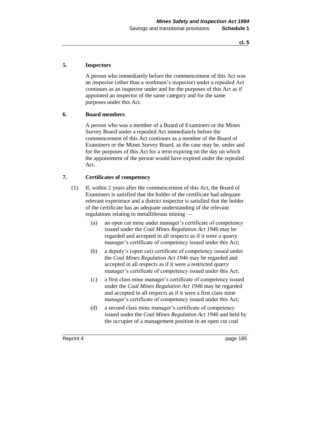**cl. 5**

## **5. Inspectors**

A person who immediately before the commencement of this Act was an inspector (other than a workmen's inspector) under a repealed Act continues as an inspector under and for the purposes of this Act as if appointed an inspector of the same category and for the same purposes under this Act.

#### **6. Board members**

A person who was a member of a Board of Examiners or the Mines Survey Board under a repealed Act immediately before the commencement of this Act continues as a member of the Board of Examiners or the Mines Survey Board, as the case may be, under and for the purposes of this Act for a term expiring on the day on which the appointment of the person would have expired under the repealed Act.

#### **7. Certificates of competency**

- (1) If, within 2 years after the commencement of this Act, the Board of Examiners is satisfied that the holder of the certificate had adequate relevant experience and a district inspector is satisfied that the holder of the certificate has an adequate understanding of the relevant regulations relating to metalliferous mining —
	- (a) an open cut mine under manager's certificate of competency issued under the *Coal Mines Regulation Act 1946* may be regarded and accepted in all respects as if it were a quarry manager's certificate of competency issued under this Act;
	- (b) a deputy's (open cut) certificate of competency issued under the *Coal Mines Regulation Act 1946* may be regarded and accepted in all respects as if it were a restricted quarry manager's certificate of competency issued under this Act;
	- (c) a first class mine manager's certificate of competency issued under the *Coal Mines Regulation Act 1946* may be regarded and accepted in all respects as if it were a first class mine manager's certificate of competency issued under this Act;
	- (d) a second class mine manager's certificate of competency issued under the *Coal Mines Regulation Act 1946* and held by the occupier of a management position in an open cut coal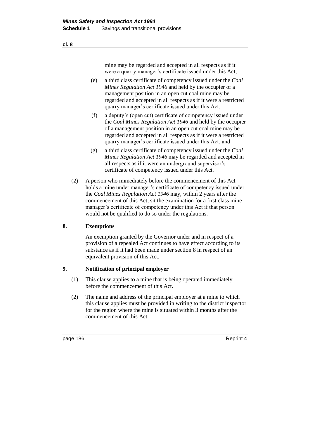mine may be regarded and accepted in all respects as if it were a quarry manager's certificate issued under this Act;

- (e) a third class certificate of competency issued under the *Coal Mines Regulation Act 1946* and held by the occupier of a management position in an open cut coal mine may be regarded and accepted in all respects as if it were a restricted quarry manager's certificate issued under this Act;
- (f) a deputy's (open cut) certificate of competency issued under the *Coal Mines Regulation Act 1946* and held by the occupier of a management position in an open cut coal mine may be regarded and accepted in all respects as if it were a restricted quarry manager's certificate issued under this Act; and
- (g) a third class certificate of competency issued under the *Coal Mines Regulation Act 1946* may be regarded and accepted in all respects as if it were an underground supervisor's certificate of competency issued under this Act.
- (2) A person who immediately before the commencement of this Act holds a mine under manager's certificate of competency issued under the *Coal Mines Regulation Act 1946* may, within 2 years after the commencement of this Act, sit the examination for a first class mine manager's certificate of competency under this Act if that person would not be qualified to do so under the regulations.

#### **8. Exemptions**

An exemption granted by the Governor under and in respect of a provision of a repealed Act continues to have effect according to its substance as if it had been made under section 8 in respect of an equivalent provision of this Act.

#### **9. Notification of principal employer**

- (1) This clause applies to a mine that is being operated immediately before the commencement of this Act.
- (2) The name and address of the principal employer at a mine to which this clause applies must be provided in writing to the district inspector for the region where the mine is situated within 3 months after the commencement of this Act.

page 186 Reprint 4

**cl. 8**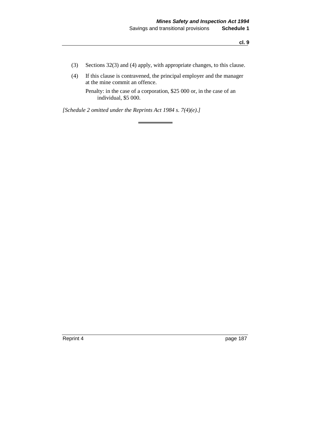- (3) Sections 32(3) and (4) apply, with appropriate changes, to this clause.
- (4) If this clause is contravened, the principal employer and the manager at the mine commit an offence.

Penalty: in the case of a corporation, \$25 000 or, in the case of an individual, \$5 000.

*[Schedule 2 omitted under the Reprints Act 1984 s. 7(4)(e).]*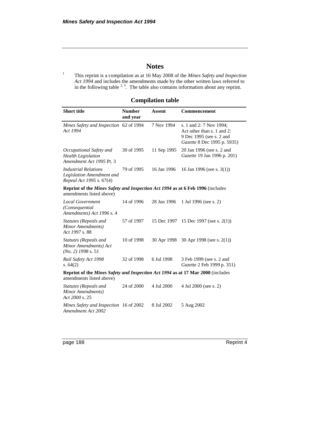# **Notes**

<sup>1</sup> This reprint is a compilation as at 16 May 2008 of the *Mines Safety and Inspection Act 1994* and includes the amendments made by the other written laws referred to in the following table  $2<sup>3</sup>$ . The table also contains information about any reprint.

**Compilation table**

| <b>Short title</b>                                                                                                 | <b>Number</b><br>and year | <b>Assent</b> | Commencement                                                                                                     |  |  |
|--------------------------------------------------------------------------------------------------------------------|---------------------------|---------------|------------------------------------------------------------------------------------------------------------------|--|--|
| Mines Safety and Inspection 62 of 1994<br>Act 1994                                                                 |                           | 7 Nov 1994    | s. 1 and 2: 7 Nov 1994;<br>Act other than s. 1 and 2:<br>9 Dec 1995 (see s. 2 and<br>Gazette 8 Dec 1995 p. 5935) |  |  |
| Occupational Safety and<br><b>Health Legislation</b><br>Amendment Act 1995 Pt. 3                                   | 30 of 1995                | 11 Sep 1995   | 20 Jan 1996 (see s. 2 and<br>Gazette 19 Jan 1996 p. 201)                                                         |  |  |
| <b>Industrial Relations</b><br>Legislation Amendment and<br>Repeal Act 1995 s. 67(4)                               | 79 of 1995                | 16 Jan 1996   | 16 Jan 1996 (see s. $3(1)$ )                                                                                     |  |  |
| Reprint of the Mines Safety and Inspection Act 1994 as at 6 Feb 1996 (includes<br>amendments listed above)         |                           |               |                                                                                                                  |  |  |
| <b>Local Government</b><br>(Consequential<br>Amendments) Act 1996 s. 4                                             | 14 of 1996                | 28 Jun 1996   | 1 Jul 1996 (see s. 2)                                                                                            |  |  |
| Statutes (Repeals and<br>Minor Amendments)<br>Act 1997 s. 88                                                       | 57 of 1997                | 15 Dec 1997   | 15 Dec 1997 (see s. 2(1))                                                                                        |  |  |
| Statutes (Repeals and<br>Minor Amendments) Act<br>$(No. 2)$ 1998 s. 51                                             | 10 of 1998                | 30 Apr 1998   | 30 Apr 1998 (see s. $2(1)$ )                                                                                     |  |  |
| Rail Safety Act 1998<br>s. $64(2)$                                                                                 | 32 of 1998                | 6 Jul 1998    | 3 Feb 1999 (see s. 2 and<br>Gazette 2 Feb 1999 p. 351)                                                           |  |  |
| <b>Reprint of the Mines Safety and Inspection Act 1994 as at 17 Mar 2000</b> (includes<br>amendments listed above) |                           |               |                                                                                                                  |  |  |
| Statutes (Repeals and<br>Minor Amendments)<br>Act 2000 s. 25                                                       | 24 of 2000                | 4 Jul 2000    | 4 Jul 2000 (see s. 2)                                                                                            |  |  |
| Mines Safety and Inspection 16 of 2002<br>Amendment Act 2002                                                       |                           | 8 Jul 2002    | 5 Aug 2002                                                                                                       |  |  |

page 188 Reprint 4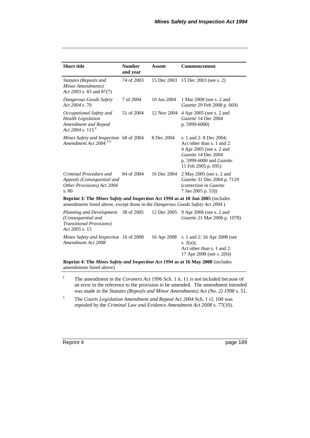| <b>Short title</b>                                                                                                                                               | <b>Number</b><br>and year | <b>Assent</b> | Commencement                                                                                                                                                |
|------------------------------------------------------------------------------------------------------------------------------------------------------------------|---------------------------|---------------|-------------------------------------------------------------------------------------------------------------------------------------------------------------|
| Statutes (Repeals and<br>Minor Amendments)<br>Act 2003 s. 83 and 87(7)                                                                                           | 74 of 2003                | 15 Dec 2003   | 15 Dec 2003 (see s. 2)                                                                                                                                      |
| Dangerous Goods Safety<br>Act 2004 s.70                                                                                                                          | 7 of 2004                 | 10 Jun 2004   | 1 Mar 2008 (see s. 2 and<br>Gazette 29 Feb 2008 p. 669)                                                                                                     |
| Occupational Safety and<br><b>Health Legislation</b><br>Amendment and Repeal<br>Act 2004 s. $115^4$                                                              | 51 of 2004                | 12 Nov 2004   | 4 Apr 2005 (see s. 2 and<br>Gazette 14 Dec 2004<br>p. 5999-6000)                                                                                            |
| Mines Safety and Inspection 68 of 2004<br>Amendment Act 2004<br>$5-9$                                                                                            |                           | 8 Dec 2004    | s. 1 and 2: 8 Dec 2004;<br>Act other than s. 1 and 2:<br>4 Apr 2005 (see s. 2 and<br>Gazette 14 Dec 2004<br>p. 5999-6000 and Gazette<br>11 Feb 2005 p. 695) |
| Criminal Procedure and<br>Appeals (Consequential and<br>Other Provisions) Act 2004<br>s. 80                                                                      | 84 of 2004                | 16 Dec 2004   | 2 May 2005 (see s. 2 and<br>Gazette 31 Dec 2004 p. 7129<br>(correction in Gazette<br>7 Jan 2005 p. 53))                                                     |
| Reprint 3: The Mines Safety and Inspection Act 1994 as at 10 Jun 2005 (includes<br>amendments listed above, except those in the Dangerous Goods Safety Act 2004) |                           |               |                                                                                                                                                             |
| Planning and Development<br>(Consequential and<br><b>Transitional Provisions</b> )<br>Act 2005 s. 15                                                             | 38 of 2005                | 12 Dec 2005   | 9 Apr 2006 (see s. 2 and<br>Gazette 21 Mar 2006 p. 1078)                                                                                                    |
| Mines Safety and Inspection 16 of 2008<br>Amendment Act 2008                                                                                                     |                           | 16 Apr 2008   | s. 1 and 2: 16 Apr 2008 (see<br>s. $2(a)$ :<br>Act other than s. 1 and 2:<br>17 Apr 2008 (see s. 2(b))                                                      |
| Reprint 4: The Mines Safety and Inspection Act 1994 as at 16 May 2008 (includes<br>amendments listed above)                                                      |                           |               |                                                                                                                                                             |

<sup>2</sup> The amendment in the *Coroners Act 1996* Sch. 1 it. 11 is not included because of an error in the reference to the provision to be amended. The amendment intended was made in the *Statutes (Repeals and Minor Amendments) Act (No. 2) 1998* s. 51.

<sup>3</sup> The *Courts Legislation Amendment and Repeal Act 2004* Sch. 1 cl. 100 was repealed by the *Criminal Law and Evidence Amendment Act 2008* s. 77(10).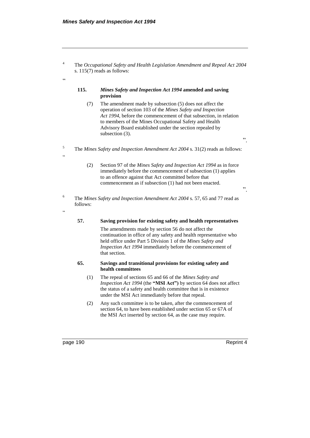.<br>C

.<br>c

"

<sup>4</sup> The *Occupational Safety and Health Legislation Amendment and Repeal Act 2004* s. 115(7) reads as follows:

#### **115.** *Mines Safety and Inspection Act 1994* **amended and saving provision**

- (7) The amendment made by subsection (5) does not affect the operation of section 103 of the *Mines Safety and Inspection Act 1994*, before the commencement of that subsection, in relation to members of the Mines Occupational Safety and Health Advisory Board established under the section repealed by subsection (3).
- <sup>5</sup> The *Mines Safety and Inspection Amendment Act 2004* s. 31(2) reads as follows:
	- (2) Section 97 of the *Mines Safety and Inspection Act 1994* as in force immediately before the commencement of subsection (1) applies to an offence against that Act committed before that commencement as if subsection (1) had not been enacted.
- <sup>6</sup> The *Mines Safety and Inspection Amendment Act 2004* s. 57, 65 and 77 read as follows:

**57. Saving provision for existing safety and health representatives**

The amendments made by section 56 do not affect the continuation in office of any safety and health representative who held office under Part 5 Division 1 of the *Mines Safety and Inspection Act 1994* immediately before the commencement of that section.

#### **65. Savings and transitional provisions for existing safety and health committees**

- (1) The repeal of sections 65 and 66 of the *Mines Safety and Inspection Act 1994* (the **"MSI Act")** by section 64 does not affect the status of a safety and health committee that is in existence under the MSI Act immediately before that repeal.
- (2) Any such committee is to be taken, after the commencement of section 64, to have been established under section 65 or 67A of the MSI Act inserted by section 64, as the case may require.

page 190 **Reprint 4** 

".

".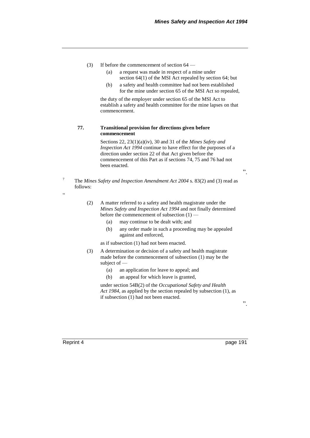- (3) If before the commencement of section 64
	- (a) a request was made in respect of a mine under section 64(1) of the MSI Act repealed by section 64; but
	- (b) a safety and health committee had not been established for the mine under section 65 of the MSI Act so repealed,

the duty of the employer under section 65 of the MSI Act to establish a safety and health committee for the mine lapses on that commencement.

#### **77. Transitional provision for directions given before commencement**

Sections 22, 23(1)(a)(iv), 30 and 31 of the *Mines Safety and Inspection Act 1994* continue to have effect for the purposes of a direction under section 22 of that Act given before the commencement of this Part as if sections 74, 75 and 76 had not been enacted.

".

<sup>7</sup> The *Mines Safety and Inspection Amendment Act 2004* s. 83(2) and (3) read as follows:

- (2) A matter referred to a safety and health magistrate under the *Mines Safety and Inspection Act 1994* and not finally determined before the commencement of subsection (1) —
	- (a) may continue to be dealt with; and
	- (b) any order made in such a proceeding may be appealed against and enforced,

as if subsection (1) had not been enacted.

- (3) A determination or decision of a safety and health magistrate made before the commencement of subsection (1) may be the subject of —
	- (a) an application for leave to appeal; and
	- (b) an appeal for which leave is granted,

under section 54B(2) of the *Occupational Safety and Health Act 1984*, as applied by the section repealed by subsection (1), as if subsection (1) had not been enacted.

".

Reprint 4 page 191

"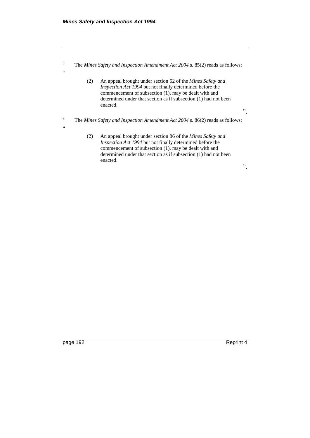"

"

<sup>8</sup> The *Mines Safety and Inspection Amendment Act 2004* s. 85(2) reads as follows:

- (2) An appeal brought under section 52 of the *Mines Safety and Inspection Act 1994* but not finally determined before the commencement of subsection (1), may be dealt with and determined under that section as if subsection (1) had not been enacted.
- <sup>9</sup> The *Mines Safety and Inspection Amendment Act 2004* s. 86(2) reads as follows:
	- (2) An appeal brought under section 86 of the *Mines Safety and Inspection Act 1994* but not finally determined before the commencement of subsection (1), may be dealt with and determined under that section as if subsection (1) had not been enacted.

page 192 Reprint 4

".

".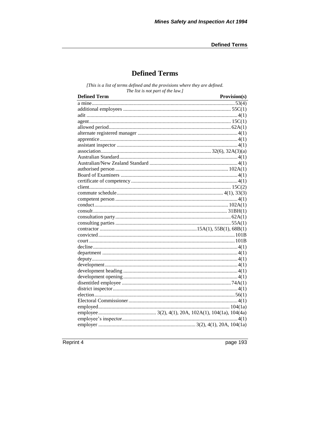# **Defined Terms**

[This is a list of terms defined and the provisions where they are defined. The list is not part of the law.]

| <b>Defined Term</b><br><u> 1989 - Johann Barn, amerikansk politiker (d. 1989)</u> | Provision(s) |
|-----------------------------------------------------------------------------------|--------------|
|                                                                                   |              |
|                                                                                   |              |
|                                                                                   |              |
|                                                                                   |              |
|                                                                                   |              |
|                                                                                   |              |
|                                                                                   |              |
|                                                                                   |              |
|                                                                                   |              |
|                                                                                   |              |
|                                                                                   |              |
|                                                                                   |              |
|                                                                                   |              |
|                                                                                   |              |
|                                                                                   |              |
|                                                                                   |              |
|                                                                                   |              |
|                                                                                   |              |
|                                                                                   |              |
|                                                                                   |              |
|                                                                                   |              |
|                                                                                   |              |
|                                                                                   |              |
|                                                                                   |              |
|                                                                                   |              |
|                                                                                   |              |
|                                                                                   |              |
|                                                                                   |              |
|                                                                                   |              |
|                                                                                   |              |
|                                                                                   |              |
|                                                                                   |              |
|                                                                                   |              |
|                                                                                   |              |
|                                                                                   |              |
|                                                                                   |              |
|                                                                                   |              |
|                                                                                   |              |

Reprint 4

page 193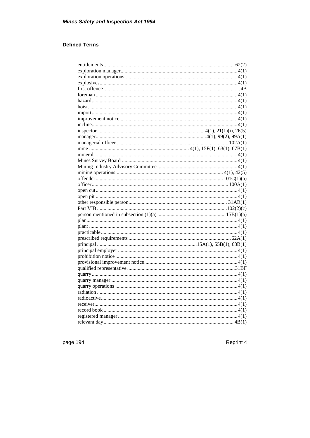## **Defined Terms**

page 194

Reprint 4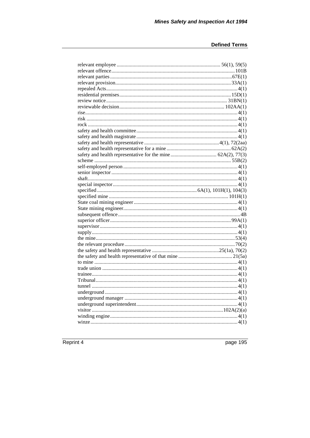Reprint 4

page 195